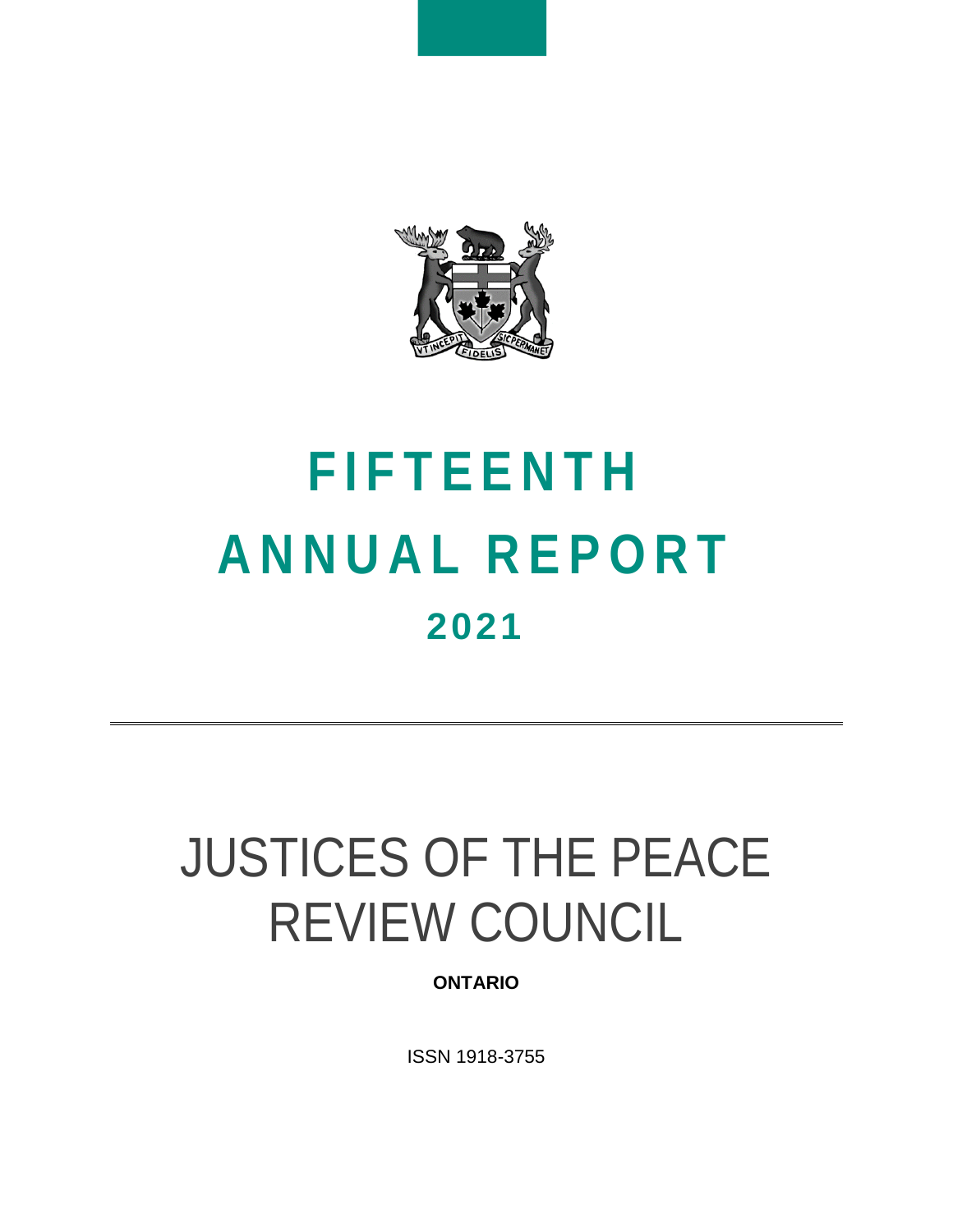

# **F I F T E E N T H A N N U A L R E P O R T 2021**

# JUSTICES OF THE PEACE REVIEW COUNCIL

## **ONTARIO**

ISSN 1918-3755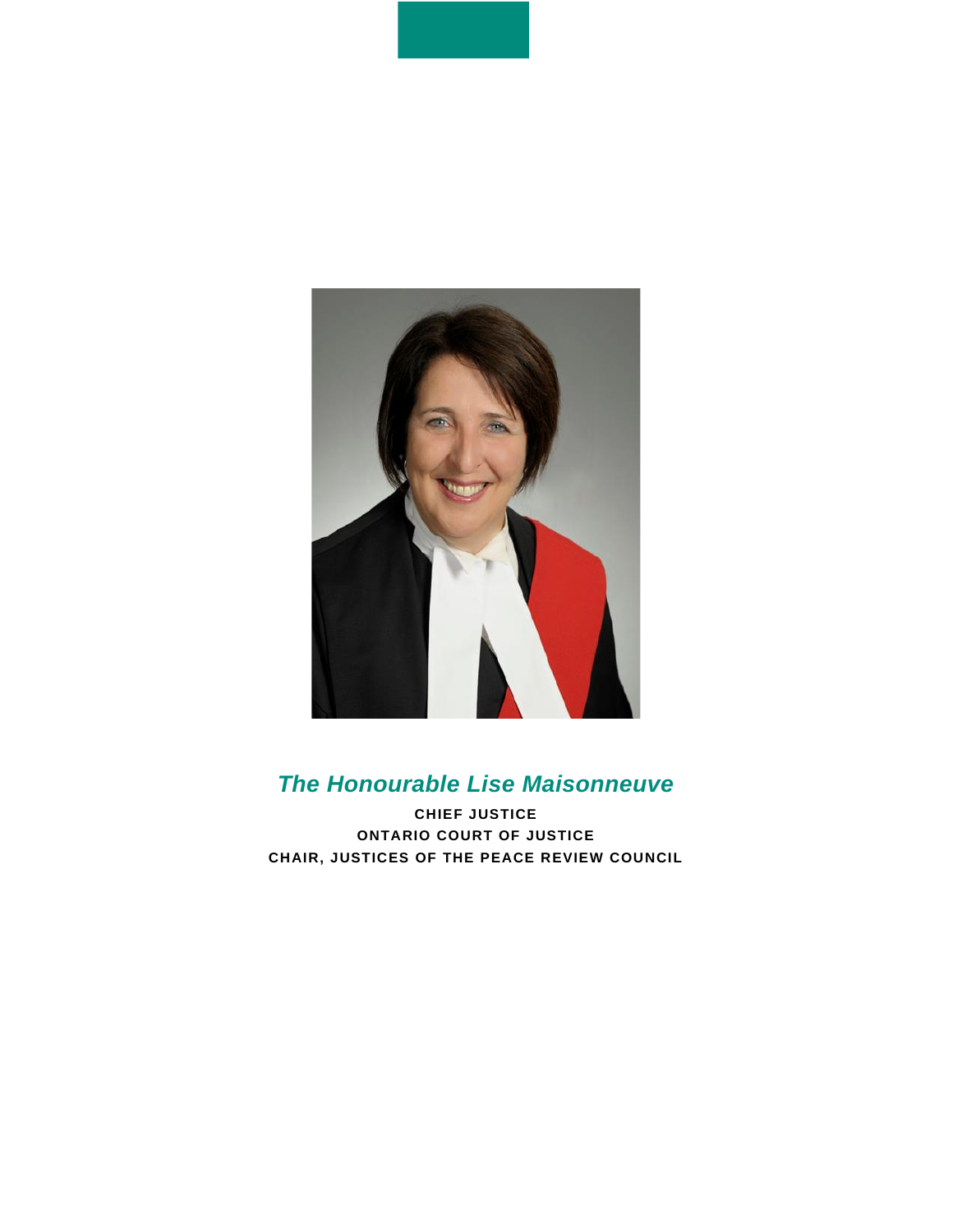

# *The Honourable Lise Maisonneuve*

**CHIEF JUSTICE ONTARIO COURT OF JUSTICE CHAIR, JUSTICES OF THE PEACE REVIEW COUNCIL**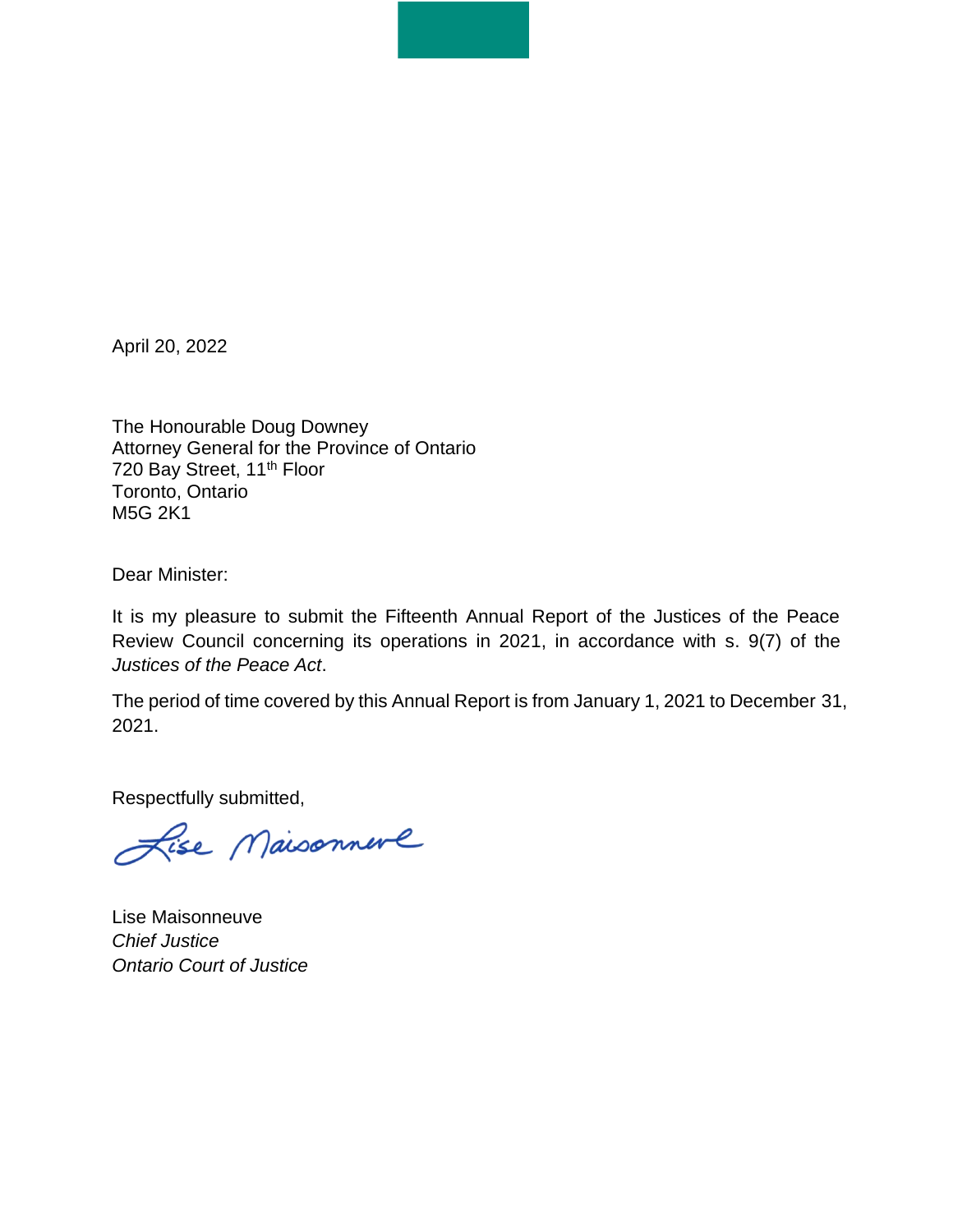April 20, 2022

The Honourable Doug Downey Attorney General for the Province of Ontario 720 Bay Street, 11<sup>th</sup> Floor Toronto, Ontario M5G 2K1

Dear Minister:

It is my pleasure to submit the Fifteenth Annual Report of the Justices of the Peace Review Council concerning its operations in 2021, in accordance with s. 9(7) of the *Justices of the Peace Act*.

The period of time covered by this Annual Report is from January 1, 2021 to December 31, 2021.

Respectfully submitted,

Lise Maisonnere

Lise Maisonneuve *Chief Justice Ontario Court of Justice*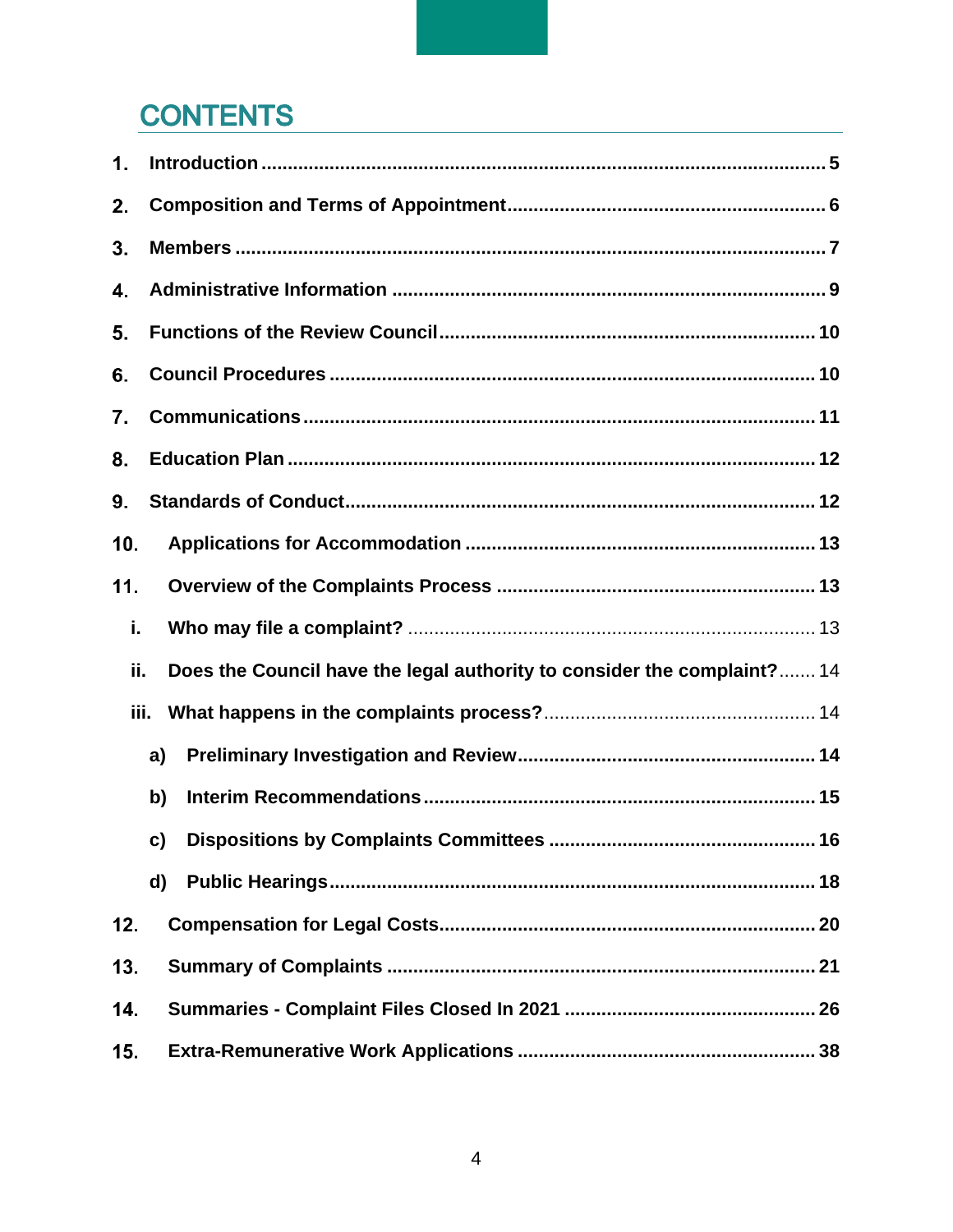# **CONTENTS**

| 1.   |                                                                         |
|------|-------------------------------------------------------------------------|
| 2.   |                                                                         |
| 3.   |                                                                         |
| 4.   |                                                                         |
| 5.   |                                                                         |
| 6.   |                                                                         |
| 7.   |                                                                         |
| 8.   |                                                                         |
| 9.   |                                                                         |
| 10.  |                                                                         |
| 11.  |                                                                         |
| i.   |                                                                         |
| ii.  | Does the Council have the legal authority to consider the complaint? 14 |
| iii. |                                                                         |
|      | a)                                                                      |
|      | b)                                                                      |
|      | c)                                                                      |
|      | d)                                                                      |
| 12.  |                                                                         |
| 13.  |                                                                         |
| 14.  |                                                                         |
| 15.  |                                                                         |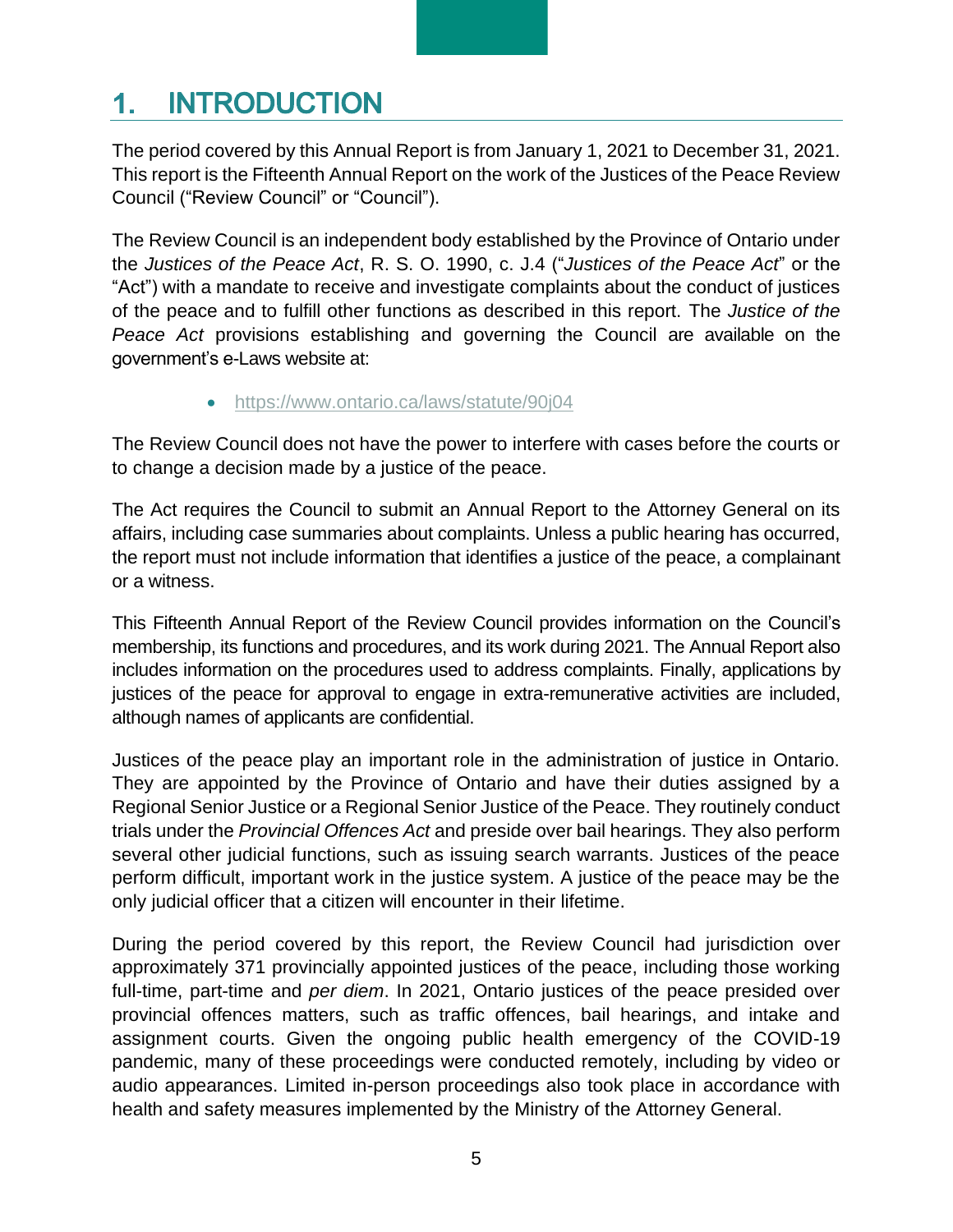#### <span id="page-4-0"></span>**INTRODUCTION**  $\mathbf 1$ .

The period covered by this Annual Report is from January 1, 2021 to December 31, 2021. This report is the Fifteenth Annual Report on the work of the Justices of the Peace Review Council ("Review Council" or "Council").

The Review Council is an independent body established by the Province of Ontario under the *Justices of the Peace Act*, R. S. O. 1990, c. J.4 ("*Justices of the Peace Act*" or the "Act") with a mandate to receive and investigate complaints about the conduct of justices of the peace and to fulfill other functions as described in this report. The *Justice of the Peace Act* provisions establishing and governing the Council are available on the government's e-Laws website at:

• <https://www.ontario.ca/laws/statute/90j04>

The Review Council does not have the power to interfere with cases before the courts or to change a decision made by a justice of the peace.

The Act requires the Council to submit an Annual Report to the Attorney General on its affairs, including case summaries about complaints. Unless a public hearing has occurred, the report must not include information that identifies a justice of the peace, a complainant or a witness.

This Fifteenth Annual Report of the Review Council provides information on the Council's membership, its functions and procedures, and its work during 2021. The Annual Report also includes information on the procedures used to address complaints. Finally, applications by justices of the peace for approval to engage in extra-remunerative activities are included, although names of applicants are confidential.

Justices of the peace play an important role in the administration of justice in Ontario. They are appointed by the Province of Ontario and have their duties assigned by a Regional Senior Justice or a Regional Senior Justice of the Peace. They routinely conduct trials under the *Provincial Offences Act* and preside over bail hearings. They also perform several other judicial functions, such as issuing search warrants. Justices of the peace perform difficult, important work in the justice system. A justice of the peace may be the only judicial officer that a citizen will encounter in their lifetime.

During the period covered by this report, the Review Council had jurisdiction over approximately 371 provincially appointed justices of the peace, including those working full-time, part-time and *per diem*. In 2021, Ontario justices of the peace presided over provincial offences matters, such as traffic offences, bail hearings, and intake and assignment courts. Given the ongoing public health emergency of the COVID-19 pandemic, many of these proceedings were conducted remotely, including by video or audio appearances. Limited in-person proceedings also took place in accordance with health and safety measures implemented by the Ministry of the Attorney General.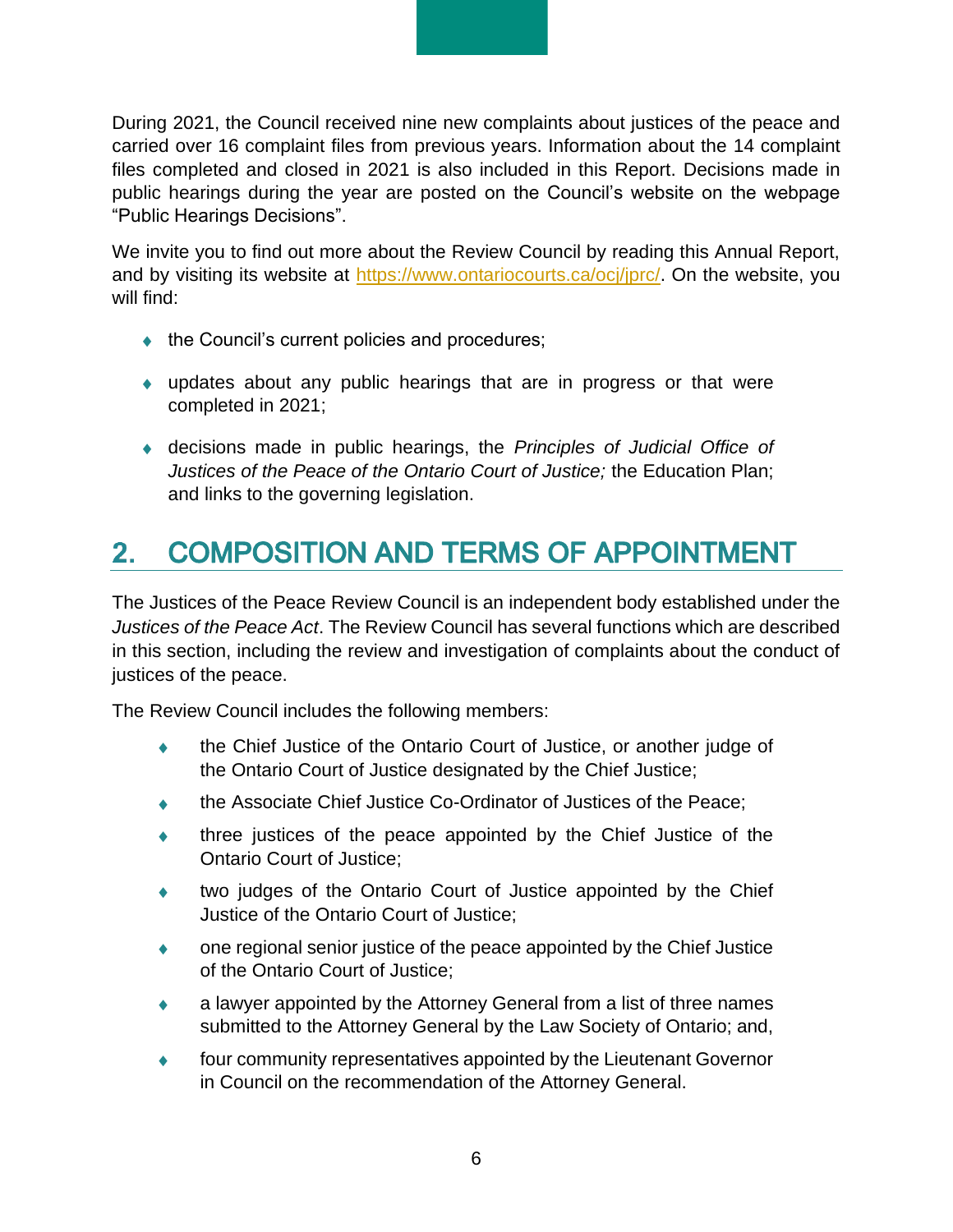During 2021, the Council received nine new complaints about justices of the peace and carried over 16 complaint files from previous years. Information about the 14 complaint files completed and closed in 2021 is also included in this Report. Decisions made in public hearings during the year are posted on the Council's website on the webpage "Public Hearings Decisions".

We invite you to find out more about the Review Council by reading this Annual Report, and by visiting its website at [https://www.ontariocourts.ca/ocj/jprc/.](https://www.ontariocourts.ca/ocj/jprc/) On the website, you will find:

- $\bullet$  the Council's current policies and procedures;
- updates about any public hearings that are in progress or that were completed in 2021;
- decisions made in public hearings, the *Principles of Judicial Office of Justices of the Peace of the Ontario Court of Justice;* the Education Plan; and links to the governing legislation.

#### <span id="page-5-0"></span>**COMPOSITION AND TERMS OF APPOINTMENT**  $2.$

The Justices of the Peace Review Council is an independent body established under the *Justices of the Peace Act*. The Review Council has several functions which are described in this section, including the review and investigation of complaints about the conduct of justices of the peace.

The Review Council includes the following members:

- the Chief Justice of the Ontario Court of Justice, or another judge of the Ontario Court of Justice designated by the Chief Justice;
- the Associate Chief Justice Co-Ordinator of Justices of the Peace;
- three justices of the peace appointed by the Chief Justice of the Ontario Court of Justice;
- two judges of the Ontario Court of Justice appointed by the Chief Justice of the Ontario Court of Justice;
- one regional senior justice of the peace appointed by the Chief Justice of the Ontario Court of Justice;
- a lawyer appointed by the Attorney General from a list of three names submitted to the Attorney General by the Law Society of Ontario; and,
- four community representatives appointed by the Lieutenant Governor in Council on the recommendation of the Attorney General.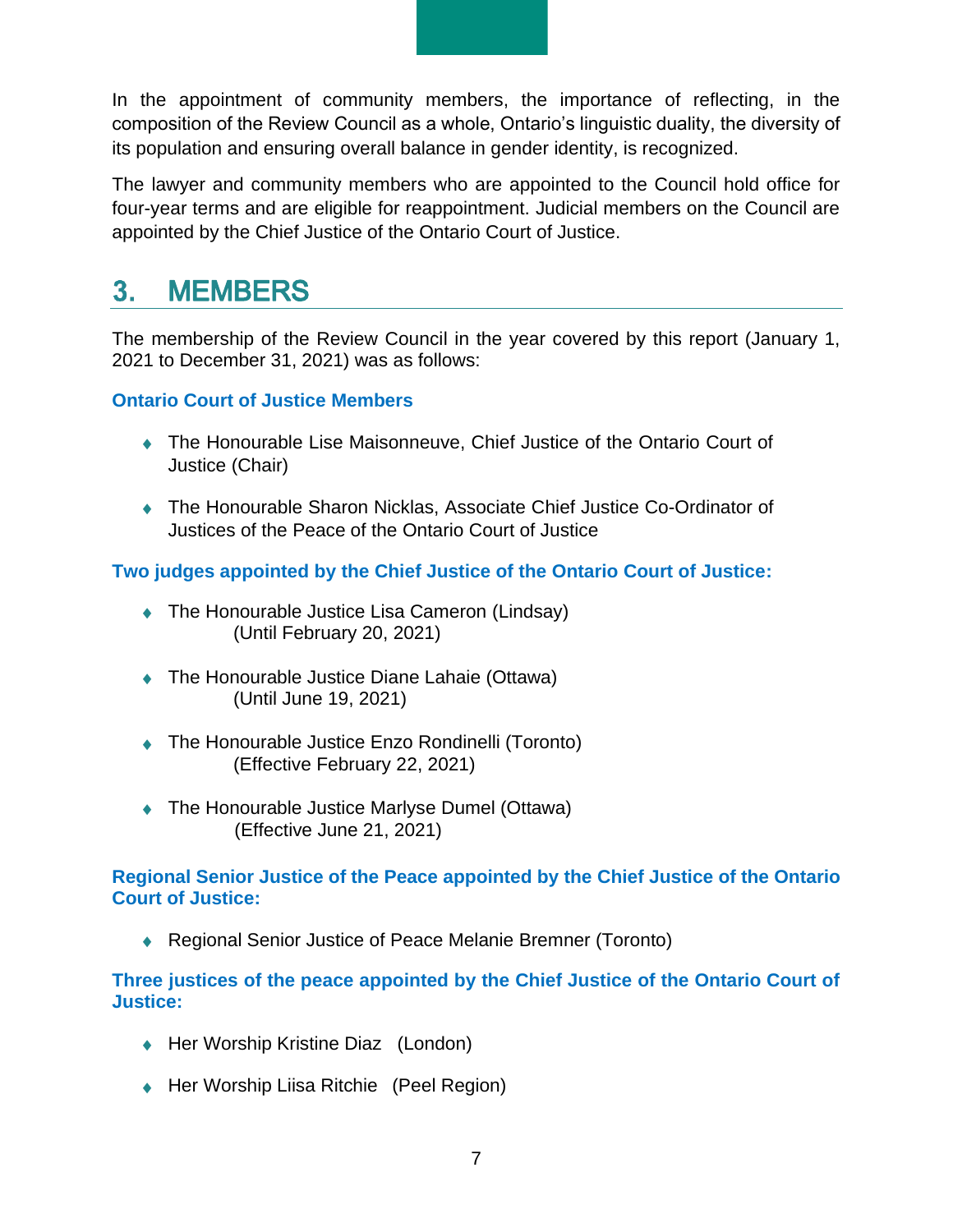In the appointment of community members, the importance of reflecting, in the composition of the Review Council as a whole, Ontario's linguistic duality, the diversity of its population and ensuring overall balance in gender identity, is recognized.

The lawyer and community members who are appointed to the Council hold office for four-year terms and are eligible for reappointment. Judicial members on the Council are appointed by the Chief Justice of the Ontario Court of Justice.

#### <span id="page-6-0"></span> $3<sub>1</sub>$ **MEMBERS**

The membership of the Review Council in the year covered by this report (January 1, 2021 to December 31, 2021) was as follows:

**Ontario Court of Justice Members**

- The Honourable Lise Maisonneuve, Chief Justice of the Ontario Court of Justice (Chair)
- The Honourable Sharon Nicklas, Associate Chief Justice Co-Ordinator of Justices of the Peace of the Ontario Court of Justice

**Two judges appointed by the Chief Justice of the Ontario Court of Justice:**

- ◆ The Honourable Justice Lisa Cameron (Lindsay) (Until February 20, 2021)
- ◆ The Honourable Justice Diane Lahaie (Ottawa) (Until June 19, 2021)
- ◆ The Honourable Justice Enzo Rondinelli (Toronto) (Effective February 22, 2021)
- ◆ The Honourable Justice Marlyse Dumel (Ottawa) (Effective June 21, 2021)

**Regional Senior Justice of the Peace appointed by the Chief Justice of the Ontario Court of Justice:**

◆ Regional Senior Justice of Peace Melanie Bremner (Toronto)

**Three justices of the peace appointed by the Chief Justice of the Ontario Court of Justice:**

- ◆ Her Worship Kristine Diaz (London)
- ◆ Her Worship Liisa Ritchie (Peel Region)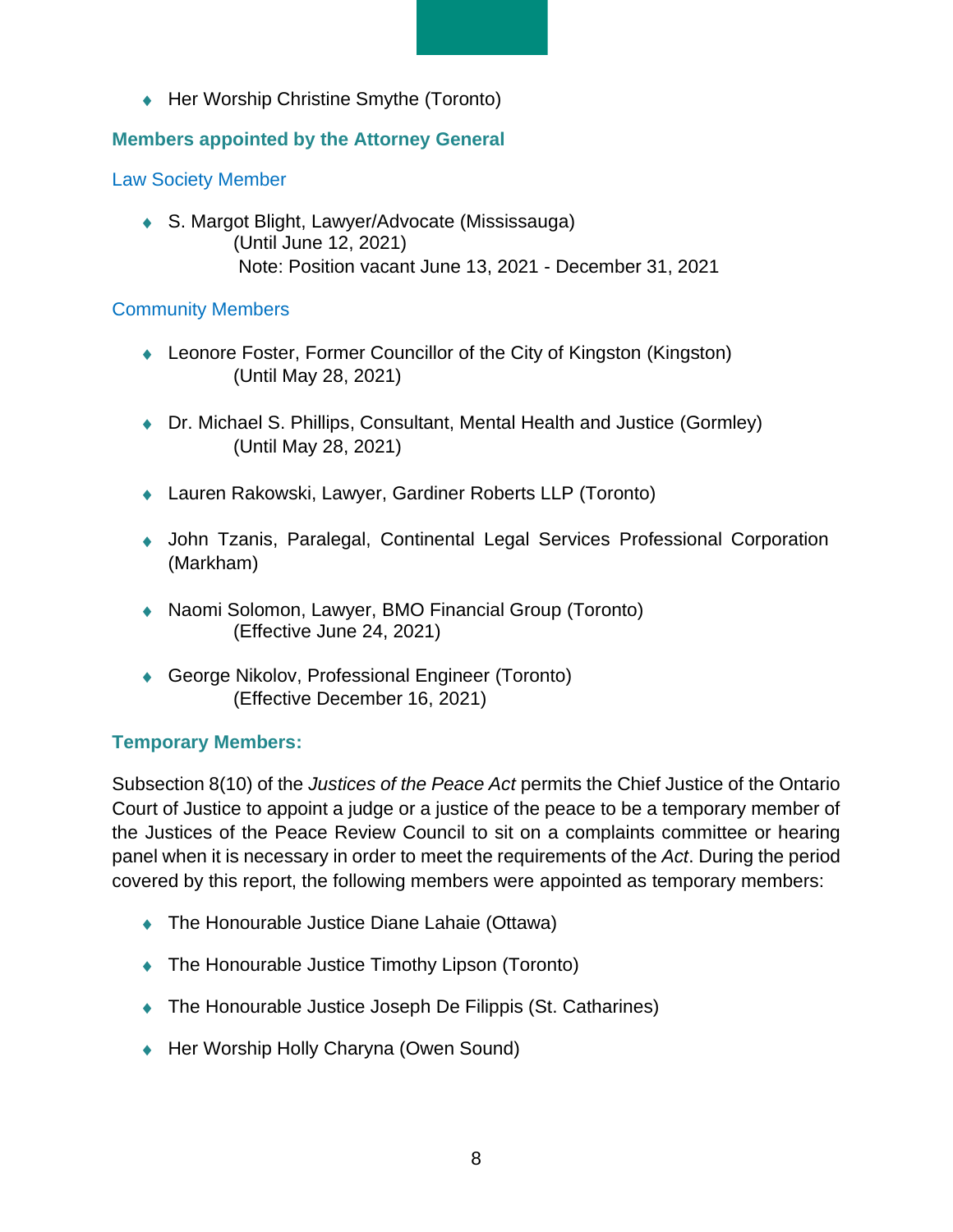◆ Her Worship Christine Smythe (Toronto)

## **Members appointed by the Attorney General**

Law Society Member

◆ S. Margot Blight, Lawyer/Advocate (Mississauga) (Until June 12, 2021) Note: Position vacant June 13, 2021 - December 31, 2021

#### Community Members

- Leonore Foster, Former Councillor of the City of Kingston (Kingston) (Until May 28, 2021)
- Dr. Michael S. Phillips, Consultant, Mental Health and Justice (Gormley) (Until May 28, 2021)
- ◆ Lauren Rakowski, Lawyer, Gardiner Roberts LLP (Toronto)
- John Tzanis, Paralegal, Continental Legal Services Professional Corporation (Markham)
- ◆ Naomi Solomon, Lawyer, BMO Financial Group (Toronto) (Effective June 24, 2021)
- ◆ George Nikolov, Professional Engineer (Toronto) (Effective December 16, 2021)

## **Temporary Members:**

Subsection 8(10) of the *Justices of the Peace Act* permits the Chief Justice of the Ontario Court of Justice to appoint a judge or a justice of the peace to be a temporary member of the Justices of the Peace Review Council to sit on a complaints committee or hearing panel when it is necessary in order to meet the requirements of the *Act*. During the period covered by this report, the following members were appointed as temporary members:

- ◆ The Honourable Justice Diane Lahaie (Ottawa)
- ◆ The Honourable Justice Timothy Lipson (Toronto)
- ◆ The Honourable Justice Joseph De Filippis (St. Catharines)
- ◆ Her Worship Holly Charyna (Owen Sound)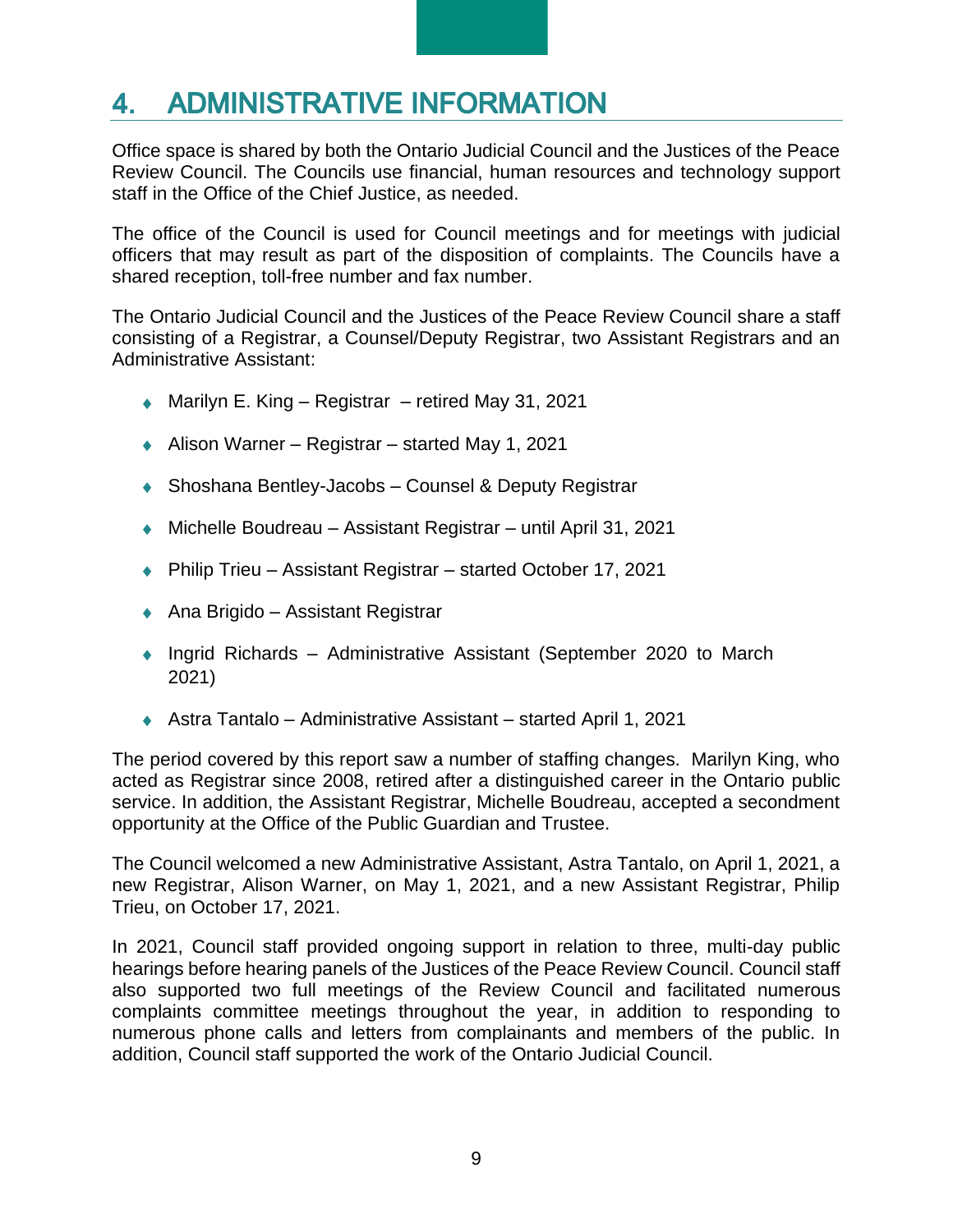#### <span id="page-8-0"></span>**ADMINISTRATIVE INFORMATION**  $\mathbf{4}_{-}$

Office space is shared by both the Ontario Judicial Council and the Justices of the Peace Review Council. The Councils use financial, human resources and technology support staff in the Office of the Chief Justice, as needed.

The office of the Council is used for Council meetings and for meetings with judicial officers that may result as part of the disposition of complaints. The Councils have a shared reception, toll-free number and fax number.

The Ontario Judicial Council and the Justices of the Peace Review Council share a staff consisting of a Registrar, a Counsel/Deputy Registrar, two Assistant Registrars and an Administrative Assistant:

- ◆ Marilyn E. King Registrar retired May 31, 2021
- Alison Warner Registrar started May 1, 2021
- ◆ Shoshana Bentley-Jacobs Counsel & Deputy Registrar
- ◆ Michelle Boudreau Assistant Registrar until April 31, 2021
- ◆ Philip Trieu Assistant Registrar started October 17, 2021
- ◆ Ana Brigido Assistant Registrar
- ◆ Ingrid Richards Administrative Assistant (September 2020 to March 2021)
- Astra Tantalo Administrative Assistant started April 1, 2021

The period covered by this report saw a number of staffing changes. Marilyn King, who acted as Registrar since 2008, retired after a distinguished career in the Ontario public service. In addition, the Assistant Registrar, Michelle Boudreau, accepted a secondment opportunity at the Office of the Public Guardian and Trustee.

The Council welcomed a new Administrative Assistant, Astra Tantalo, on April 1, 2021, a new Registrar, Alison Warner, on May 1, 2021, and a new Assistant Registrar, Philip Trieu, on October 17, 2021.

In 2021, Council staff provided ongoing support in relation to three, multi-day public hearings before hearing panels of the Justices of the Peace Review Council. Council staff also supported two full meetings of the Review Council and facilitated numerous complaints committee meetings throughout the year, in addition to responding to numerous phone calls and letters from complainants and members of the public. In addition, Council staff supported the work of the Ontario Judicial Council.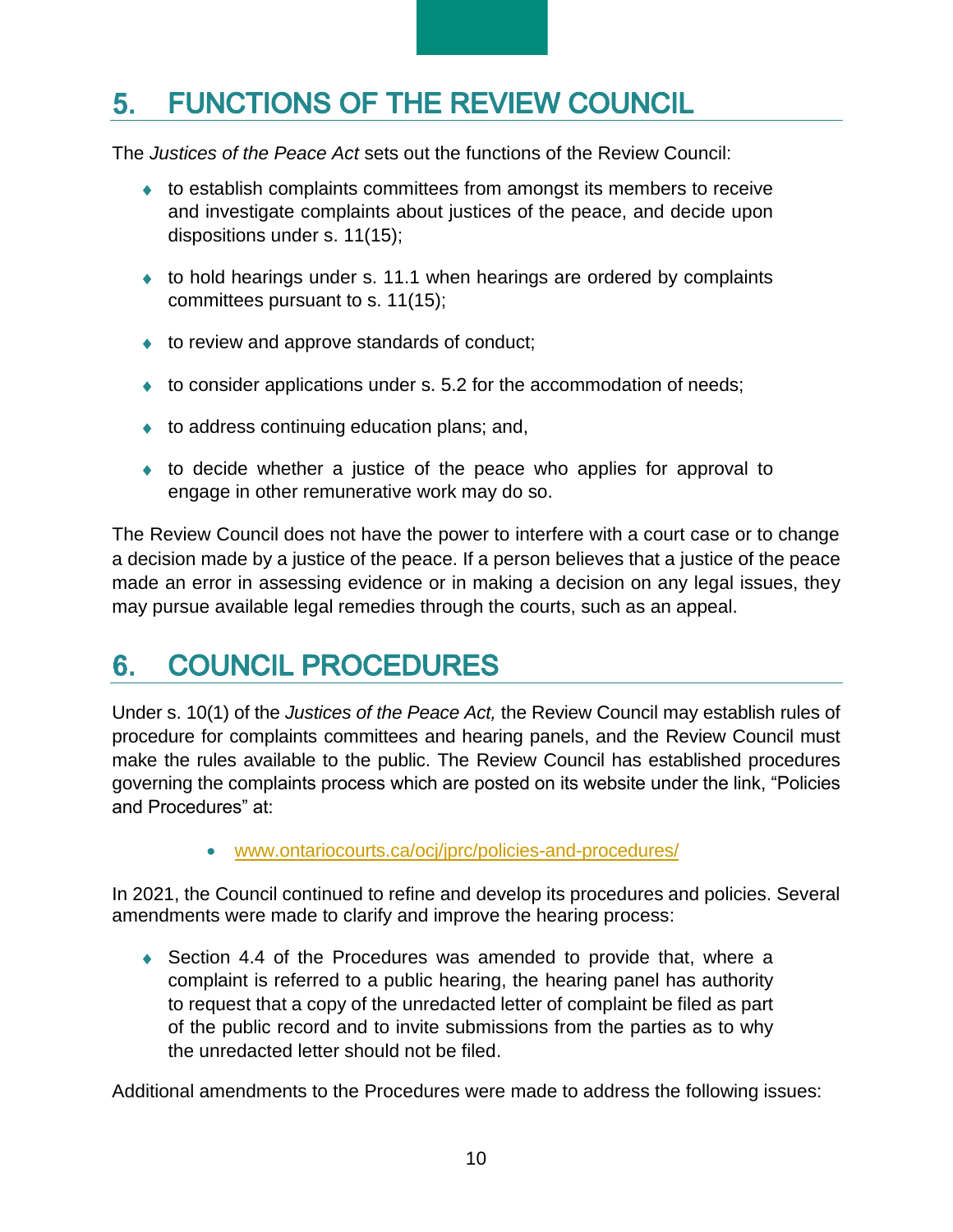#### <span id="page-9-0"></span>**FUNCTIONS OF THE REVIEW COUNCIL**  $5.$

The *Justices of the Peace Act* sets out the functions of the Review Council:

- to establish complaints committees from amongst its members to receive and investigate complaints about justices of the peace, and decide upon dispositions under s. 11(15);
- ◆ to hold hearings under s. 11.1 when hearings are ordered by complaints committees pursuant to s. 11(15);
- ◆ to review and approve standards of conduct;
- $\bullet$  to consider applications under s. 5.2 for the accommodation of needs;
- $\bullet$  to address continuing education plans; and,
- to decide whether a justice of the peace who applies for approval to engage in other remunerative work may do so.

The Review Council does not have the power to interfere with a court case or to change a decision made by a justice of the peace. If a person believes that a justice of the peace made an error in assessing evidence or in making a decision on any legal issues, they may pursue available legal remedies through the courts, such as an appeal.

#### <span id="page-9-1"></span>**COUNCIL PROCEDURES** 6.

Under s. 10(1) of the *Justices of the Peace Act,* the Review Council may establish rules of procedure for complaints committees and hearing panels, and the Review Council must make the rules available to the public. The Review Council has established procedures governing the complaints process which are posted on its website under the link, "Policies and Procedures" at:

• [www.ontariocourts.ca/ocj/jprc/policies-and-procedures/](https://www.ontariocourts.ca/ocj/jprc/policies-and-procedures/)

In 2021, the Council continued to refine and develop its procedures and policies. Several amendments were made to clarify and improve the hearing process:

◆ Section 4.4 of the Procedures was amended to provide that, where a complaint is referred to a public hearing, the hearing panel has authority to request that a copy of the unredacted letter of complaint be filed as part of the public record and to invite submissions from the parties as to why the unredacted letter should not be filed.

Additional amendments to the Procedures were made to address the following issues: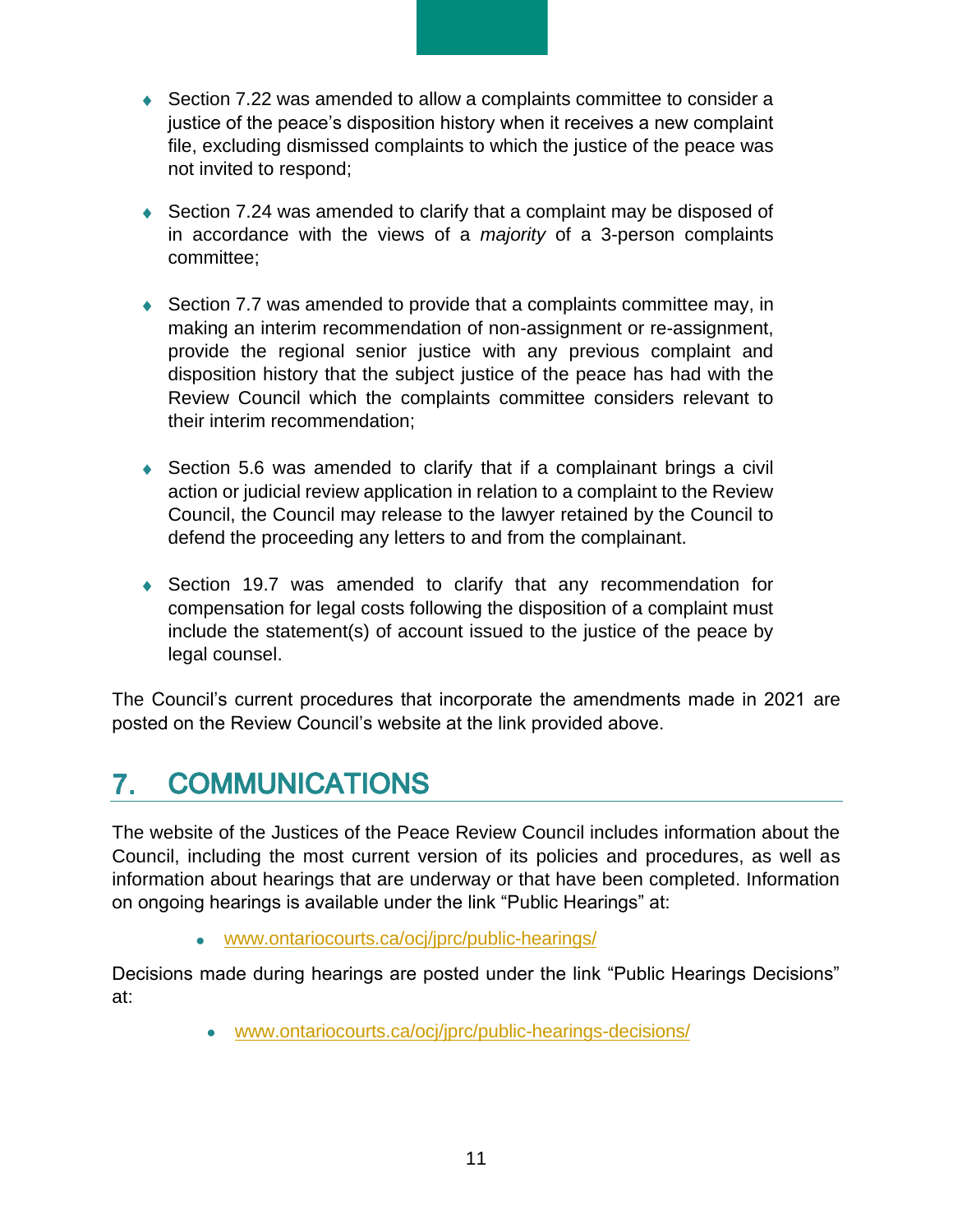- ◆ Section 7.22 was amended to allow a complaints committee to consider a justice of the peace's disposition history when it receives a new complaint file, excluding dismissed complaints to which the justice of the peace was not invited to respond;
- ◆ Section 7.24 was amended to clarify that a complaint may be disposed of in accordance with the views of a *majority* of a 3-person complaints committee;
- ◆ Section 7.7 was amended to provide that a complaints committee may, in making an interim recommendation of non-assignment or re-assignment, provide the regional senior justice with any previous complaint and disposition history that the subject justice of the peace has had with the Review Council which the complaints committee considers relevant to their interim recommendation;
- Section 5.6 was amended to clarify that if a complainant brings a civil action or judicial review application in relation to a complaint to the Review Council, the Council may release to the lawyer retained by the Council to defend the proceeding any letters to and from the complainant.
- Section 19.7 was amended to clarify that any recommendation for compensation for legal costs following the disposition of a complaint must include the statement(s) of account issued to the justice of the peace by legal counsel.

The Council's current procedures that incorporate the amendments made in 2021 are posted on the Review Council's website at the link provided above.

#### <span id="page-10-0"></span>**COMMUNICATIONS**  $7.$

The website of the Justices of the Peace Review Council includes information about the Council, including the most current version of its policies and procedures, as well as information about hearings that are underway or that have been completed. Information on ongoing hearings is available under the link "Public Hearings" at:

• [www.ontariocourts.ca/ocj/jprc/public-hearings/](https://www.ontariocourts.ca/ocj/jprc/public-hearings/)

Decisions made during hearings are posted under the link "Public Hearings Decisions" at:

• [www.ontariocourts.ca/ocj/jprc/public-hearings-decisions/](https://www.ontariocourts.ca/ocj/jprc/public-hearings-decisions/)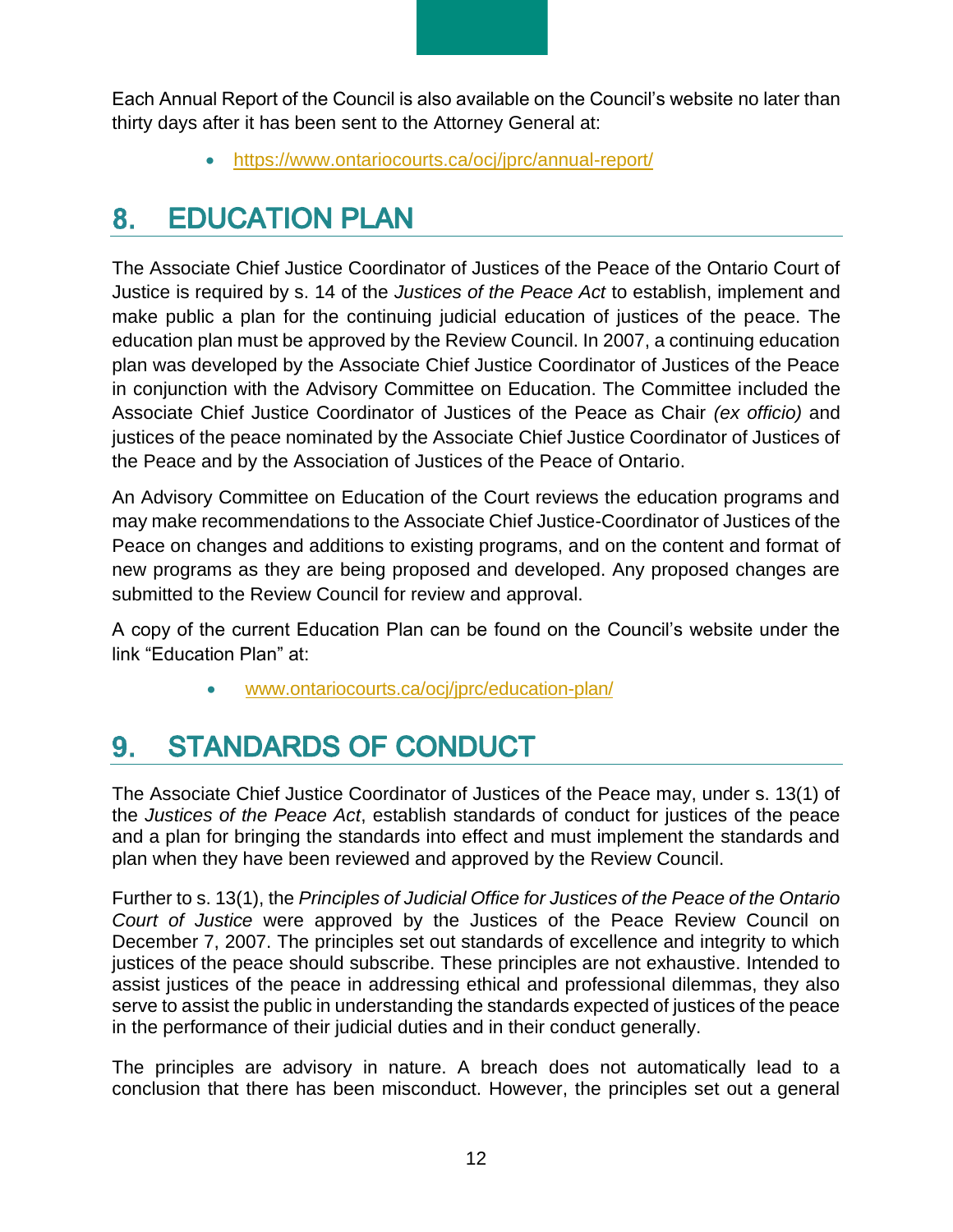Each Annual Report of the Council is also available on the Council's website no later than thirty days after it has been sent to the Attorney General at:

• <https://www.ontariocourts.ca/ocj/jprc/annual-report/>

#### <span id="page-11-0"></span>**EDUCATION PLAN**  $8.$

The Associate Chief Justice Coordinator of Justices of the Peace of the Ontario Court of Justice is required by s. 14 of the *Justices of the Peace Act* to establish, implement and make public a plan for the continuing judicial education of justices of the peace. The education plan must be approved by the Review Council. In 2007, a continuing education plan was developed by the Associate Chief Justice Coordinator of Justices of the Peace in conjunction with the Advisory Committee on Education. The Committee included the Associate Chief Justice Coordinator of Justices of the Peace as Chair *(ex officio)* and justices of the peace nominated by the Associate Chief Justice Coordinator of Justices of the Peace and by the Association of Justices of the Peace of Ontario.

An Advisory Committee on Education of the Court reviews the education programs and may make recommendations to the Associate Chief Justice-Coordinator of Justices of the Peace on changes and additions to existing programs, and on the content and format of new programs as they are being proposed and developed. Any proposed changes are submitted to the Review Council for review and approval.

A copy of the current Education Plan can be found on the Council's website under the link "Education Plan" at:

• [www.ontariocourts.ca/ocj/jprc/education-plan/](https://www.ontariocourts.ca/ocj/jprc/education-plan/)

#### <span id="page-11-1"></span>**STANDARDS OF CONDUCT** 9.

The Associate Chief Justice Coordinator of Justices of the Peace may, under s. 13(1) of the *Justices of the Peace Act*, establish standards of conduct for justices of the peace and a plan for bringing the standards into effect and must implement the standards and plan when they have been reviewed and approved by the Review Council.

Further to s. 13(1), the *Principles of Judicial Office for Justices of the Peace of the Ontario Court of Justice* were approved by the Justices of the Peace Review Council on December 7, 2007. The principles set out standards of excellence and integrity to which justices of the peace should subscribe. These principles are not exhaustive. Intended to assist justices of the peace in addressing ethical and professional dilemmas, they also serve to assist the public in understanding the standards expected of justices of the peace in the performance of their judicial duties and in their conduct generally.

The principles are advisory in nature. A breach does not automatically lead to a conclusion that there has been misconduct. However, the principles set out a general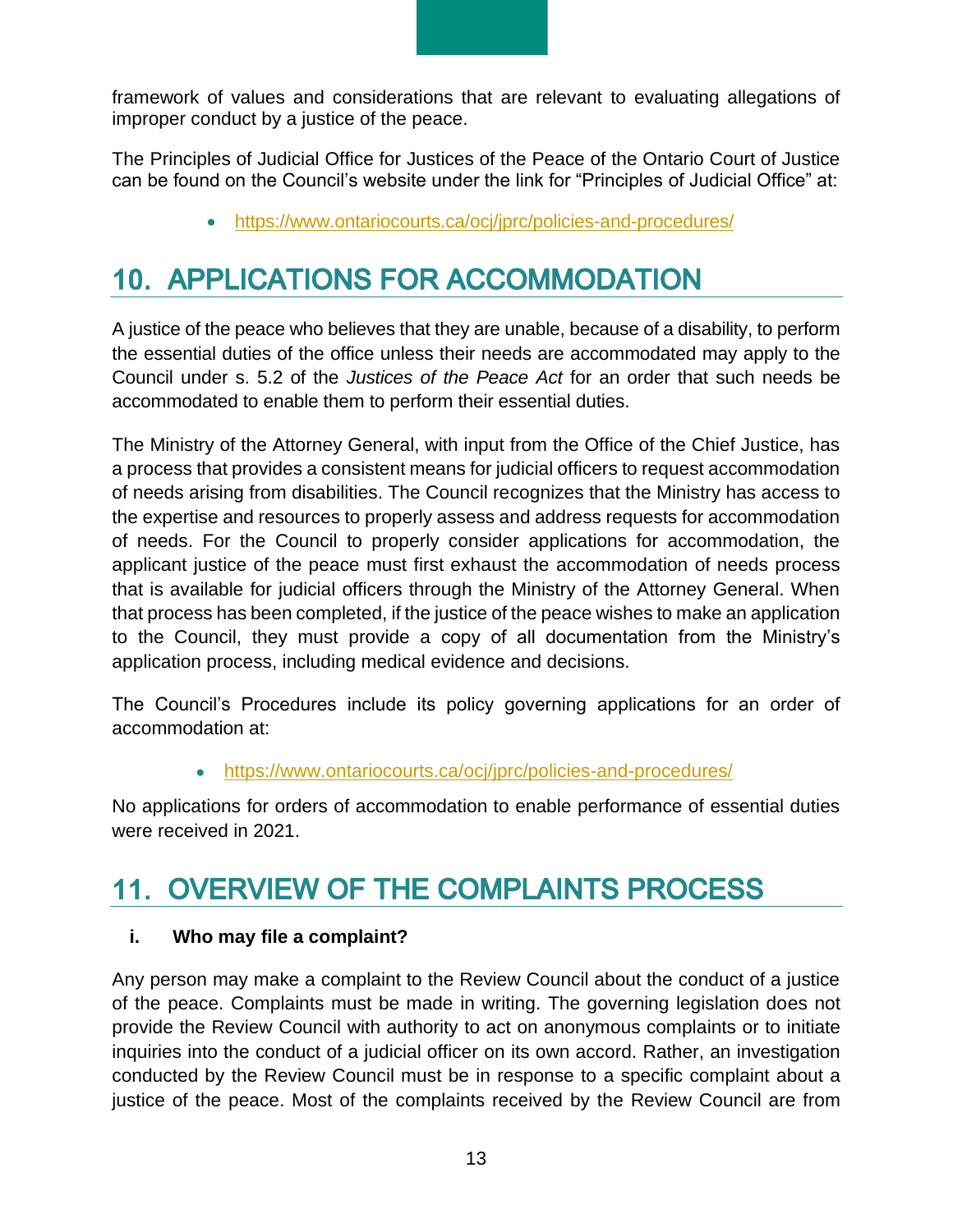framework of values and considerations that are relevant to evaluating allegations of improper conduct by a justice of the peace.

The Principles of Judicial Office for Justices of the Peace of the Ontario Court of Justice can be found on the Council's website under the link for "Principles of Judicial Office" at:

• <https://www.ontariocourts.ca/ocj/jprc/policies-and-procedures/>

# <span id="page-12-0"></span>**10. APPLICATIONS FOR ACCOMMODATION**

A justice of the peace who believes that they are unable, because of a disability, to perform the essential duties of the office unless their needs are accommodated may apply to the Council under s. 5.2 of the *Justices of the Peace Act* for an order that such needs be accommodated to enable them to perform their essential duties.

The Ministry of the Attorney General, with input from the Office of the Chief Justice, has a process that provides a consistent means for judicial officers to request accommodation of needs arising from disabilities. The Council recognizes that the Ministry has access to the expertise and resources to properly assess and address requests for accommodation of needs. For the Council to properly consider applications for accommodation, the applicant justice of the peace must first exhaust the accommodation of needs process that is available for judicial officers through the Ministry of the Attorney General. When that process has been completed, if the justice of the peace wishes to make an application to the Council, they must provide a copy of all documentation from the Ministry's application process, including medical evidence and decisions.

The Council's Procedures include its policy governing applications for an order of accommodation at:

• <https://www.ontariocourts.ca/ocj/jprc/policies-and-procedures/>

No applications for orders of accommodation to enable performance of essential duties were received in 2021.

# <span id="page-12-1"></span>11. OVERVIEW OF THE COMPLAINTS PROCESS

## <span id="page-12-2"></span>**i. Who may file a complaint?**

Any person may make a complaint to the Review Council about the conduct of a justice of the peace. Complaints must be made in writing. The governing legislation does not provide the Review Council with authority to act on anonymous complaints or to initiate inquiries into the conduct of a judicial officer on its own accord. Rather, an investigation conducted by the Review Council must be in response to a specific complaint about a justice of the peace. Most of the complaints received by the Review Council are from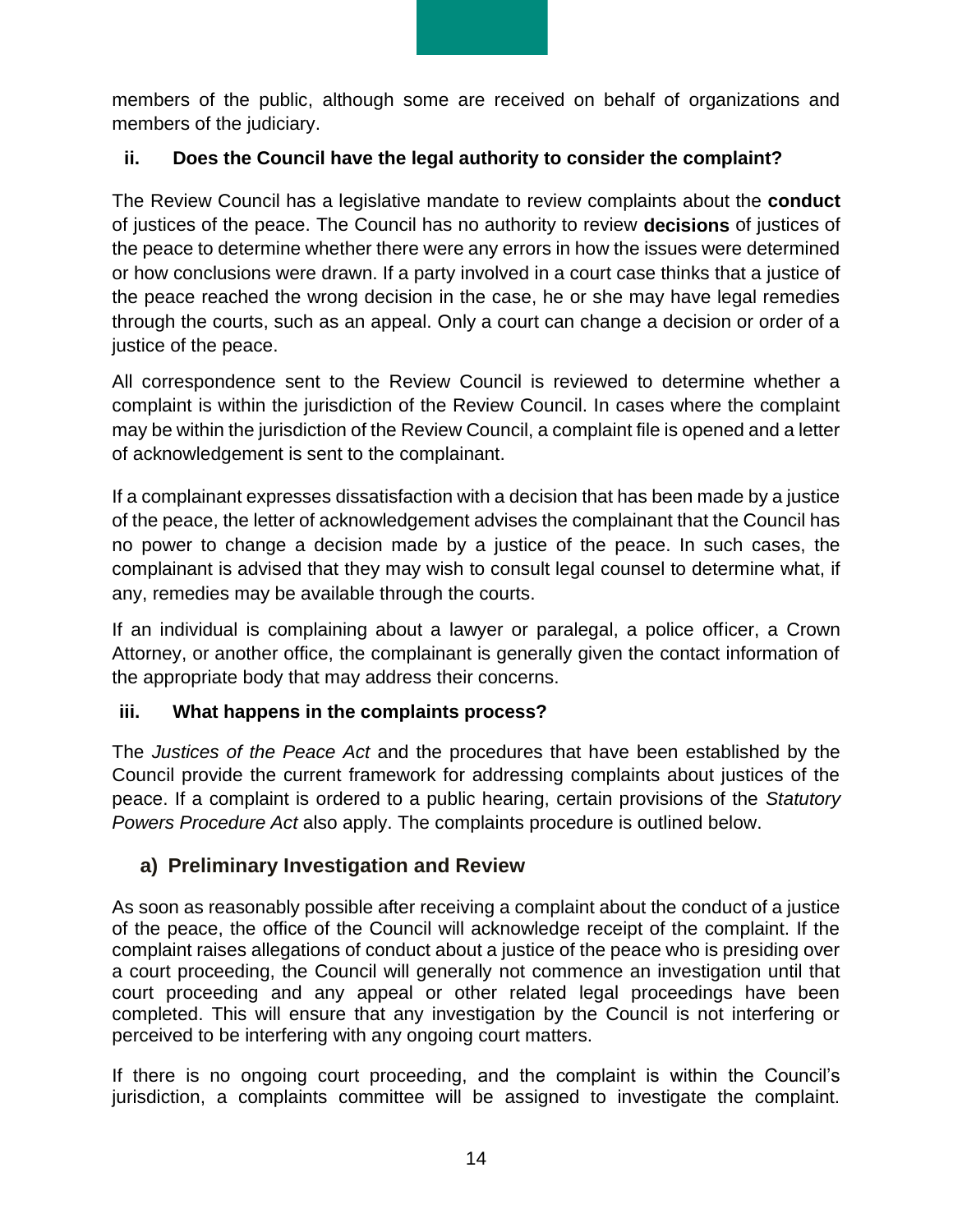members of the public, although some are received on behalf of organizations and members of the judiciary.

## <span id="page-13-0"></span>**ii. Does the Council have the legal authority to consider the complaint?**

The Review Council has a legislative mandate to review complaints about the **conduct** of justices of the peace. The Council has no authority to review **decisions** of justices of the peace to determine whether there were any errors in how the issues were determined or how conclusions were drawn. If a party involved in a court case thinks that a justice of the peace reached the wrong decision in the case, he or she may have legal remedies through the courts, such as an appeal. Only a court can change a decision or order of a justice of the peace.

All correspondence sent to the Review Council is reviewed to determine whether a complaint is within the jurisdiction of the Review Council. In cases where the complaint may be within the jurisdiction of the Review Council, a complaint file is opened and a letter of acknowledgement is sent to the complainant.

If a complainant expresses dissatisfaction with a decision that has been made by a justice of the peace, the letter of acknowledgement advises the complainant that the Council has no power to change a decision made by a justice of the peace. In such cases, the complainant is advised that they may wish to consult legal counsel to determine what, if any, remedies may be available through the courts.

If an individual is complaining about a lawyer or paralegal, a police officer, a Crown Attorney, or another office, the complainant is generally given the contact information of the appropriate body that may address their concerns.

## <span id="page-13-1"></span>**iii. What happens in the complaints process?**

The *Justices of the Peace Act* and the procedures that have been established by the Council provide the current framework for addressing complaints about justices of the peace. If a complaint is ordered to a public hearing, certain provisions of the *Statutory Powers Procedure Act* also apply. The complaints procedure is outlined below.

## <span id="page-13-2"></span>**a) Preliminary Investigation and Review**

As soon as reasonably possible after receiving a complaint about the conduct of a justice of the peace, the office of the Council will acknowledge receipt of the complaint. If the complaint raises allegations of conduct about a justice of the peace who is presiding over a court proceeding, the Council will generally not commence an investigation until that court proceeding and any appeal or other related legal proceedings have been completed. This will ensure that any investigation by the Council is not interfering or perceived to be interfering with any ongoing court matters.

If there is no ongoing court proceeding, and the complaint is within the Council's jurisdiction, a complaints committee will be assigned to investigate the complaint.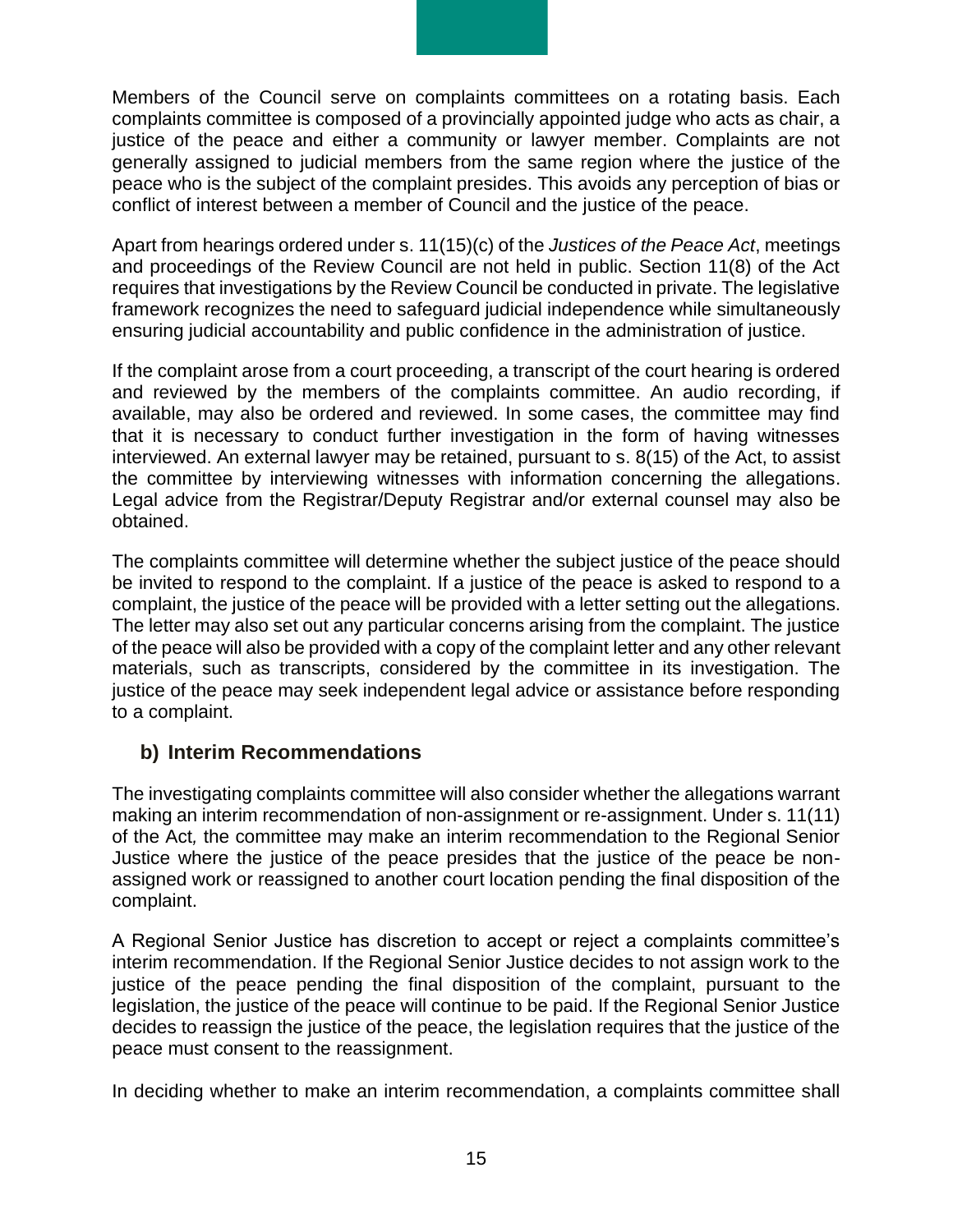Members of the Council serve on complaints committees on a rotating basis. Each complaints committee is composed of a provincially appointed judge who acts as chair, a justice of the peace and either a community or lawyer member. Complaints are not generally assigned to judicial members from the same region where the justice of the peace who is the subject of the complaint presides. This avoids any perception of bias or conflict of interest between a member of Council and the justice of the peace.

Apart from hearings ordered under s. 11(15)(c) of the *Justices of the Peace Act*, meetings and proceedings of the Review Council are not held in public. Section 11(8) of the Act requires that investigations by the Review Council be conducted in private. The legislative framework recognizes the need to safeguard judicial independence while simultaneously ensuring judicial accountability and public confidence in the administration of justice.

If the complaint arose from a court proceeding, a transcript of the court hearing is ordered and reviewed by the members of the complaints committee. An audio recording, if available, may also be ordered and reviewed. In some cases, the committee may find that it is necessary to conduct further investigation in the form of having witnesses interviewed. An external lawyer may be retained, pursuant to s. 8(15) of the Act, to assist the committee by interviewing witnesses with information concerning the allegations. Legal advice from the Registrar/Deputy Registrar and/or external counsel may also be obtained.

The complaints committee will determine whether the subject justice of the peace should be invited to respond to the complaint. If a justice of the peace is asked to respond to a complaint, the justice of the peace will be provided with a letter setting out the allegations. The letter may also set out any particular concerns arising from the complaint. The justice of the peace will also be provided with a copy of the complaint letter and any other relevant materials, such as transcripts, considered by the committee in its investigation. The justice of the peace may seek independent legal advice or assistance before responding to a complaint.

#### <span id="page-14-0"></span>**b) Interim Recommendations**

The investigating complaints committee will also consider whether the allegations warrant making an interim recommendation of non-assignment or re-assignment. Under s. 11(11) of the Act*,* the committee may make an interim recommendation to the Regional Senior Justice where the justice of the peace presides that the justice of the peace be nonassigned work or reassigned to another court location pending the final disposition of the complaint.

A Regional Senior Justice has discretion to accept or reject a complaints committee's interim recommendation. If the Regional Senior Justice decides to not assign work to the justice of the peace pending the final disposition of the complaint, pursuant to the legislation, the justice of the peace will continue to be paid. If the Regional Senior Justice decides to reassign the justice of the peace, the legislation requires that the justice of the peace must consent to the reassignment.

In deciding whether to make an interim recommendation, a complaints committee shall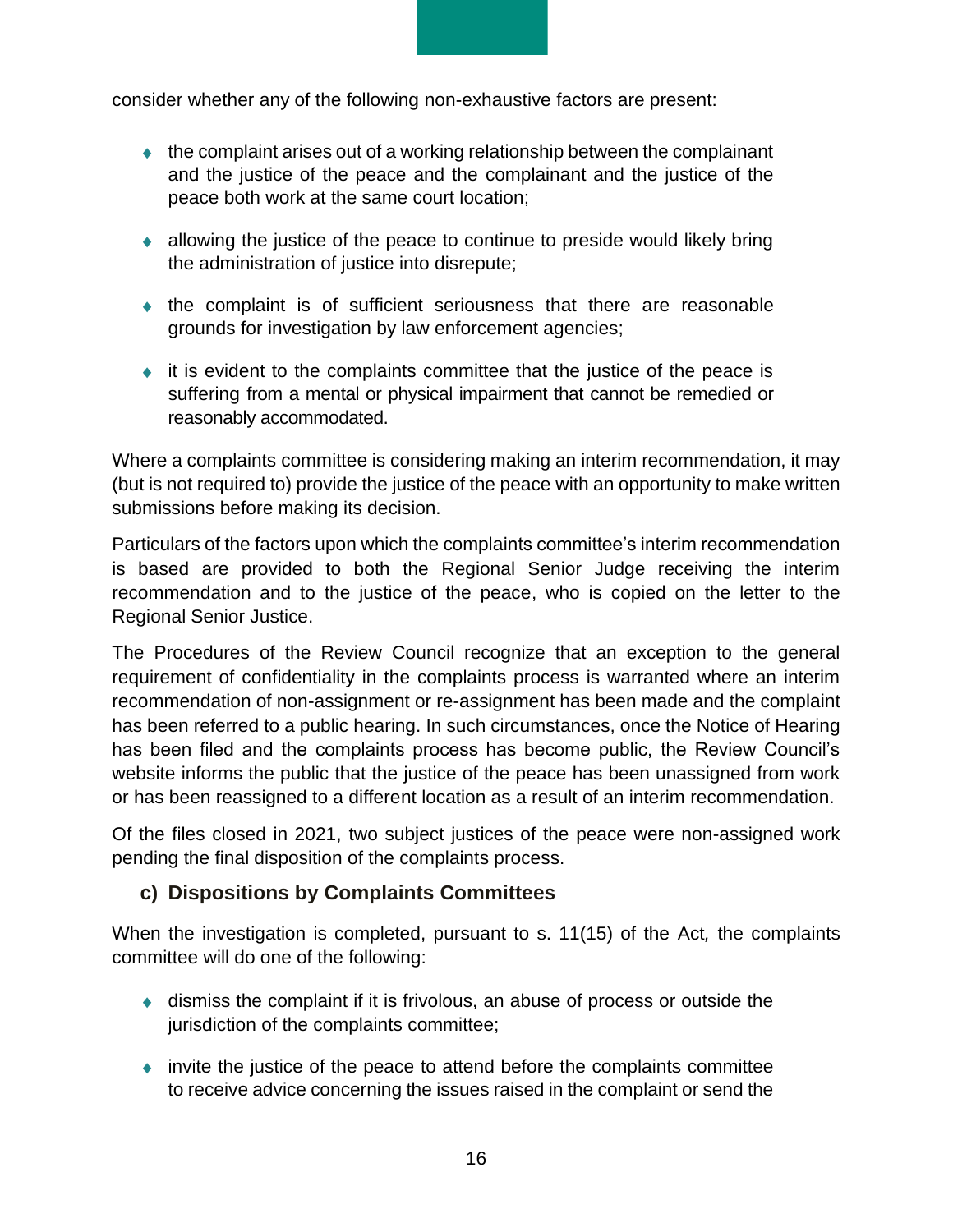consider whether any of the following non-exhaustive factors are present:

- $\bullet$  the complaint arises out of a working relationship between the complainant and the justice of the peace and the complainant and the justice of the peace both work at the same court location;
- allowing the justice of the peace to continue to preside would likely bring the administration of justice into disrepute;
- the complaint is of sufficient seriousness that there are reasonable grounds for investigation by law enforcement agencies;
- $\bullet$  it is evident to the complaints committee that the justice of the peace is suffering from a mental or physical impairment that cannot be remedied or reasonably accommodated.

Where a complaints committee is considering making an interim recommendation, it may (but is not required to) provide the justice of the peace with an opportunity to make written submissions before making its decision.

Particulars of the factors upon which the complaints committee's interim recommendation is based are provided to both the Regional Senior Judge receiving the interim recommendation and to the justice of the peace, who is copied on the letter to the Regional Senior Justice.

The Procedures of the Review Council recognize that an exception to the general requirement of confidentiality in the complaints process is warranted where an interim recommendation of non-assignment or re-assignment has been made and the complaint has been referred to a public hearing. In such circumstances, once the Notice of Hearing has been filed and the complaints process has become public, the Review Council's website informs the public that the justice of the peace has been unassigned from work or has been reassigned to a different location as a result of an interim recommendation.

Of the files closed in 2021, two subject justices of the peace were non-assigned work pending the final disposition of the complaints process.

## <span id="page-15-0"></span>**c) Dispositions by Complaints Committees**

When the investigation is completed, pursuant to s. 11(15) of the Act*,* the complaints committee will do one of the following:

- dismiss the complaint if it is frivolous, an abuse of process or outside the jurisdiction of the complaints committee;
- invite the justice of the peace to attend before the complaints committee to receive advice concerning the issues raised in the complaint or send the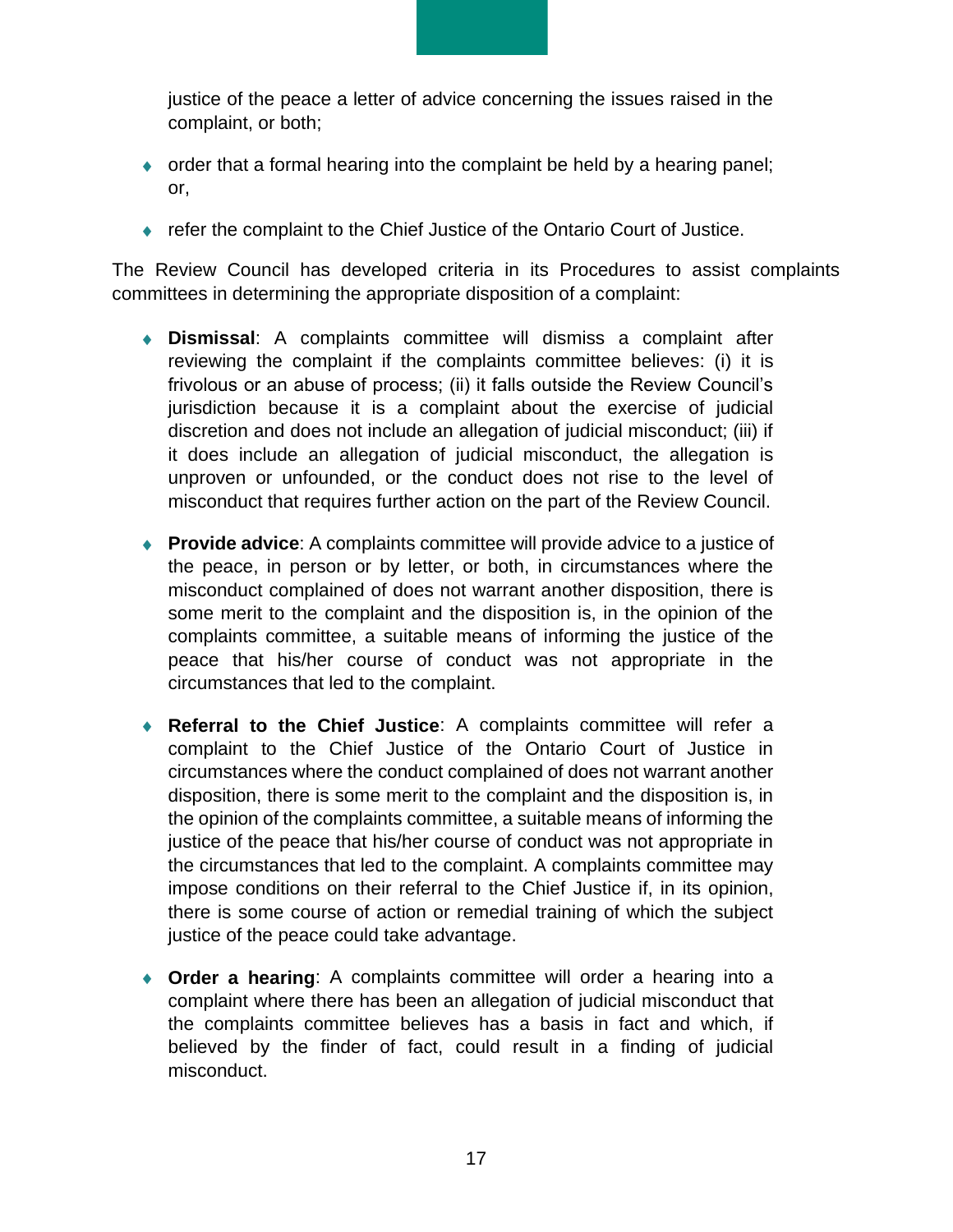justice of the peace a letter of advice concerning the issues raised in the complaint, or both;

- order that a formal hearing into the complaint be held by a hearing panel; or,
- ◆ refer the complaint to the Chief Justice of the Ontario Court of Justice.

The Review Council has developed criteria in its Procedures to assist complaints committees in determining the appropriate disposition of a complaint:

- **Dismissal**: A complaints committee will dismiss a complaint after reviewing the complaint if the complaints committee believes: (i) it is frivolous or an abuse of process; (ii) it falls outside the Review Council's jurisdiction because it is a complaint about the exercise of judicial discretion and does not include an allegation of judicial misconduct; (iii) if it does include an allegation of judicial misconduct, the allegation is unproven or unfounded, or the conduct does not rise to the level of misconduct that requires further action on the part of the Review Council.
- **Provide advice**: A complaints committee will provide advice to a justice of the peace, in person or by letter, or both, in circumstances where the misconduct complained of does not warrant another disposition, there is some merit to the complaint and the disposition is, in the opinion of the complaints committee, a suitable means of informing the justice of the peace that his/her course of conduct was not appropriate in the circumstances that led to the complaint.
- **Referral to the Chief Justice**: A complaints committee will refer a complaint to the Chief Justice of the Ontario Court of Justice in circumstances where the conduct complained of does not warrant another disposition, there is some merit to the complaint and the disposition is, in the opinion of the complaints committee, a suitable means of informing the justice of the peace that his/her course of conduct was not appropriate in the circumstances that led to the complaint. A complaints committee may impose conditions on their referral to the Chief Justice if, in its opinion, there is some course of action or remedial training of which the subject justice of the peace could take advantage.
- **Order a hearing**: A complaints committee will order a hearing into a complaint where there has been an allegation of judicial misconduct that the complaints committee believes has a basis in fact and which, if believed by the finder of fact, could result in a finding of judicial misconduct.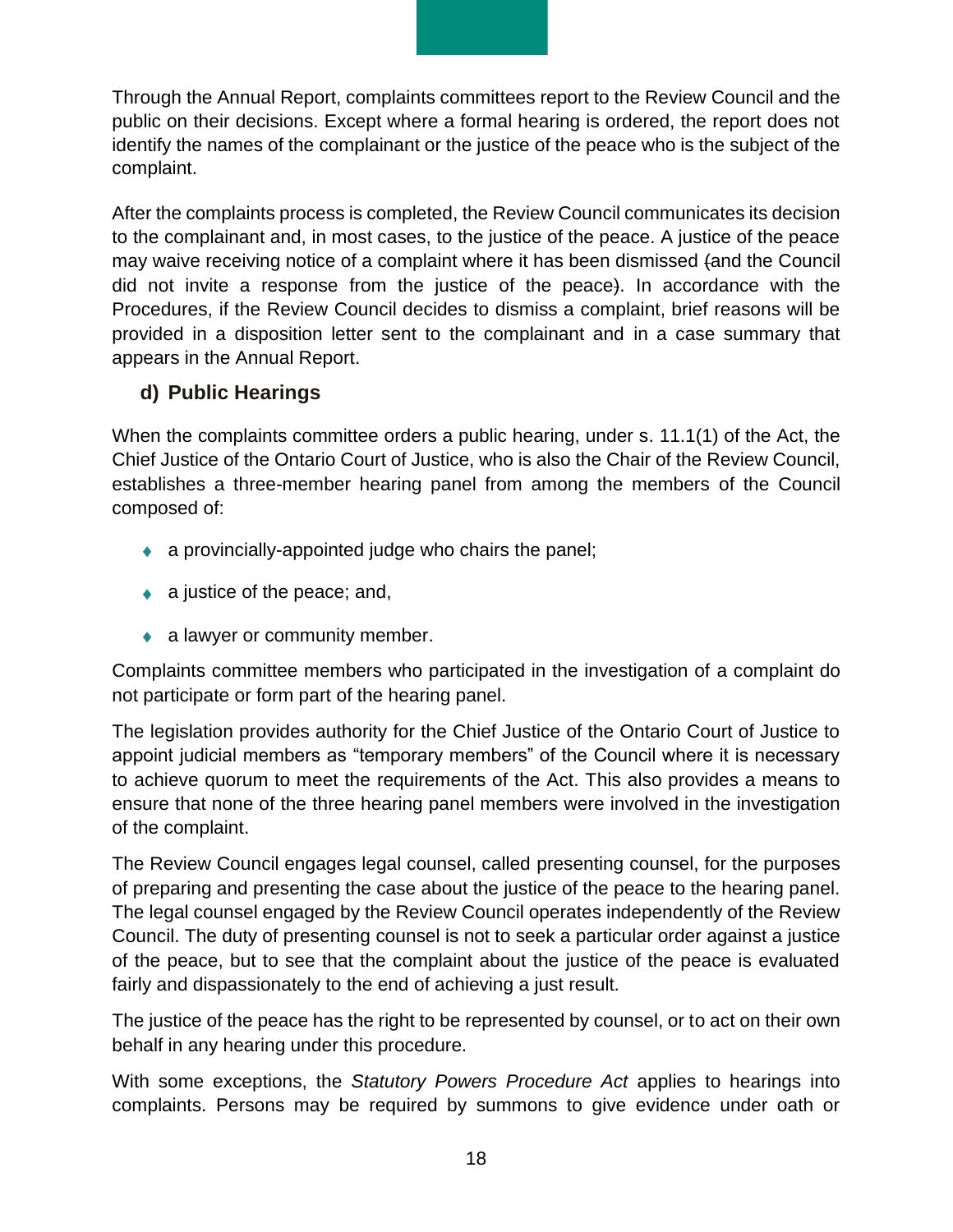Through the Annual Report, complaints committees report to the Review Council and the public on their decisions. Except where a formal hearing is ordered, the report does not identify the names of the complainant or the justice of the peace who is the subject of the complaint.

After the complaints process is completed, the Review Council communicates its decision to the complainant and, in most cases, to the justice of the peace. A justice of the peace may waive receiving notice of a complaint where it has been dismissed (and the Council did not invite a response from the justice of the peace). In accordance with the Procedures, if the Review Council decides to dismiss a complaint, brief reasons will be provided in a disposition letter sent to the complainant and in a case summary that appears in the Annual Report.

## <span id="page-17-0"></span>**d) Public Hearings**

When the complaints committee orders a public hearing, under s. 11.1(1) of the Act, the Chief Justice of the Ontario Court of Justice, who is also the Chair of the Review Council, establishes a three-member hearing panel from among the members of the Council composed of:

- a provincially-appointed judge who chairs the panel;
- $\bullet$  a justice of the peace; and,
- a lawyer or community member.

Complaints committee members who participated in the investigation of a complaint do not participate or form part of the hearing panel.

The legislation provides authority for the Chief Justice of the Ontario Court of Justice to appoint judicial members as "temporary members" of the Council where it is necessary to achieve quorum to meet the requirements of the Act. This also provides a means to ensure that none of the three hearing panel members were involved in the investigation of the complaint.

The Review Council engages legal counsel, called presenting counsel, for the purposes of preparing and presenting the case about the justice of the peace to the hearing panel. The legal counsel engaged by the Review Council operates independently of the Review Council. The duty of presenting counsel is not to seek a particular order against a justice of the peace, but to see that the complaint about the justice of the peace is evaluated fairly and dispassionately to the end of achieving a just result.

The justice of the peace has the right to be represented by counsel, or to act on their own behalf in any hearing under this procedure.

With some exceptions, the *Statutory Powers Procedure Act* applies to hearings into complaints. Persons may be required by summons to give evidence under oath or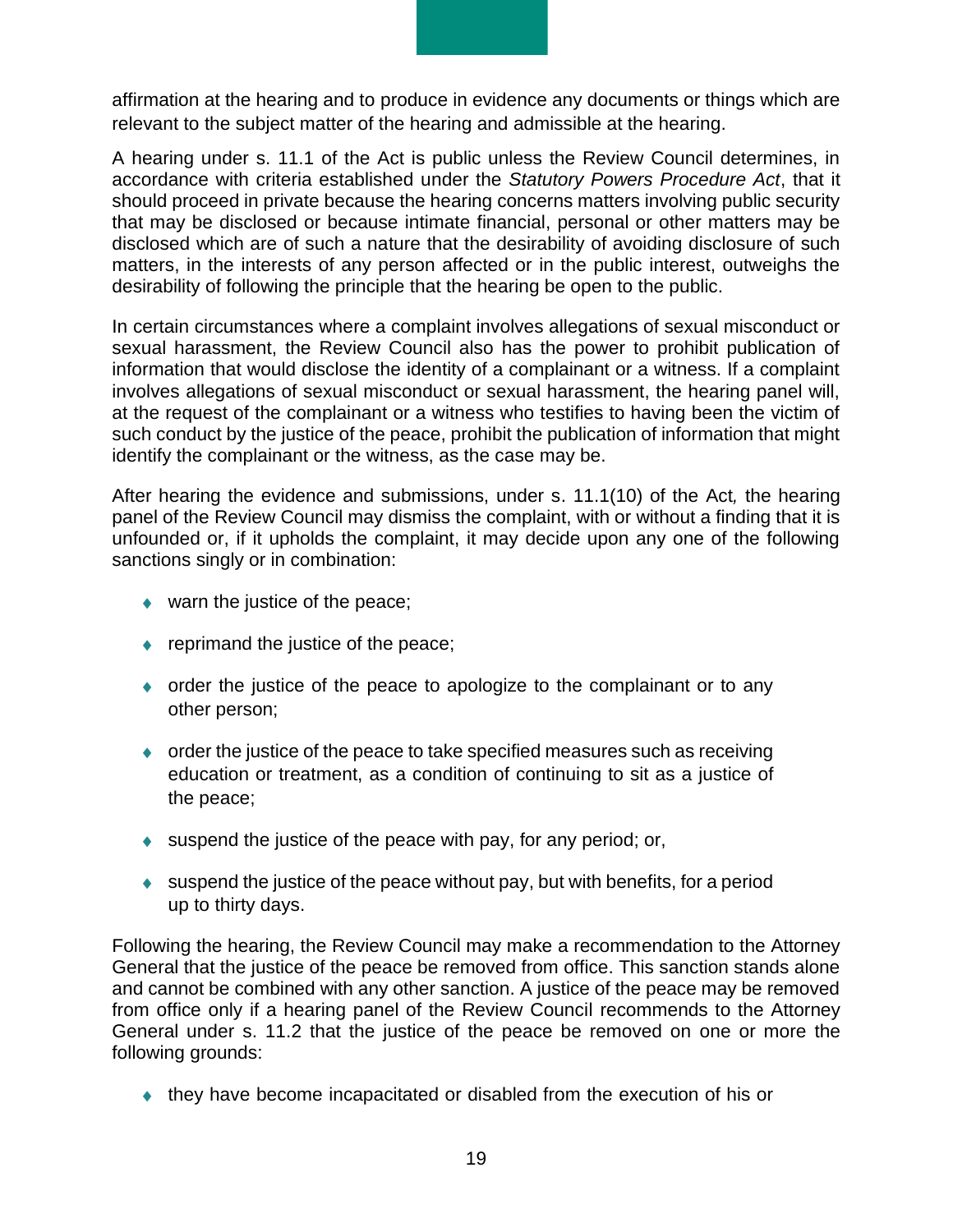affirmation at the hearing and to produce in evidence any documents or things which are relevant to the subject matter of the hearing and admissible at the hearing.

A hearing under s. 11.1 of the Act is public unless the Review Council determines, in accordance with criteria established under the *Statutory Powers Procedure Act*, that it should proceed in private because the hearing concerns matters involving public security that may be disclosed or because intimate financial, personal or other matters may be disclosed which are of such a nature that the desirability of avoiding disclosure of such matters, in the interests of any person affected or in the public interest, outweighs the desirability of following the principle that the hearing be open to the public.

In certain circumstances where a complaint involves allegations of sexual misconduct or sexual harassment, the Review Council also has the power to prohibit publication of information that would disclose the identity of a complainant or a witness. If a complaint involves allegations of sexual misconduct or sexual harassment, the hearing panel will, at the request of the complainant or a witness who testifies to having been the victim of such conduct by the justice of the peace, prohibit the publication of information that might identify the complainant or the witness, as the case may be.

After hearing the evidence and submissions, under s. 11.1(10) of the Act*,* the hearing panel of the Review Council may dismiss the complaint, with or without a finding that it is unfounded or, if it upholds the complaint, it may decide upon any one of the following sanctions singly or in combination:

- ◆ warn the justice of the peace;
- ◆ reprimand the justice of the peace;
- order the justice of the peace to apologize to the complainant or to any other person;
- order the justice of the peace to take specified measures such as receiving education or treatment, as a condition of continuing to sit as a justice of the peace;
- $\bullet$  suspend the justice of the peace with pay, for any period; or,
- $\bullet$  suspend the justice of the peace without pay, but with benefits, for a period up to thirty days.

Following the hearing, the Review Council may make a recommendation to the Attorney General that the justice of the peace be removed from office. This sanction stands alone and cannot be combined with any other sanction. A justice of the peace may be removed from office only if a hearing panel of the Review Council recommends to the Attorney General under s. 11.2 that the justice of the peace be removed on one or more the following grounds:

they have become incapacitated or disabled from the execution of his or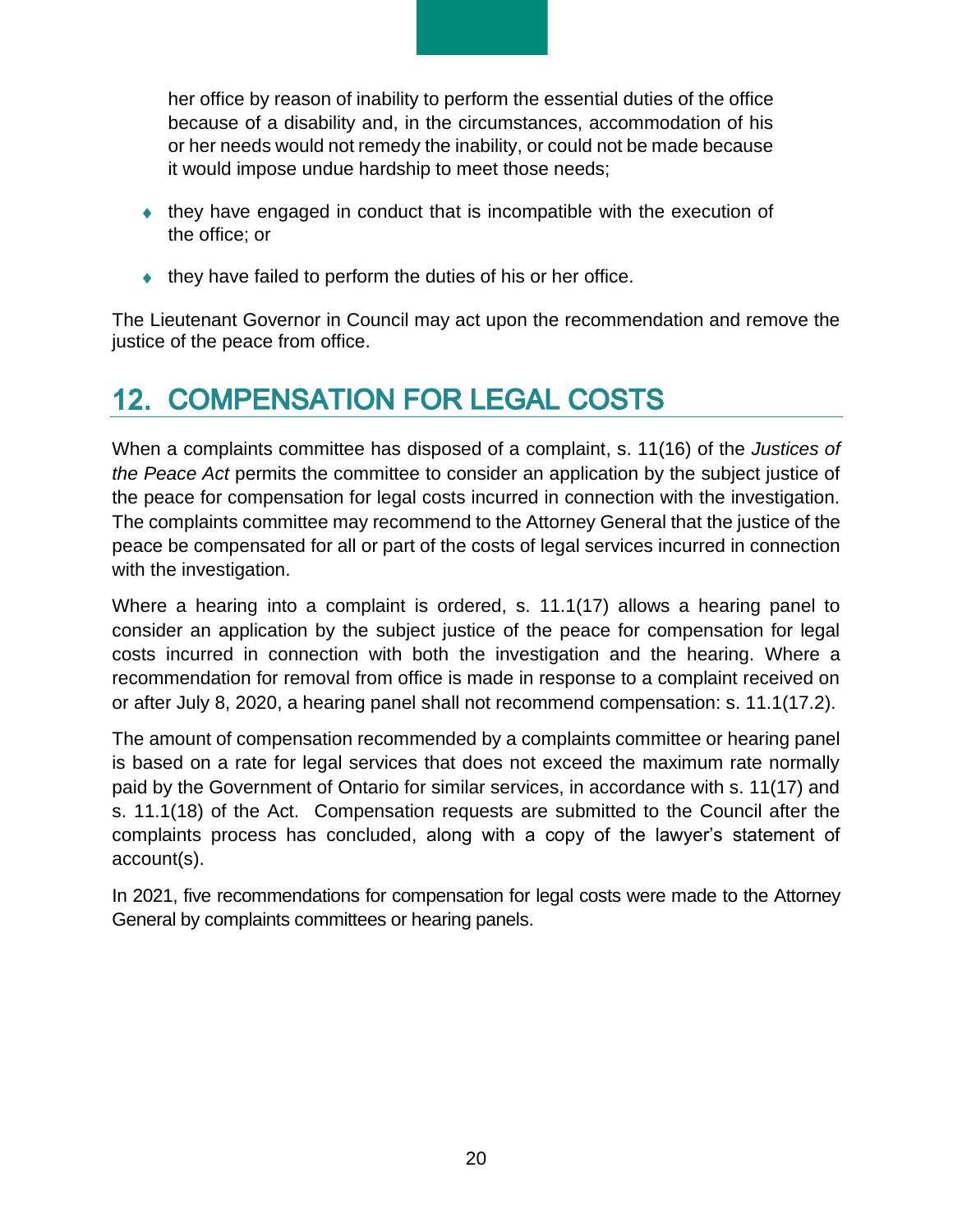her office by reason of inability to perform the essential duties of the office because of a disability and, in the circumstances, accommodation of his or her needs would not remedy the inability, or could not be made because it would impose undue hardship to meet those needs;

- they have engaged in conduct that is incompatible with the execution of the office; or
- $\bullet$  they have failed to perform the duties of his or her office.

The Lieutenant Governor in Council may act upon the recommendation and remove the justice of the peace from office.

# <span id="page-19-0"></span>**12. COMPENSATION FOR LEGAL COSTS**

When a complaints committee has disposed of a complaint, s. 11(16) of the *Justices of the Peace Act* permits the committee to consider an application by the subject justice of the peace for compensation for legal costs incurred in connection with the investigation. The complaints committee may recommend to the Attorney General that the justice of the peace be compensated for all or part of the costs of legal services incurred in connection with the investigation.

Where a hearing into a complaint is ordered, s. 11.1(17) allows a hearing panel to consider an application by the subject justice of the peace for compensation for legal costs incurred in connection with both the investigation and the hearing. Where a recommendation for removal from office is made in response to a complaint received on or after July 8, 2020, a hearing panel shall not recommend compensation: s. 11.1(17.2).

The amount of compensation recommended by a complaints committee or hearing panel is based on a rate for legal services that does not exceed the maximum rate normally paid by the Government of Ontario for similar services, in accordance with s. 11(17) and s. 11.1(18) of the Act. Compensation requests are submitted to the Council after the complaints process has concluded, along with a copy of the lawyer's statement of account(s).

<span id="page-19-1"></span>In 2021, five recommendations for compensation for legal costs were made to the Attorney General by complaints committees or hearing panels.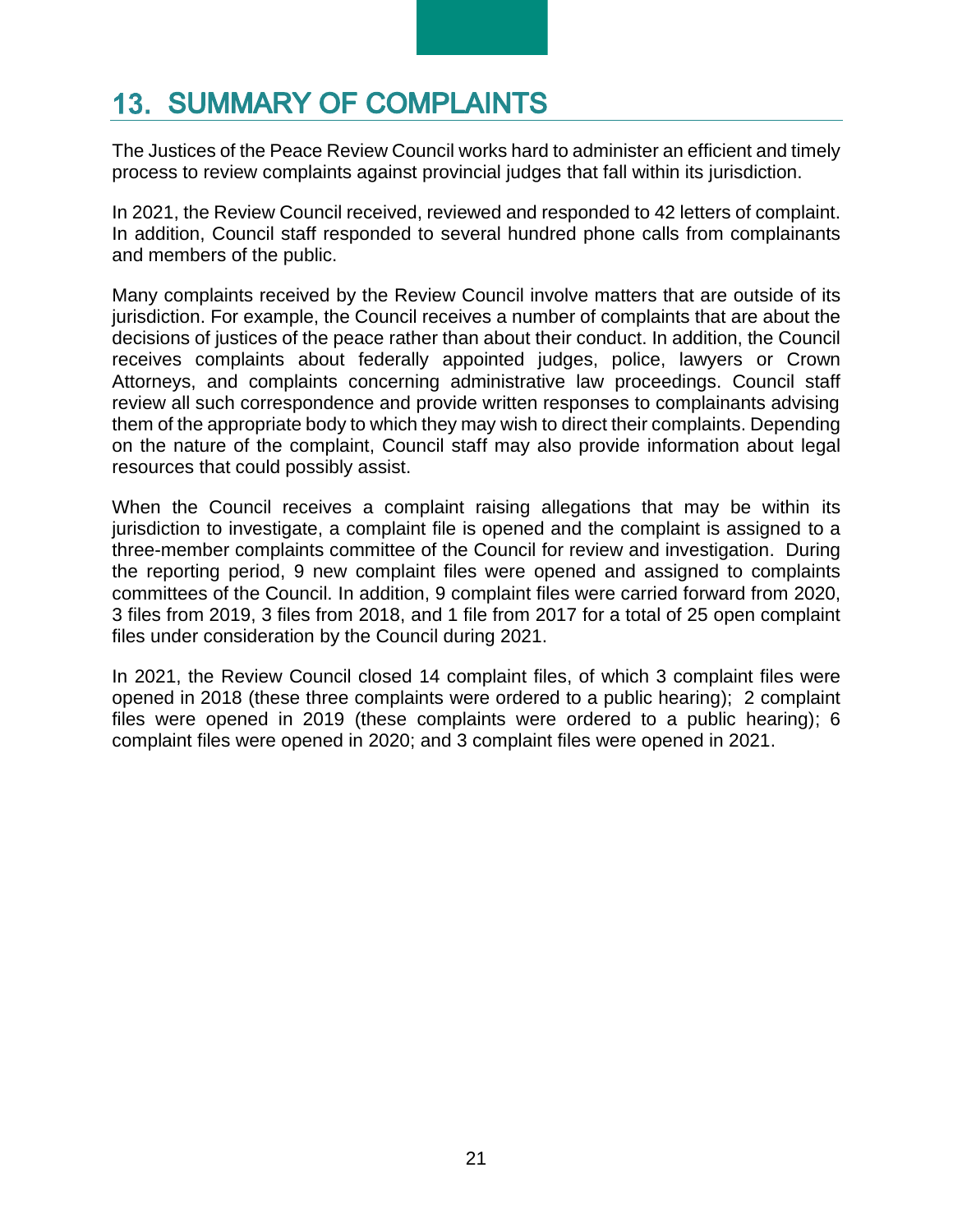# **13. SUMMARY OF COMPLAINTS**

The Justices of the Peace Review Council works hard to administer an efficient and timely process to review complaints against provincial judges that fall within its jurisdiction.

In 2021, the Review Council received, reviewed and responded to 42 letters of complaint. In addition, Council staff responded to several hundred phone calls from complainants and members of the public.

Many complaints received by the Review Council involve matters that are outside of its jurisdiction. For example, the Council receives a number of complaints that are about the decisions of justices of the peace rather than about their conduct. In addition, the Council receives complaints about federally appointed judges, police, lawyers or Crown Attorneys, and complaints concerning administrative law proceedings. Council staff review all such correspondence and provide written responses to complainants advising them of the appropriate body to which they may wish to direct their complaints. Depending on the nature of the complaint, Council staff may also provide information about legal resources that could possibly assist.

When the Council receives a complaint raising allegations that may be within its jurisdiction to investigate, a complaint file is opened and the complaint is assigned to a three-member complaints committee of the Council for review and investigation. During the reporting period, 9 new complaint files were opened and assigned to complaints committees of the Council. In addition, 9 complaint files were carried forward from 2020, 3 files from 2019, 3 files from 2018, and 1 file from 2017 for a total of 25 open complaint files under consideration by the Council during 2021.

In 2021, the Review Council closed 14 complaint files, of which 3 complaint files were opened in 2018 (these three complaints were ordered to a public hearing); 2 complaint files were opened in 2019 (these complaints were ordered to a public hearing); 6 complaint files were opened in 2020; and 3 complaint files were opened in 2021.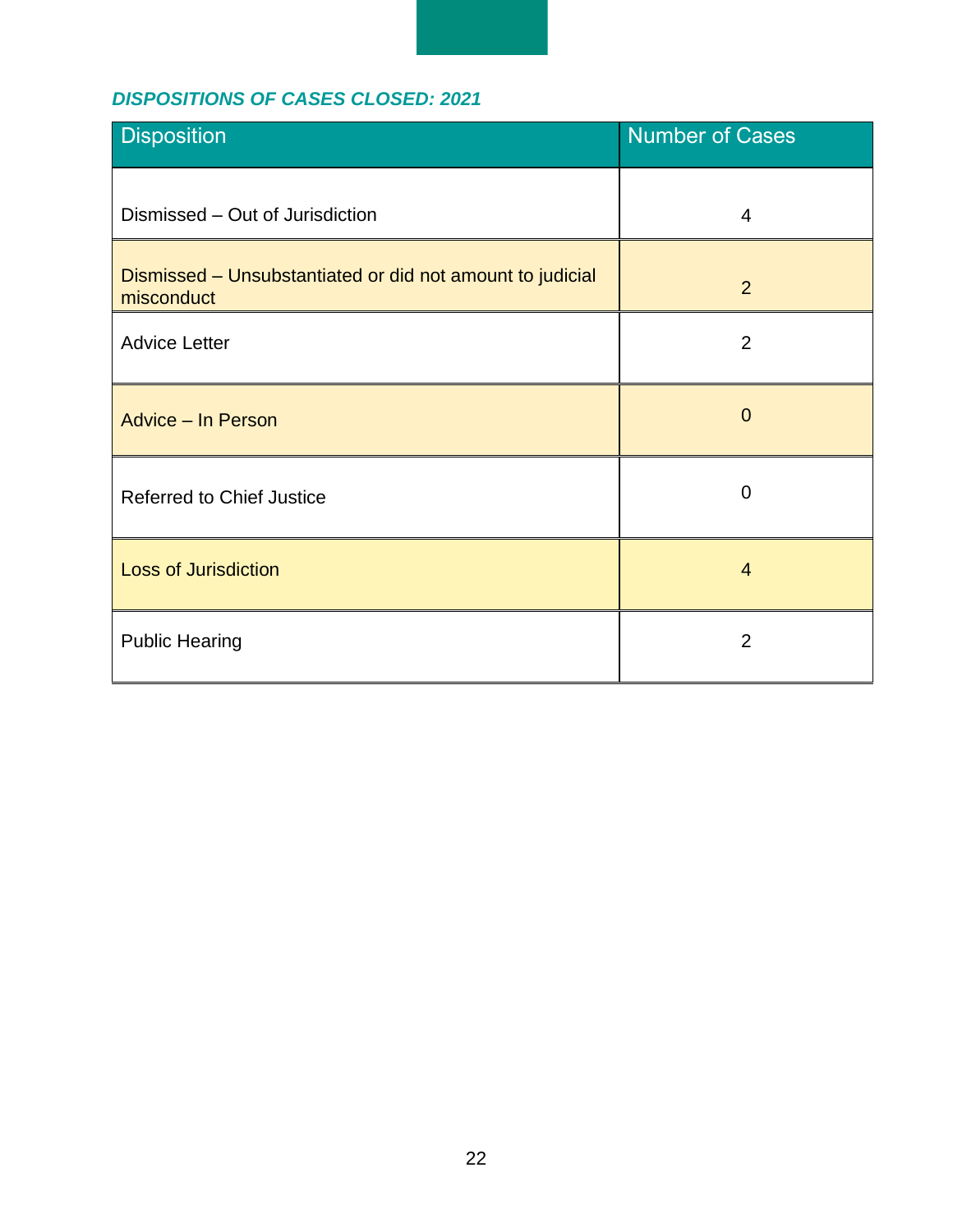## *DISPOSITIONS OF CASES CLOSED: 2021*

| <b>Disposition</b>                                                      | <b>Number of Cases</b> |  |  |
|-------------------------------------------------------------------------|------------------------|--|--|
| Dismissed - Out of Jurisdiction                                         | $\overline{4}$         |  |  |
| Dismissed - Unsubstantiated or did not amount to judicial<br>misconduct | 2                      |  |  |
| <b>Advice Letter</b>                                                    | $\overline{2}$         |  |  |
| <b>Advice - In Person</b>                                               | $\overline{0}$         |  |  |
| <b>Referred to Chief Justice</b>                                        | $\mathbf 0$            |  |  |
| <b>Loss of Jurisdiction</b>                                             | $\overline{4}$         |  |  |
| <b>Public Hearing</b>                                                   | $\overline{2}$         |  |  |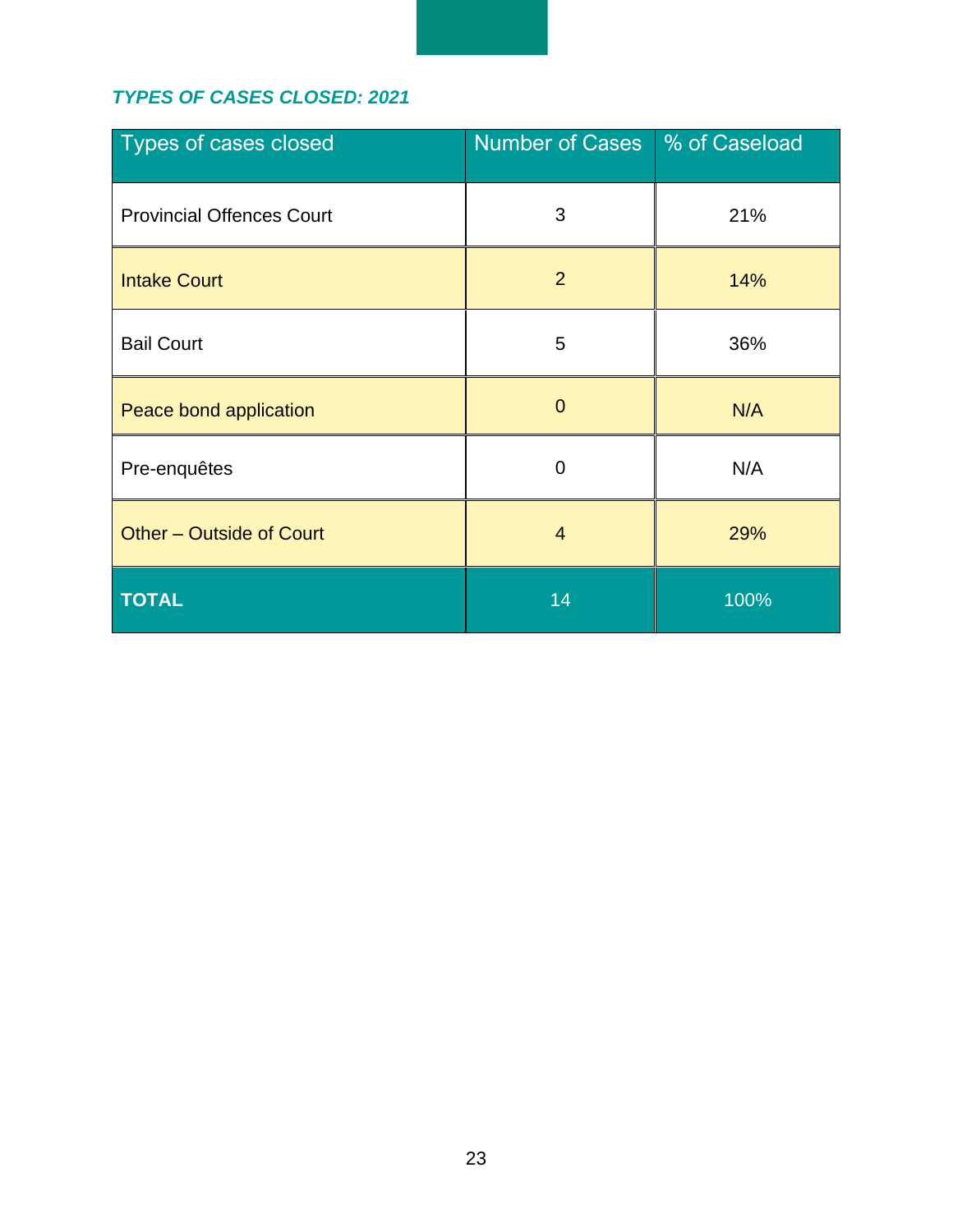## *TYPES OF CASES CLOSED: 2021*

| Types of cases closed            | <b>Number of Cases</b> | % of Caseload |  |
|----------------------------------|------------------------|---------------|--|
| <b>Provincial Offences Court</b> | 3                      | 21%           |  |
| <b>Intake Court</b>              | $\overline{2}$         | 14%           |  |
| <b>Bail Court</b>                | 5                      | 36%           |  |
| Peace bond application           | $\overline{0}$         | N/A           |  |
| Pre-enquêtes                     | $\overline{0}$<br>N/A  |               |  |
| Other - Outside of Court         | $\overline{4}$         | 29%           |  |
| <b>TOTAL</b>                     | 14<br>100%             |               |  |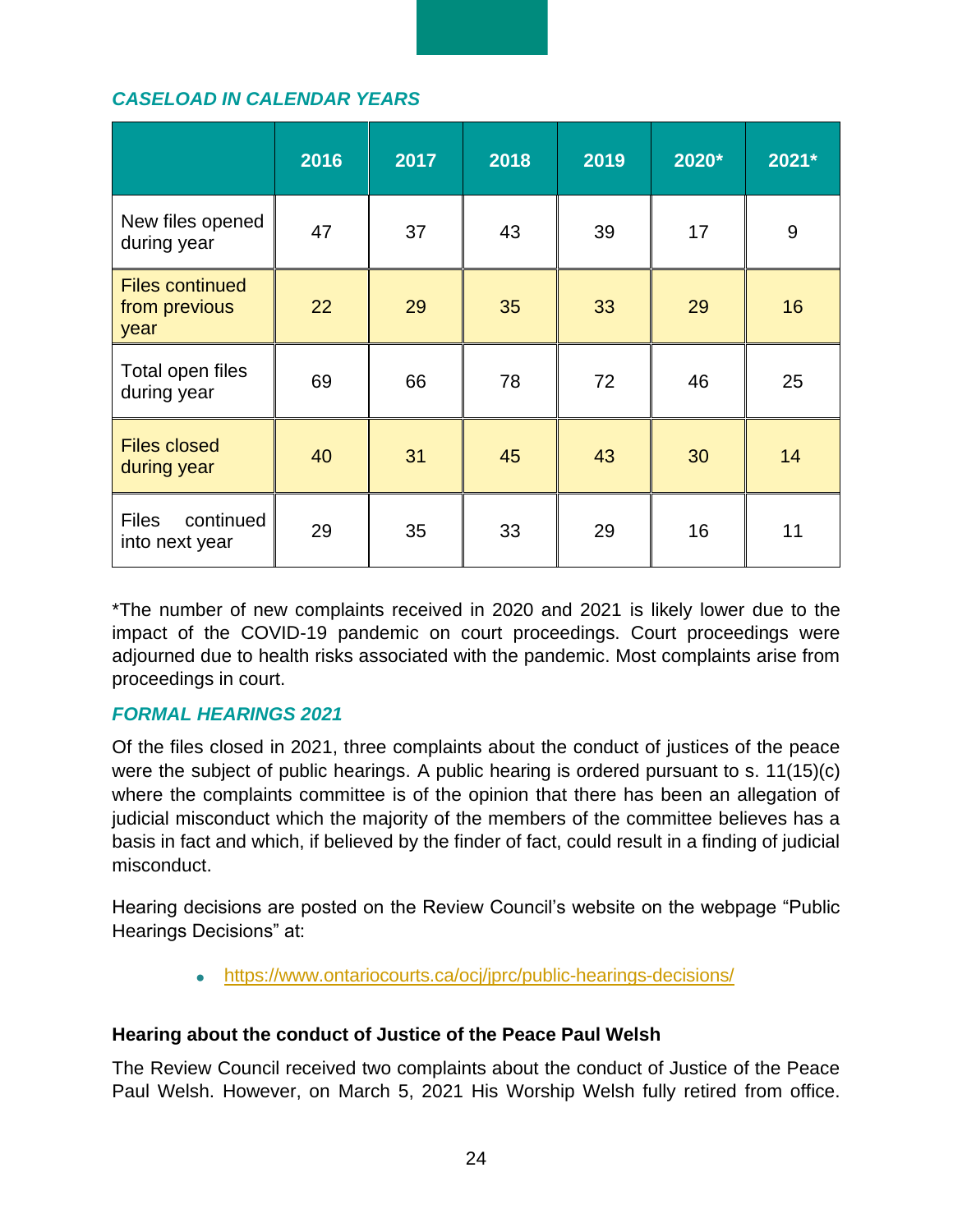#### *CASELOAD IN CALENDAR YEARS*

|                                                 | 2016 | 2017 | 2018 | 2019 | 2020* | 2021* |
|-------------------------------------------------|------|------|------|------|-------|-------|
| New files opened<br>during year                 | 47   | 37   | 43   | 39   | 17    | 9     |
| <b>Files continued</b><br>from previous<br>year | 22   | 29   | 35   | 33   | 29    | 16    |
| Total open files<br>during year                 | 69   | 66   | 78   | 72   | 46    | 25    |
| <b>Files closed</b><br>during year              | 40   | 31   | 45   | 43   | 30    | 14    |
| <b>Files</b><br>continued<br>into next year     | 29   | 35   | 33   | 29   | 16    | 11    |

\*The number of new complaints received in 2020 and 2021 is likely lower due to the impact of the COVID-19 pandemic on court proceedings. Court proceedings were adjourned due to health risks associated with the pandemic. Most complaints arise from proceedings in court.

#### *FORMAL HEARINGS 2021*

Of the files closed in 2021, three complaints about the conduct of justices of the peace were the subject of public hearings. A public hearing is ordered pursuant to s. 11(15)(c) where the complaints committee is of the opinion that there has been an allegation of judicial misconduct which the majority of the members of the committee believes has a basis in fact and which, if believed by the finder of fact, could result in a finding of judicial misconduct.

Hearing decisions are posted on the Review Council's website on the webpage "Public Hearings Decisions" at:

• <https://www.ontariocourts.ca/ocj/jprc/public-hearings-decisions/>

#### **Hearing about the conduct of Justice of the Peace Paul Welsh**

The Review Council received two complaints about the conduct of Justice of the Peace Paul Welsh. However, on March 5, 2021 His Worship Welsh fully retired from office.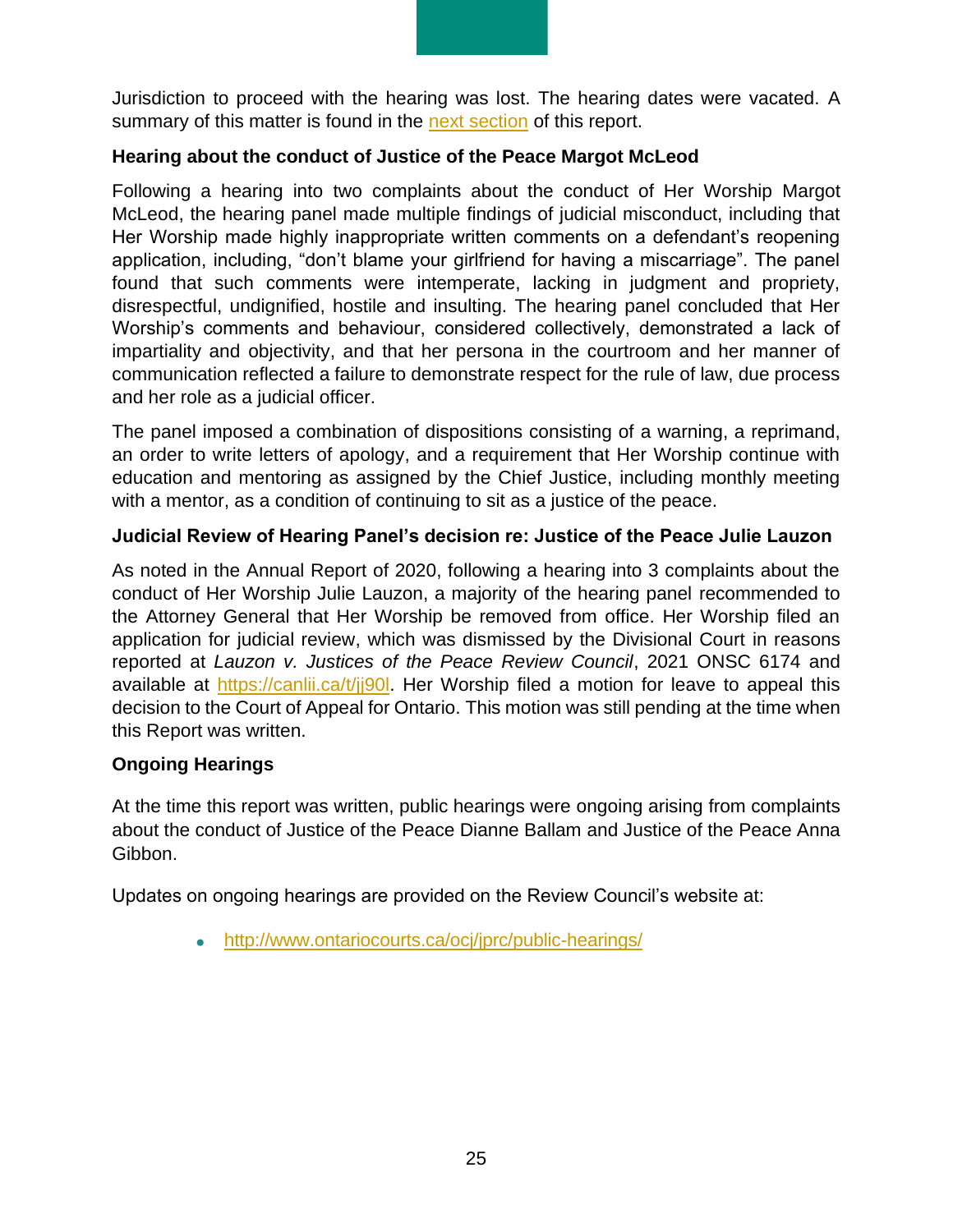Jurisdiction to proceed with the hearing was lost. The hearing dates were vacated. A summary of this matter is found in the [next section](#page-25-0) of this report.

#### **Hearing about the conduct of Justice of the Peace Margot McLeod**

Following a hearing into two complaints about the conduct of Her Worship Margot McLeod, the hearing panel made multiple findings of judicial misconduct, including that Her Worship made highly inappropriate written comments on a defendant's reopening application, including, "don't blame your girlfriend for having a miscarriage". The panel found that such comments were intemperate, lacking in judgment and propriety, disrespectful, undignified, hostile and insulting. The hearing panel concluded that Her Worship's comments and behaviour, considered collectively, demonstrated a lack of impartiality and objectivity, and that her persona in the courtroom and her manner of communication reflected a failure to demonstrate respect for the rule of law, due process and her role as a judicial officer.

The panel imposed a combination of dispositions consisting of a warning, a reprimand, an order to write letters of apology, and a requirement that Her Worship continue with education and mentoring as assigned by the Chief Justice, including monthly meeting with a mentor, as a condition of continuing to sit as a justice of the peace.

#### **Judicial Review of Hearing Panel's decision re: Justice of the Peace Julie Lauzon**

As noted in the Annual Report of 2020, following a hearing into 3 complaints about the conduct of Her Worship Julie Lauzon, a majority of the hearing panel recommended to the Attorney General that Her Worship be removed from office. Her Worship filed an application for judicial review, which was dismissed by the Divisional Court in reasons reported at *Lauzon v. Justices of the Peace Review Council*, 2021 ONSC 6174 and available at https://canlii.ca/t/ji90l. Her Worship filed a motion for leave to appeal this decision to the Court of Appeal for Ontario. This motion was still pending at the time when this Report was written.

#### **Ongoing Hearings**

At the time this report was written, public hearings were ongoing arising from complaints about the conduct of Justice of the Peace Dianne Ballam and Justice of the Peace Anna Gibbon.

Updates on ongoing hearings are provided on the Review Council's website at:

• [http://www.ontariocourts.ca/ocj/jprc/public-hearings/](https://www.ontariocourts.ca/ocj/jprc/public-hearings/)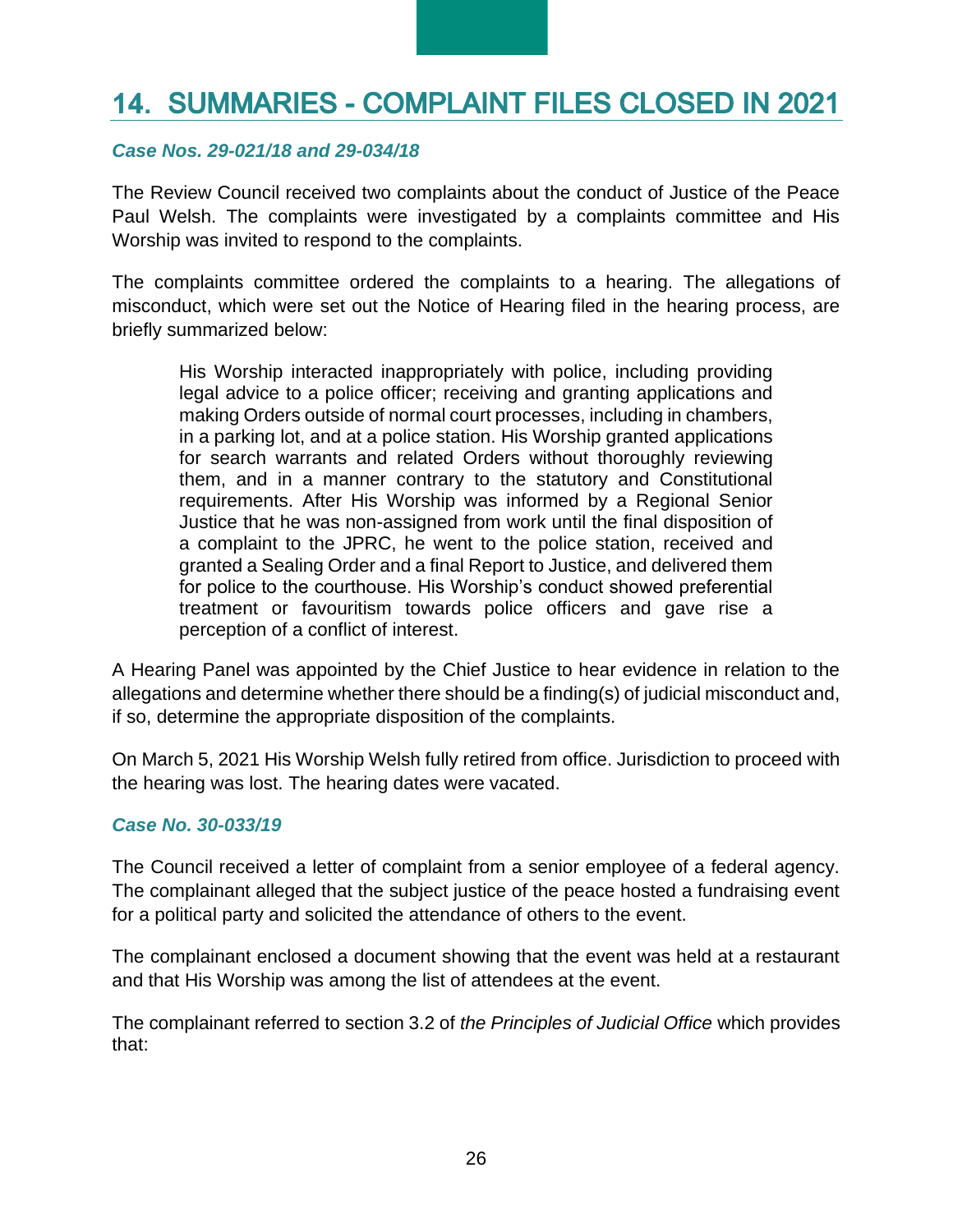# <span id="page-25-0"></span>**14. SUMMARIES - COMPLAINT FILES CLOSED IN 2021**

#### *Case Nos. 29-021/18 and 29-034/18*

The Review Council received two complaints about the conduct of Justice of the Peace Paul Welsh. The complaints were investigated by a complaints committee and His Worship was invited to respond to the complaints.

The complaints committee ordered the complaints to a hearing. The allegations of misconduct, which were set out the Notice of Hearing filed in the hearing process, are briefly summarized below:

His Worship interacted inappropriately with police, including providing legal advice to a police officer; receiving and granting applications and making Orders outside of normal court processes, including in chambers, in a parking lot, and at a police station. His Worship granted applications for search warrants and related Orders without thoroughly reviewing them, and in a manner contrary to the statutory and Constitutional requirements. After His Worship was informed by a Regional Senior Justice that he was non-assigned from work until the final disposition of a complaint to the JPRC, he went to the police station, received and granted a Sealing Order and a final Report to Justice, and delivered them for police to the courthouse. His Worship's conduct showed preferential treatment or favouritism towards police officers and gave rise a perception of a conflict of interest.

A Hearing Panel was appointed by the Chief Justice to hear evidence in relation to the allegations and determine whether there should be a finding(s) of judicial misconduct and, if so, determine the appropriate disposition of the complaints.

On March 5, 2021 His Worship Welsh fully retired from office. Jurisdiction to proceed with the hearing was lost. The hearing dates were vacated.

#### *Case No. 30-033/19*

The Council received a letter of complaint from a senior employee of a federal agency. The complainant alleged that the subject justice of the peace hosted a fundraising event for a political party and solicited the attendance of others to the event.

The complainant enclosed a document showing that the event was held at a restaurant and that His Worship was among the list of attendees at the event.

The complainant referred to section 3.2 of *the Principles of Judicial Office* which provides that: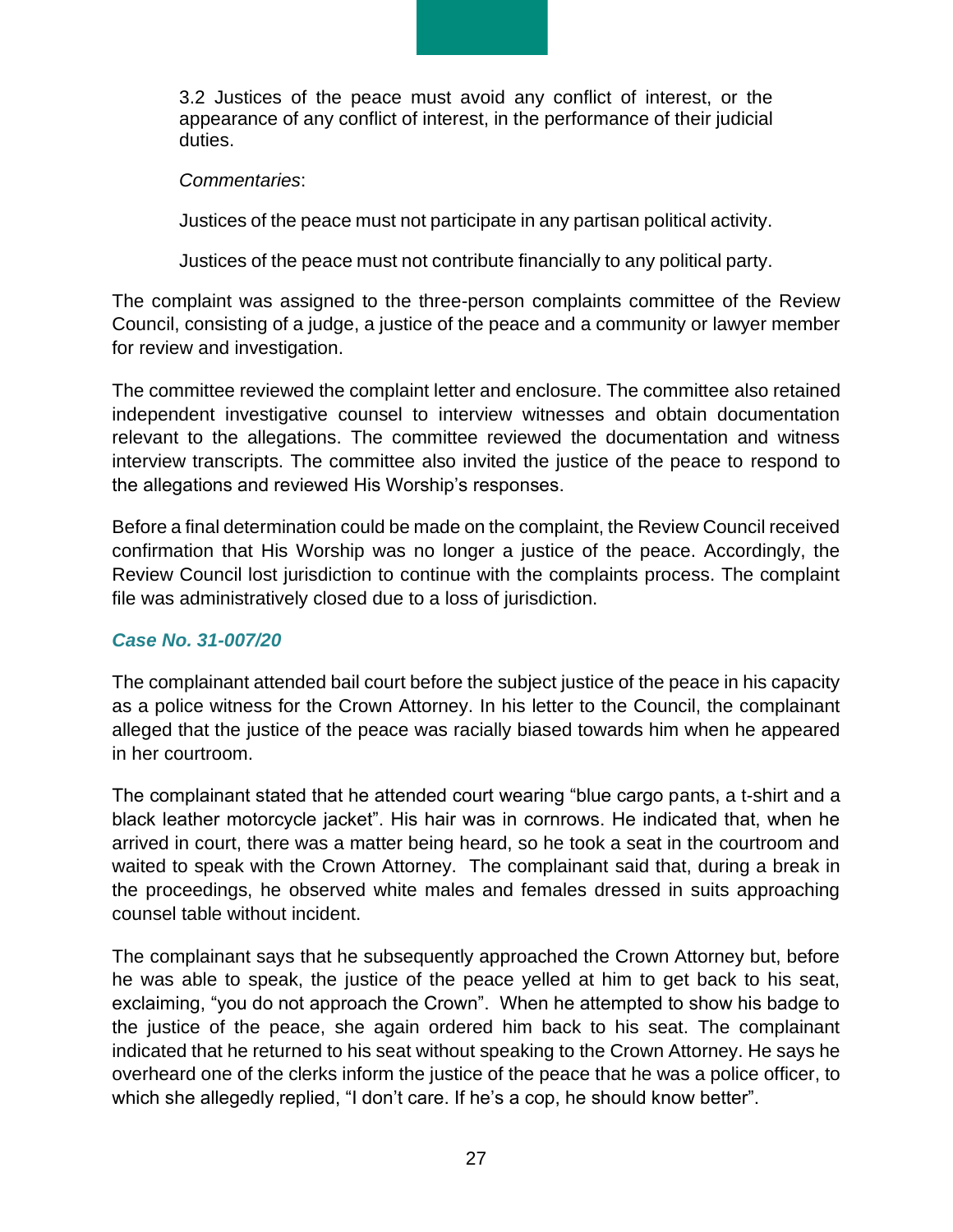3.2 Justices of the peace must avoid any conflict of interest, or the appearance of any conflict of interest, in the performance of their judicial duties.

#### *Commentaries*:

Justices of the peace must not participate in any partisan political activity.

Justices of the peace must not contribute financially to any political party.

The complaint was assigned to the three-person complaints committee of the Review Council, consisting of a judge, a justice of the peace and a community or lawyer member for review and investigation.

The committee reviewed the complaint letter and enclosure. The committee also retained independent investigative counsel to interview witnesses and obtain documentation relevant to the allegations. The committee reviewed the documentation and witness interview transcripts. The committee also invited the justice of the peace to respond to the allegations and reviewed His Worship's responses.

Before a final determination could be made on the complaint, the Review Council received confirmation that His Worship was no longer a justice of the peace. Accordingly, the Review Council lost jurisdiction to continue with the complaints process. The complaint file was administratively closed due to a loss of jurisdiction.

#### *Case No. 31-007/20*

The complainant attended bail court before the subject justice of the peace in his capacity as a police witness for the Crown Attorney. In his letter to the Council, the complainant alleged that the justice of the peace was racially biased towards him when he appeared in her courtroom.

The complainant stated that he attended court wearing "blue cargo pants, a t-shirt and a black leather motorcycle jacket". His hair was in cornrows. He indicated that, when he arrived in court, there was a matter being heard, so he took a seat in the courtroom and waited to speak with the Crown Attorney. The complainant said that, during a break in the proceedings, he observed white males and females dressed in suits approaching counsel table without incident.

The complainant says that he subsequently approached the Crown Attorney but, before he was able to speak, the justice of the peace yelled at him to get back to his seat, exclaiming, "you do not approach the Crown". When he attempted to show his badge to the justice of the peace, she again ordered him back to his seat. The complainant indicated that he returned to his seat without speaking to the Crown Attorney. He says he overheard one of the clerks inform the justice of the peace that he was a police officer, to which she allegedly replied, "I don't care. If he's a cop, he should know better".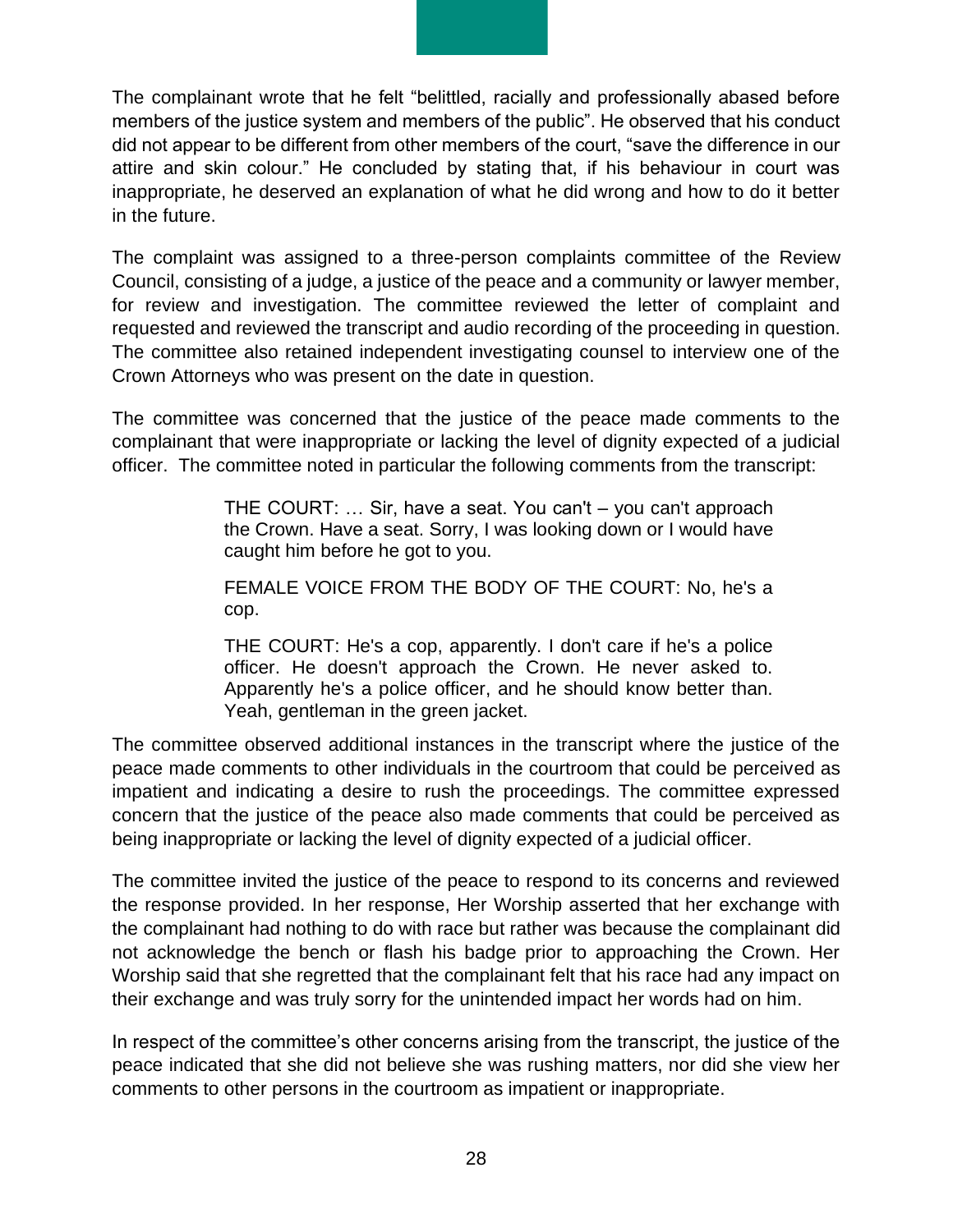The complainant wrote that he felt "belittled, racially and professionally abased before members of the justice system and members of the public". He observed that his conduct did not appear to be different from other members of the court, "save the difference in our attire and skin colour." He concluded by stating that, if his behaviour in court was inappropriate, he deserved an explanation of what he did wrong and how to do it better in the future.

The complaint was assigned to a three-person complaints committee of the Review Council, consisting of a judge, a justice of the peace and a community or lawyer member, for review and investigation. The committee reviewed the letter of complaint and requested and reviewed the transcript and audio recording of the proceeding in question. The committee also retained independent investigating counsel to interview one of the Crown Attorneys who was present on the date in question.

The committee was concerned that the justice of the peace made comments to the complainant that were inappropriate or lacking the level of dignity expected of a judicial officer. The committee noted in particular the following comments from the transcript:

> THE COURT: … Sir, have a seat. You can't – you can't approach the Crown. Have a seat. Sorry, I was looking down or I would have caught him before he got to you.

> FEMALE VOICE FROM THE BODY OF THE COURT: No, he's a cop.

> THE COURT: He's a cop, apparently. I don't care if he's a police officer. He doesn't approach the Crown. He never asked to. Apparently he's a police officer, and he should know better than. Yeah, gentleman in the green jacket.

The committee observed additional instances in the transcript where the justice of the peace made comments to other individuals in the courtroom that could be perceived as impatient and indicating a desire to rush the proceedings. The committee expressed concern that the justice of the peace also made comments that could be perceived as being inappropriate or lacking the level of dignity expected of a judicial officer.

The committee invited the justice of the peace to respond to its concerns and reviewed the response provided. In her response, Her Worship asserted that her exchange with the complainant had nothing to do with race but rather was because the complainant did not acknowledge the bench or flash his badge prior to approaching the Crown. Her Worship said that she regretted that the complainant felt that his race had any impact on their exchange and was truly sorry for the unintended impact her words had on him.

In respect of the committee's other concerns arising from the transcript, the justice of the peace indicated that she did not believe she was rushing matters, nor did she view her comments to other persons in the courtroom as impatient or inappropriate.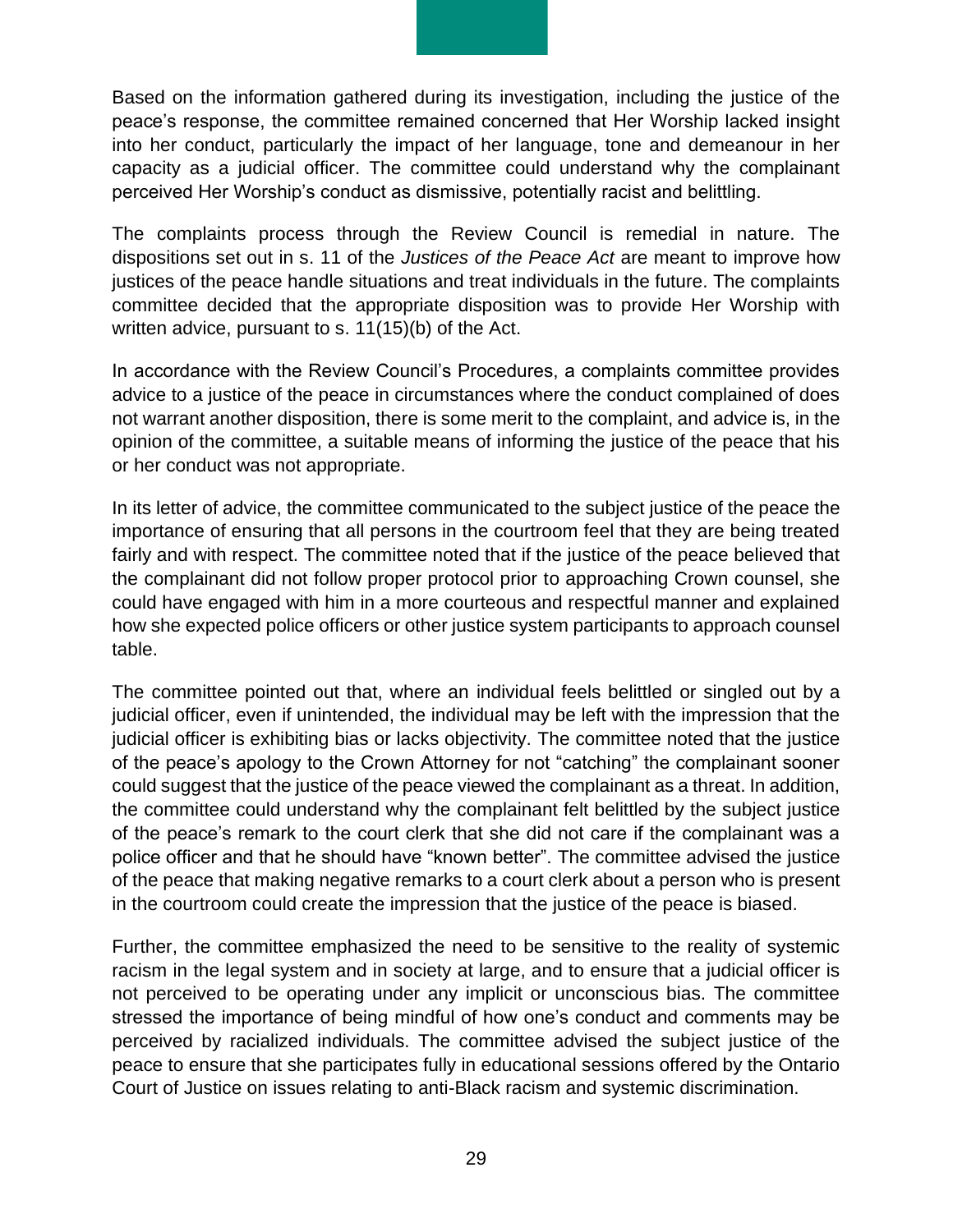Based on the information gathered during its investigation, including the justice of the peace's response, the committee remained concerned that Her Worship lacked insight into her conduct, particularly the impact of her language, tone and demeanour in her capacity as a judicial officer. The committee could understand why the complainant perceived Her Worship's conduct as dismissive, potentially racist and belittling.

The complaints process through the Review Council is remedial in nature. The dispositions set out in s. 11 of the *Justices of the Peace Act* are meant to improve how justices of the peace handle situations and treat individuals in the future. The complaints committee decided that the appropriate disposition was to provide Her Worship with written advice, pursuant to s. 11(15)(b) of the Act.

In accordance with the Review Council's Procedures, a complaints committee provides advice to a justice of the peace in circumstances where the conduct complained of does not warrant another disposition, there is some merit to the complaint, and advice is, in the opinion of the committee, a suitable means of informing the justice of the peace that his or her conduct was not appropriate.

In its letter of advice, the committee communicated to the subject justice of the peace the importance of ensuring that all persons in the courtroom feel that they are being treated fairly and with respect. The committee noted that if the justice of the peace believed that the complainant did not follow proper protocol prior to approaching Crown counsel, she could have engaged with him in a more courteous and respectful manner and explained how she expected police officers or other justice system participants to approach counsel table.

The committee pointed out that, where an individual feels belittled or singled out by a judicial officer, even if unintended, the individual may be left with the impression that the judicial officer is exhibiting bias or lacks objectivity. The committee noted that the justice of the peace's apology to the Crown Attorney for not "catching" the complainant sooner could suggest that the justice of the peace viewed the complainant as a threat. In addition, the committee could understand why the complainant felt belittled by the subject justice of the peace's remark to the court clerk that she did not care if the complainant was a police officer and that he should have "known better". The committee advised the justice of the peace that making negative remarks to a court clerk about a person who is present in the courtroom could create the impression that the justice of the peace is biased.

Further, the committee emphasized the need to be sensitive to the reality of systemic racism in the legal system and in society at large, and to ensure that a judicial officer is not perceived to be operating under any implicit or unconscious bias. The committee stressed the importance of being mindful of how one's conduct and comments may be perceived by racialized individuals. The committee advised the subject justice of the peace to ensure that she participates fully in educational sessions offered by the Ontario Court of Justice on issues relating to anti-Black racism and systemic discrimination.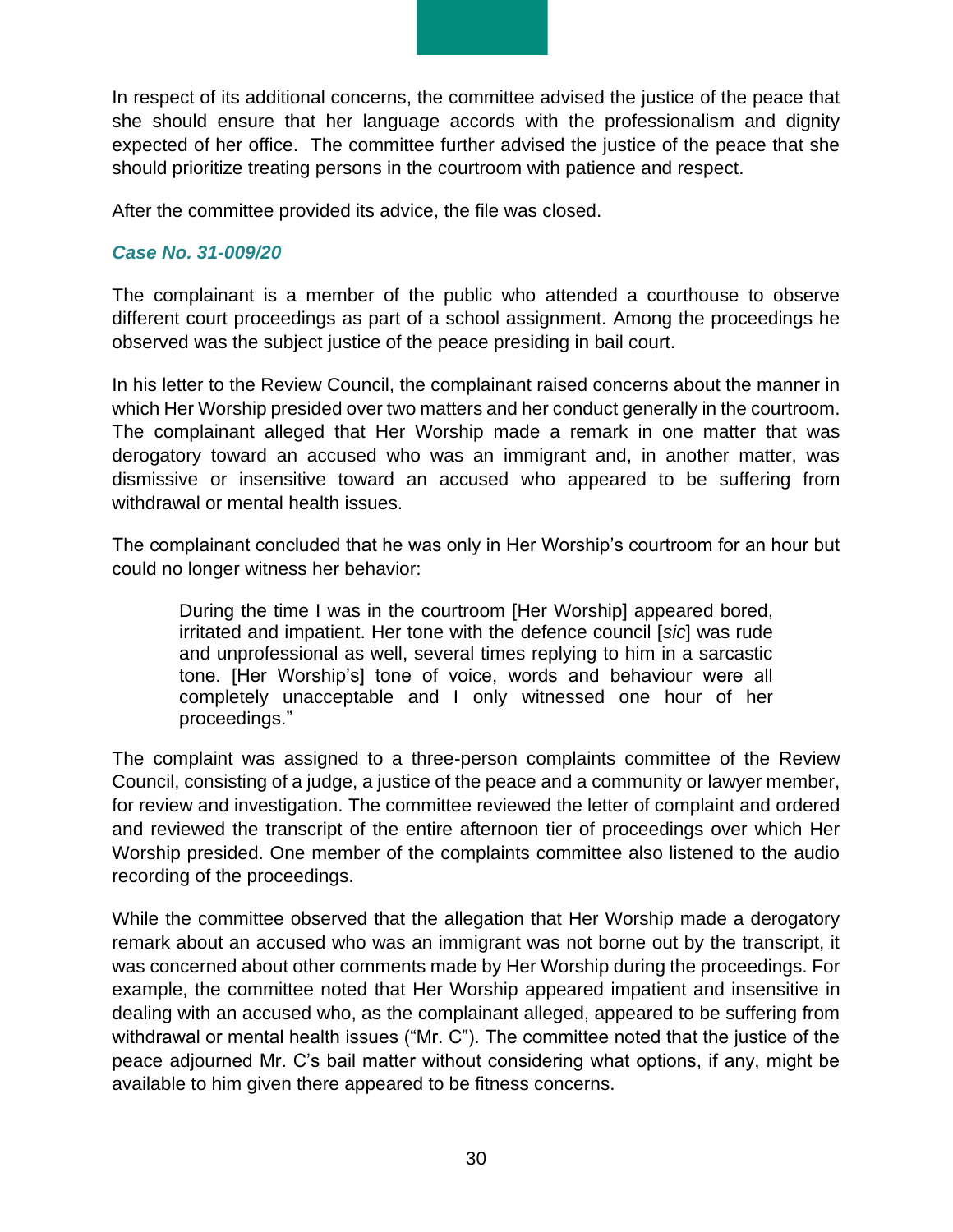In respect of its additional concerns, the committee advised the justice of the peace that she should ensure that her language accords with the professionalism and dignity expected of her office. The committee further advised the justice of the peace that she should prioritize treating persons in the courtroom with patience and respect.

After the committee provided its advice, the file was closed.

#### *Case No. 31-009/20*

The complainant is a member of the public who attended a courthouse to observe different court proceedings as part of a school assignment. Among the proceedings he observed was the subject justice of the peace presiding in bail court.

In his letter to the Review Council, the complainant raised concerns about the manner in which Her Worship presided over two matters and her conduct generally in the courtroom. The complainant alleged that Her Worship made a remark in one matter that was derogatory toward an accused who was an immigrant and, in another matter, was dismissive or insensitive toward an accused who appeared to be suffering from withdrawal or mental health issues.

The complainant concluded that he was only in Her Worship's courtroom for an hour but could no longer witness her behavior:

During the time I was in the courtroom [Her Worship] appeared bored, irritated and impatient. Her tone with the defence council [*sic*] was rude and unprofessional as well, several times replying to him in a sarcastic tone. [Her Worship's] tone of voice, words and behaviour were all completely unacceptable and I only witnessed one hour of her proceedings."

The complaint was assigned to a three-person complaints committee of the Review Council, consisting of a judge, a justice of the peace and a community or lawyer member, for review and investigation. The committee reviewed the letter of complaint and ordered and reviewed the transcript of the entire afternoon tier of proceedings over which Her Worship presided. One member of the complaints committee also listened to the audio recording of the proceedings.

While the committee observed that the allegation that Her Worship made a derogatory remark about an accused who was an immigrant was not borne out by the transcript, it was concerned about other comments made by Her Worship during the proceedings. For example, the committee noted that Her Worship appeared impatient and insensitive in dealing with an accused who, as the complainant alleged, appeared to be suffering from withdrawal or mental health issues ("Mr. C"). The committee noted that the justice of the peace adjourned Mr. C's bail matter without considering what options, if any, might be available to him given there appeared to be fitness concerns.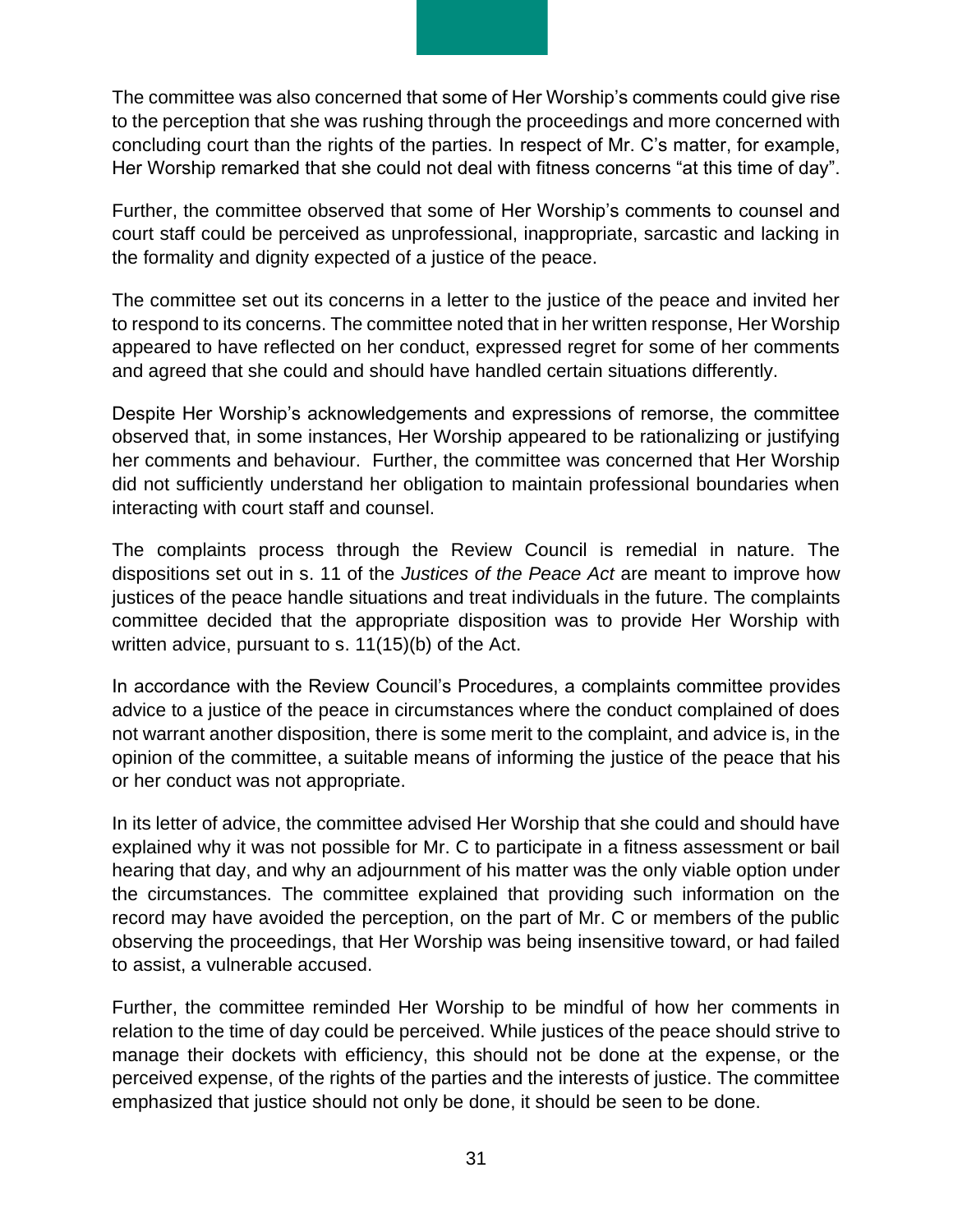The committee was also concerned that some of Her Worship's comments could give rise to the perception that she was rushing through the proceedings and more concerned with concluding court than the rights of the parties. In respect of Mr. C's matter, for example, Her Worship remarked that she could not deal with fitness concerns "at this time of day".

Further, the committee observed that some of Her Worship's comments to counsel and court staff could be perceived as unprofessional, inappropriate, sarcastic and lacking in the formality and dignity expected of a justice of the peace.

The committee set out its concerns in a letter to the justice of the peace and invited her to respond to its concerns. The committee noted that in her written response, Her Worship appeared to have reflected on her conduct, expressed regret for some of her comments and agreed that she could and should have handled certain situations differently.

Despite Her Worship's acknowledgements and expressions of remorse, the committee observed that, in some instances, Her Worship appeared to be rationalizing or justifying her comments and behaviour. Further, the committee was concerned that Her Worship did not sufficiently understand her obligation to maintain professional boundaries when interacting with court staff and counsel.

The complaints process through the Review Council is remedial in nature. The dispositions set out in s. 11 of the *Justices of the Peace Act* are meant to improve how justices of the peace handle situations and treat individuals in the future. The complaints committee decided that the appropriate disposition was to provide Her Worship with written advice, pursuant to s. 11(15)(b) of the Act.

In accordance with the Review Council's Procedures, a complaints committee provides advice to a justice of the peace in circumstances where the conduct complained of does not warrant another disposition, there is some merit to the complaint, and advice is, in the opinion of the committee, a suitable means of informing the justice of the peace that his or her conduct was not appropriate.

In its letter of advice, the committee advised Her Worship that she could and should have explained why it was not possible for Mr. C to participate in a fitness assessment or bail hearing that day, and why an adjournment of his matter was the only viable option under the circumstances. The committee explained that providing such information on the record may have avoided the perception, on the part of Mr. C or members of the public observing the proceedings, that Her Worship was being insensitive toward, or had failed to assist, a vulnerable accused.

Further, the committee reminded Her Worship to be mindful of how her comments in relation to the time of day could be perceived. While justices of the peace should strive to manage their dockets with efficiency, this should not be done at the expense, or the perceived expense, of the rights of the parties and the interests of justice. The committee emphasized that justice should not only be done, it should be seen to be done.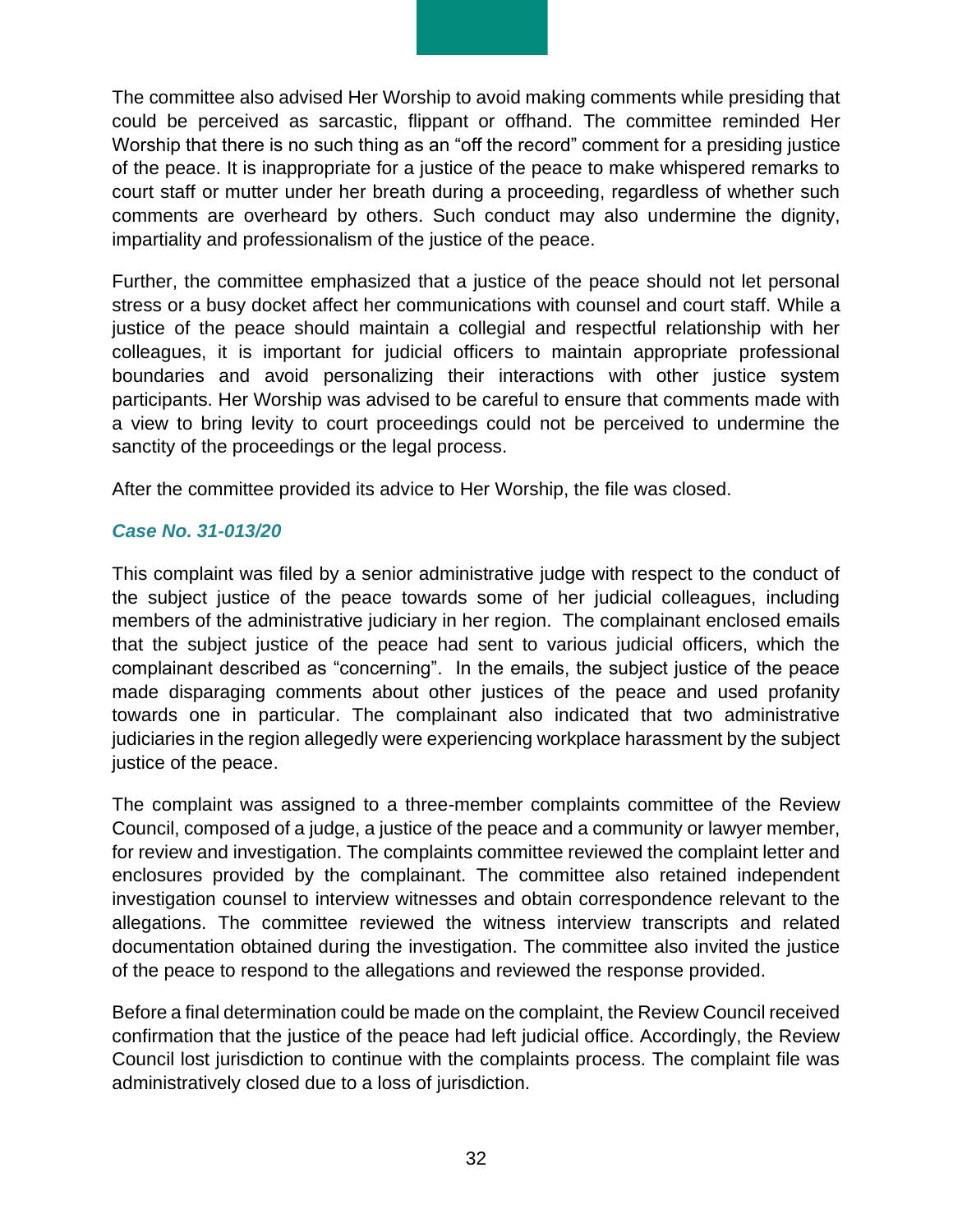The committee also advised Her Worship to avoid making comments while presiding that could be perceived as sarcastic, flippant or offhand. The committee reminded Her Worship that there is no such thing as an "off the record" comment for a presiding justice of the peace. It is inappropriate for a justice of the peace to make whispered remarks to court staff or mutter under her breath during a proceeding, regardless of whether such comments are overheard by others. Such conduct may also undermine the dignity, impartiality and professionalism of the justice of the peace.

Further, the committee emphasized that a justice of the peace should not let personal stress or a busy docket affect her communications with counsel and court staff. While a justice of the peace should maintain a collegial and respectful relationship with her colleagues, it is important for judicial officers to maintain appropriate professional boundaries and avoid personalizing their interactions with other justice system participants. Her Worship was advised to be careful to ensure that comments made with a view to bring levity to court proceedings could not be perceived to undermine the sanctity of the proceedings or the legal process.

After the committee provided its advice to Her Worship, the file was closed.

#### *Case No. 31-013/20*

This complaint was filed by a senior administrative judge with respect to the conduct of the subject justice of the peace towards some of her judicial colleagues, including members of the administrative judiciary in her region. The complainant enclosed emails that the subject justice of the peace had sent to various judicial officers, which the complainant described as "concerning". In the emails, the subject justice of the peace made disparaging comments about other justices of the peace and used profanity towards one in particular. The complainant also indicated that two administrative judiciaries in the region allegedly were experiencing workplace harassment by the subject justice of the peace.

The complaint was assigned to a three-member complaints committee of the Review Council, composed of a judge, a justice of the peace and a community or lawyer member, for review and investigation. The complaints committee reviewed the complaint letter and enclosures provided by the complainant. The committee also retained independent investigation counsel to interview witnesses and obtain correspondence relevant to the allegations. The committee reviewed the witness interview transcripts and related documentation obtained during the investigation. The committee also invited the justice of the peace to respond to the allegations and reviewed the response provided.

Before a final determination could be made on the complaint, the Review Council received confirmation that the justice of the peace had left judicial office. Accordingly, the Review Council lost jurisdiction to continue with the complaints process. The complaint file was administratively closed due to a loss of jurisdiction.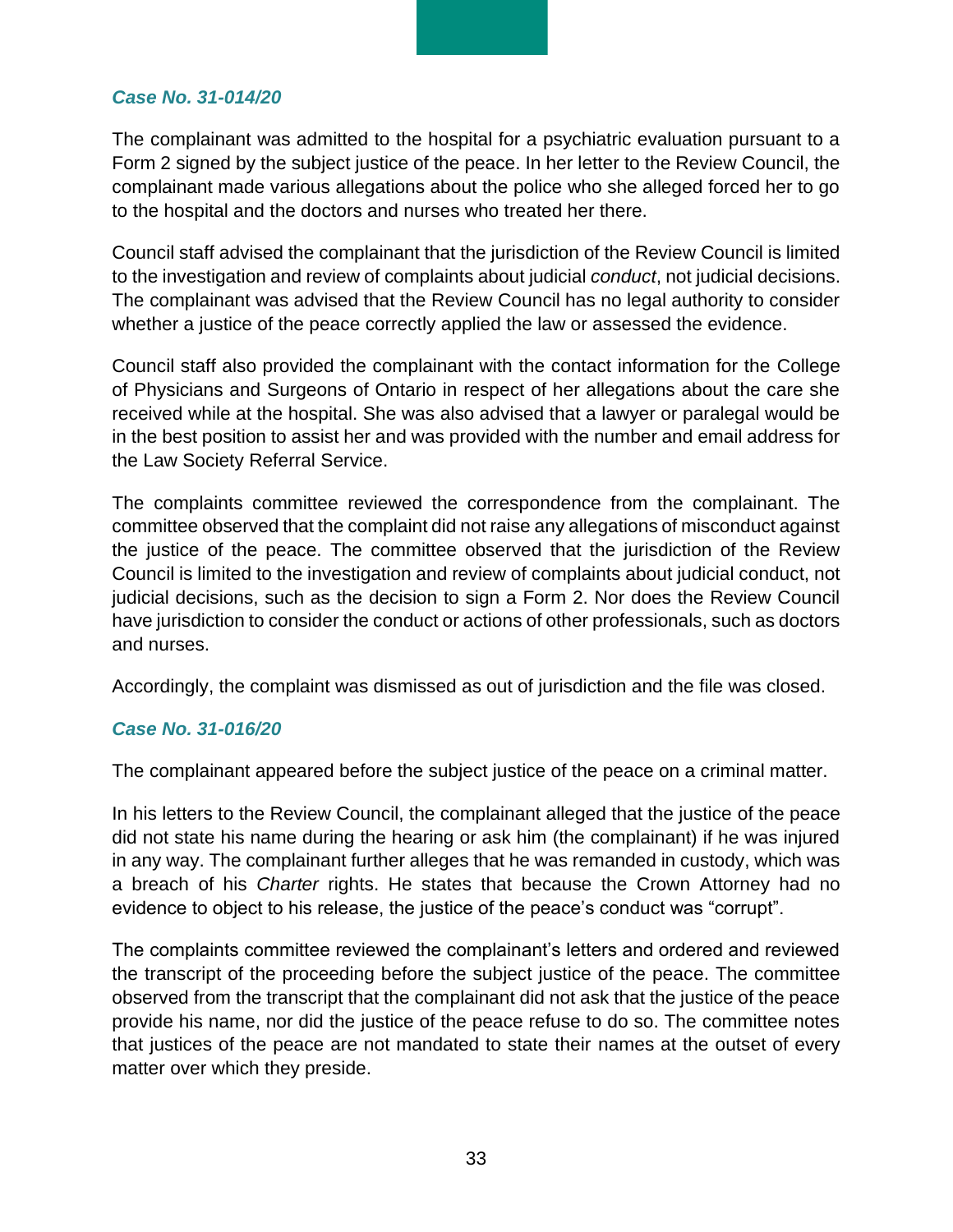#### *Case No. 31-014/20*

The complainant was admitted to the hospital for a psychiatric evaluation pursuant to a Form 2 signed by the subject justice of the peace. In her letter to the Review Council, the complainant made various allegations about the police who she alleged forced her to go to the hospital and the doctors and nurses who treated her there.

Council staff advised the complainant that the jurisdiction of the Review Council is limited to the investigation and review of complaints about judicial *conduct*, not judicial decisions. The complainant was advised that the Review Council has no legal authority to consider whether a justice of the peace correctly applied the law or assessed the evidence.

Council staff also provided the complainant with the contact information for the College of Physicians and Surgeons of Ontario in respect of her allegations about the care she received while at the hospital. She was also advised that a lawyer or paralegal would be in the best position to assist her and was provided with the number and email address for the Law Society Referral Service.

The complaints committee reviewed the correspondence from the complainant. The committee observed that the complaint did not raise any allegations of misconduct against the justice of the peace. The committee observed that the jurisdiction of the Review Council is limited to the investigation and review of complaints about judicial conduct, not judicial decisions, such as the decision to sign a Form 2. Nor does the Review Council have jurisdiction to consider the conduct or actions of other professionals, such as doctors and nurses.

Accordingly, the complaint was dismissed as out of jurisdiction and the file was closed.

#### *Case No. 31-016/20*

The complainant appeared before the subject justice of the peace on a criminal matter.

In his letters to the Review Council, the complainant alleged that the justice of the peace did not state his name during the hearing or ask him (the complainant) if he was injured in any way. The complainant further alleges that he was remanded in custody, which was a breach of his *Charter* rights. He states that because the Crown Attorney had no evidence to object to his release, the justice of the peace's conduct was "corrupt".

The complaints committee reviewed the complainant's letters and ordered and reviewed the transcript of the proceeding before the subject justice of the peace. The committee observed from the transcript that the complainant did not ask that the justice of the peace provide his name, nor did the justice of the peace refuse to do so. The committee notes that justices of the peace are not mandated to state their names at the outset of every matter over which they preside.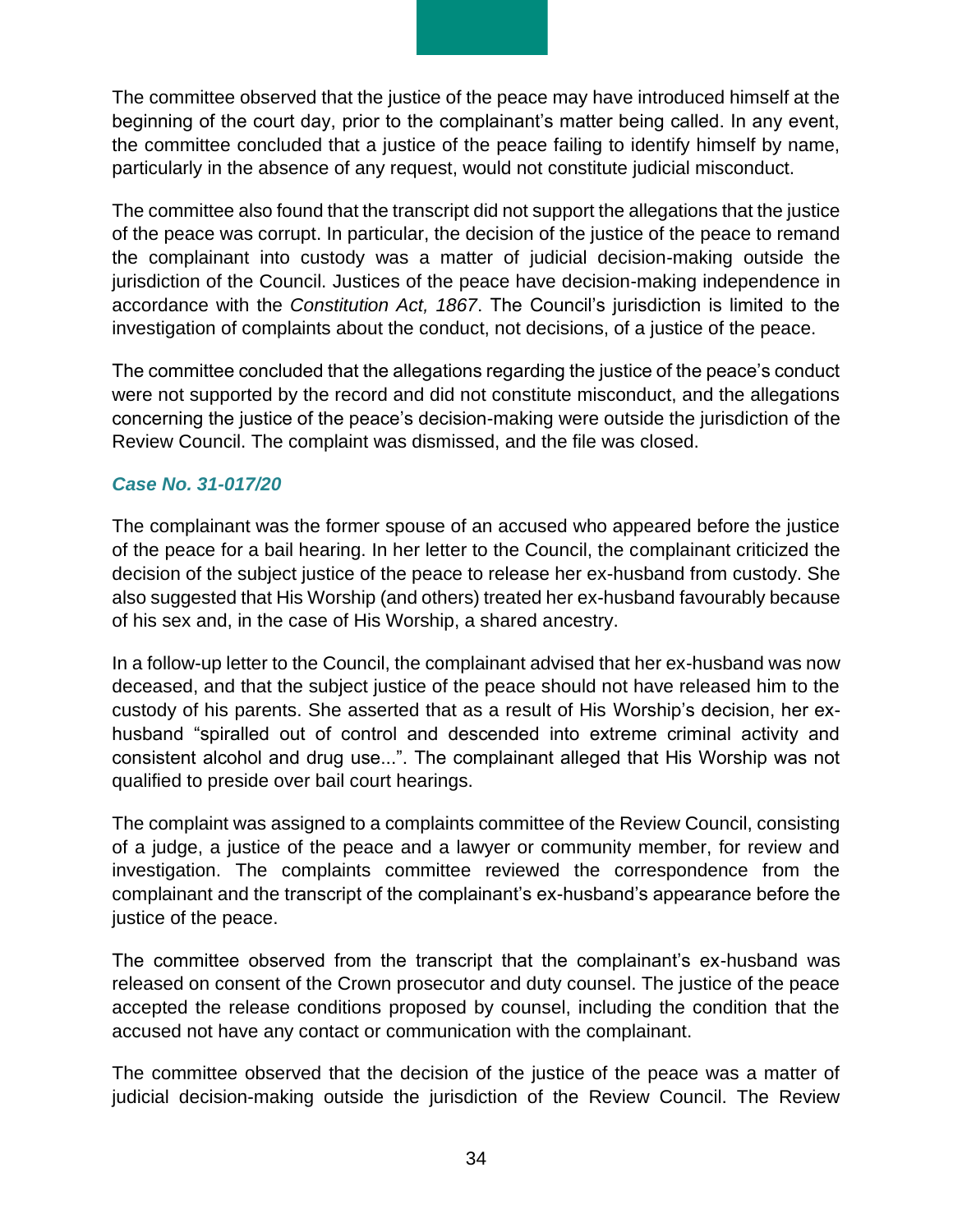The committee observed that the justice of the peace may have introduced himself at the beginning of the court day, prior to the complainant's matter being called. In any event, the committee concluded that a justice of the peace failing to identify himself by name, particularly in the absence of any request, would not constitute judicial misconduct.

The committee also found that the transcript did not support the allegations that the justice of the peace was corrupt. In particular, the decision of the justice of the peace to remand the complainant into custody was a matter of judicial decision-making outside the jurisdiction of the Council. Justices of the peace have decision-making independence in accordance with the *Constitution Act, 1867*. The Council's jurisdiction is limited to the investigation of complaints about the conduct, not decisions, of a justice of the peace.

The committee concluded that the allegations regarding the justice of the peace's conduct were not supported by the record and did not constitute misconduct, and the allegations concerning the justice of the peace's decision-making were outside the jurisdiction of the Review Council. The complaint was dismissed, and the file was closed.

#### *Case No. 31-017/20*

The complainant was the former spouse of an accused who appeared before the justice of the peace for a bail hearing. In her letter to the Council, the complainant criticized the decision of the subject justice of the peace to release her ex-husband from custody. She also suggested that His Worship (and others) treated her ex-husband favourably because of his sex and, in the case of His Worship, a shared ancestry.

In a follow-up letter to the Council, the complainant advised that her ex-husband was now deceased, and that the subject justice of the peace should not have released him to the custody of his parents. She asserted that as a result of His Worship's decision, her exhusband "spiralled out of control and descended into extreme criminal activity and consistent alcohol and drug use...". The complainant alleged that His Worship was not qualified to preside over bail court hearings.

The complaint was assigned to a complaints committee of the Review Council, consisting of a judge, a justice of the peace and a lawyer or community member, for review and investigation. The complaints committee reviewed the correspondence from the complainant and the transcript of the complainant's ex-husband's appearance before the justice of the peace.

The committee observed from the transcript that the complainant's ex-husband was released on consent of the Crown prosecutor and duty counsel. The justice of the peace accepted the release conditions proposed by counsel, including the condition that the accused not have any contact or communication with the complainant.

The committee observed that the decision of the justice of the peace was a matter of judicial decision-making outside the jurisdiction of the Review Council. The Review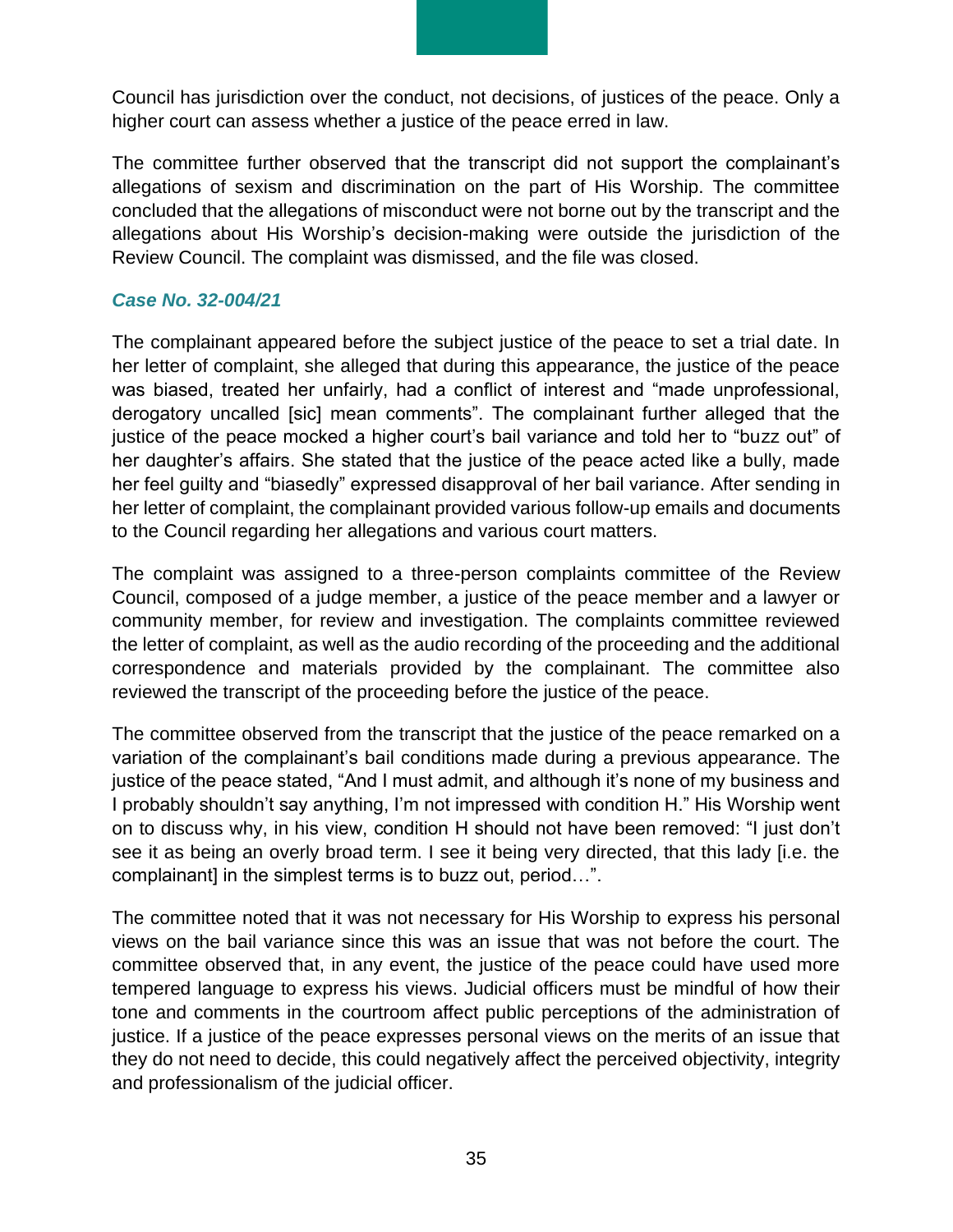Council has jurisdiction over the conduct, not decisions, of justices of the peace. Only a higher court can assess whether a justice of the peace erred in law.

The committee further observed that the transcript did not support the complainant's allegations of sexism and discrimination on the part of His Worship. The committee concluded that the allegations of misconduct were not borne out by the transcript and the allegations about His Worship's decision-making were outside the jurisdiction of the Review Council. The complaint was dismissed, and the file was closed.

#### *Case No. 32-004/21*

The complainant appeared before the subject justice of the peace to set a trial date. In her letter of complaint, she alleged that during this appearance, the justice of the peace was biased, treated her unfairly, had a conflict of interest and "made unprofessional, derogatory uncalled [sic] mean comments". The complainant further alleged that the justice of the peace mocked a higher court's bail variance and told her to "buzz out" of her daughter's affairs. She stated that the justice of the peace acted like a bully, made her feel guilty and "biasedly" expressed disapproval of her bail variance. After sending in her letter of complaint, the complainant provided various follow-up emails and documents to the Council regarding her allegations and various court matters.

The complaint was assigned to a three-person complaints committee of the Review Council, composed of a judge member, a justice of the peace member and a lawyer or community member, for review and investigation. The complaints committee reviewed the letter of complaint, as well as the audio recording of the proceeding and the additional correspondence and materials provided by the complainant. The committee also reviewed the transcript of the proceeding before the justice of the peace.

The committee observed from the transcript that the justice of the peace remarked on a variation of the complainant's bail conditions made during a previous appearance. The justice of the peace stated, "And I must admit, and although it's none of my business and I probably shouldn't say anything, I'm not impressed with condition H." His Worship went on to discuss why, in his view, condition H should not have been removed: "I just don't see it as being an overly broad term. I see it being very directed, that this lady [i.e. the complainant] in the simplest terms is to buzz out, period…".

The committee noted that it was not necessary for His Worship to express his personal views on the bail variance since this was an issue that was not before the court. The committee observed that, in any event, the justice of the peace could have used more tempered language to express his views. Judicial officers must be mindful of how their tone and comments in the courtroom affect public perceptions of the administration of justice. If a justice of the peace expresses personal views on the merits of an issue that they do not need to decide, this could negatively affect the perceived objectivity, integrity and professionalism of the judicial officer.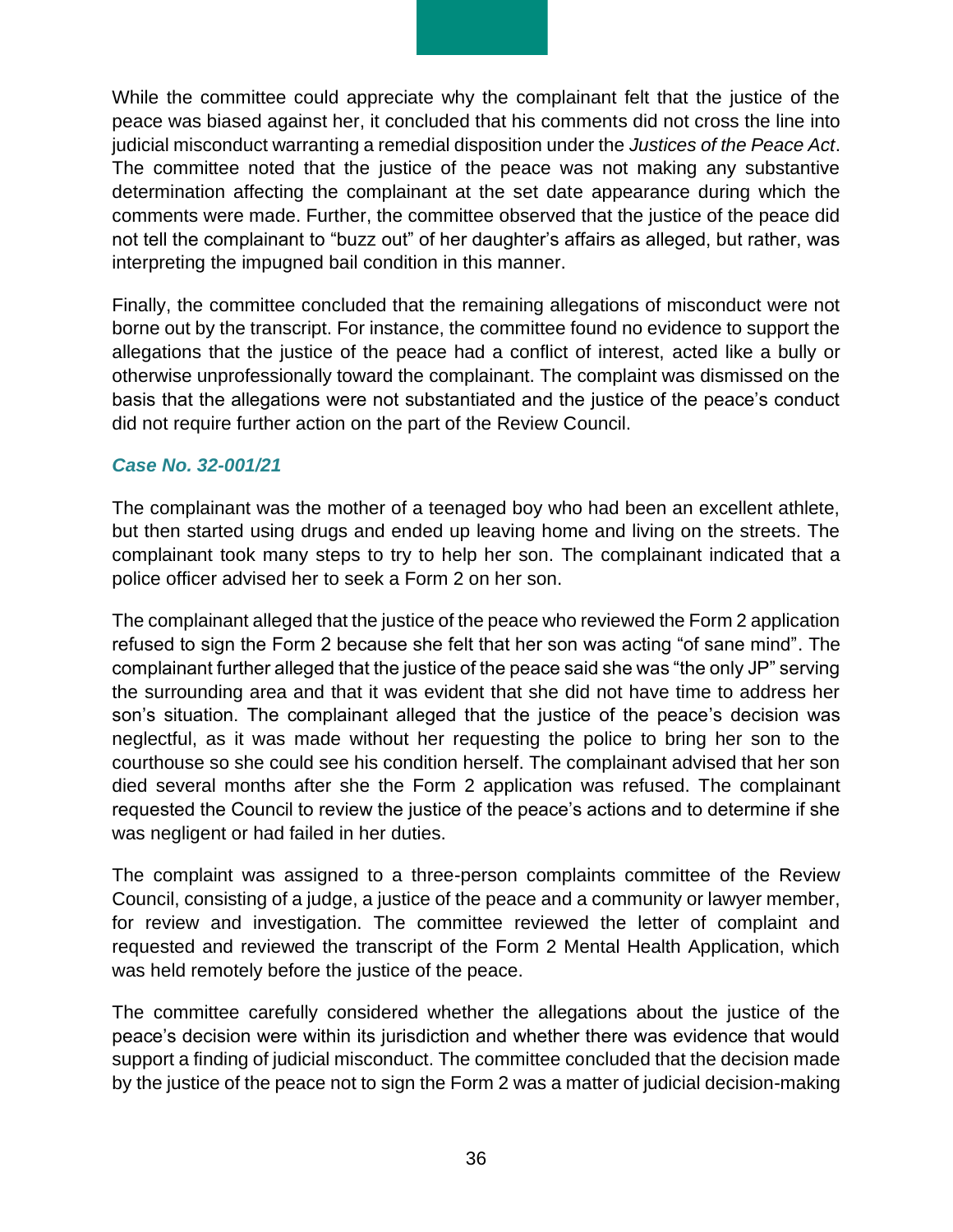While the committee could appreciate why the complainant felt that the justice of the peace was biased against her, it concluded that his comments did not cross the line into judicial misconduct warranting a remedial disposition under the *Justices of the Peace Act*. The committee noted that the justice of the peace was not making any substantive determination affecting the complainant at the set date appearance during which the comments were made. Further, the committee observed that the justice of the peace did not tell the complainant to "buzz out" of her daughter's affairs as alleged, but rather, was interpreting the impugned bail condition in this manner.

Finally, the committee concluded that the remaining allegations of misconduct were not borne out by the transcript. For instance, the committee found no evidence to support the allegations that the justice of the peace had a conflict of interest, acted like a bully or otherwise unprofessionally toward the complainant. The complaint was dismissed on the basis that the allegations were not substantiated and the justice of the peace's conduct did not require further action on the part of the Review Council.

#### *Case No. 32-001/21*

The complainant was the mother of a teenaged boy who had been an excellent athlete, but then started using drugs and ended up leaving home and living on the streets. The complainant took many steps to try to help her son. The complainant indicated that a police officer advised her to seek a Form 2 on her son.

The complainant alleged that the justice of the peace who reviewed the Form 2 application refused to sign the Form 2 because she felt that her son was acting "of sane mind". The complainant further alleged that the justice of the peace said she was "the only JP" serving the surrounding area and that it was evident that she did not have time to address her son's situation. The complainant alleged that the justice of the peace's decision was neglectful, as it was made without her requesting the police to bring her son to the courthouse so she could see his condition herself. The complainant advised that her son died several months after she the Form 2 application was refused. The complainant requested the Council to review the justice of the peace's actions and to determine if she was negligent or had failed in her duties.

The complaint was assigned to a three-person complaints committee of the Review Council, consisting of a judge, a justice of the peace and a community or lawyer member, for review and investigation. The committee reviewed the letter of complaint and requested and reviewed the transcript of the Form 2 Mental Health Application, which was held remotely before the justice of the peace.

The committee carefully considered whether the allegations about the justice of the peace's decision were within its jurisdiction and whether there was evidence that would support a finding of judicial misconduct. The committee concluded that the decision made by the justice of the peace not to sign the Form 2 was a matter of judicial decision-making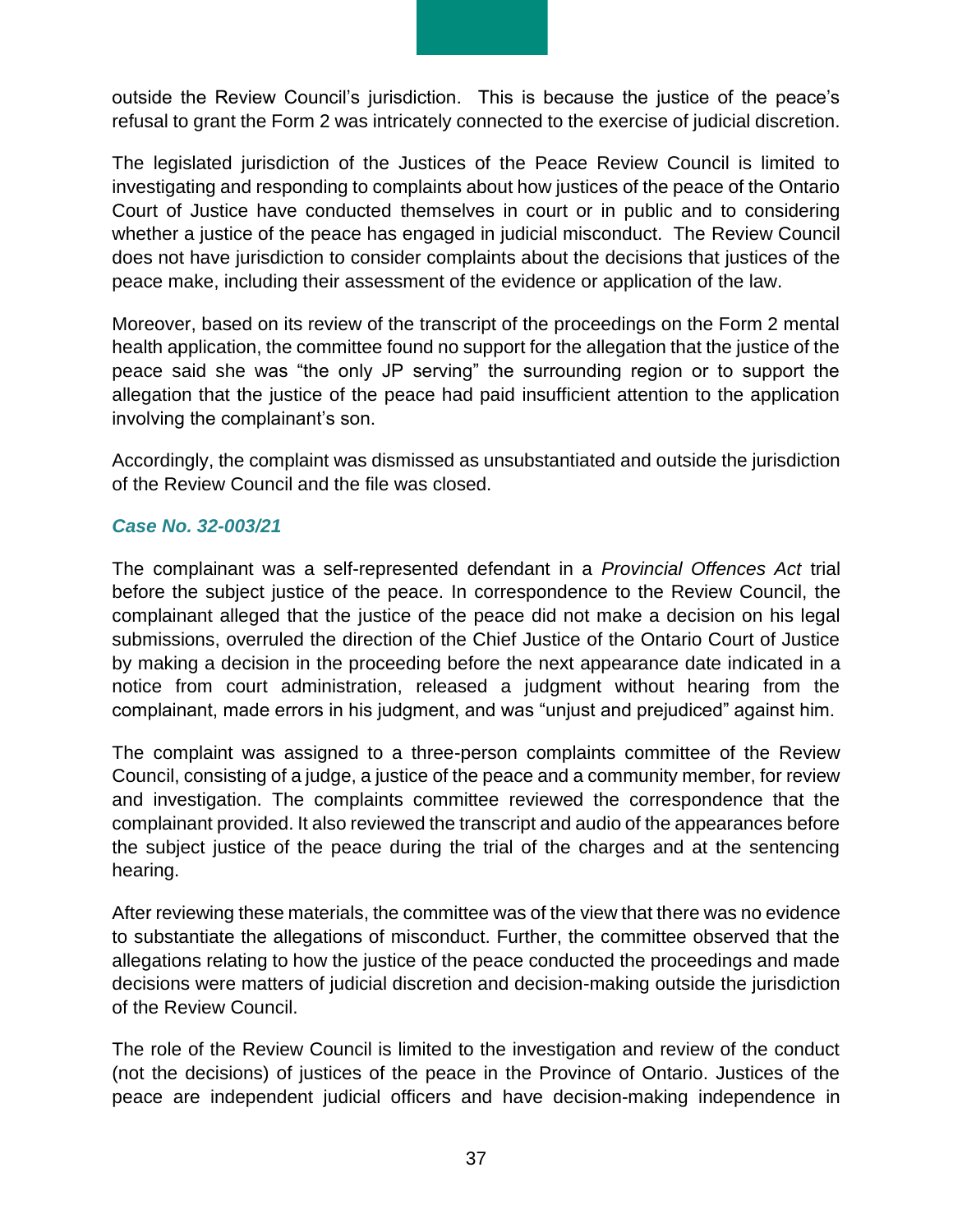outside the Review Council's jurisdiction. This is because the justice of the peace's refusal to grant the Form 2 was intricately connected to the exercise of judicial discretion.

The legislated jurisdiction of the Justices of the Peace Review Council is limited to investigating and responding to complaints about how justices of the peace of the Ontario Court of Justice have conducted themselves in court or in public and to considering whether a justice of the peace has engaged in judicial misconduct. The Review Council does not have jurisdiction to consider complaints about the decisions that justices of the peace make, including their assessment of the evidence or application of the law.

Moreover, based on its review of the transcript of the proceedings on the Form 2 mental health application, the committee found no support for the allegation that the justice of the peace said she was "the only JP serving" the surrounding region or to support the allegation that the justice of the peace had paid insufficient attention to the application involving the complainant's son.

Accordingly, the complaint was dismissed as unsubstantiated and outside the jurisdiction of the Review Council and the file was closed.

#### *Case No. 32-003/21*

The complainant was a self-represented defendant in a *Provincial Offences Act* trial before the subject justice of the peace. In correspondence to the Review Council, the complainant alleged that the justice of the peace did not make a decision on his legal submissions, overruled the direction of the Chief Justice of the Ontario Court of Justice by making a decision in the proceeding before the next appearance date indicated in a notice from court administration, released a judgment without hearing from the complainant, made errors in his judgment, and was "unjust and prejudiced" against him.

The complaint was assigned to a three-person complaints committee of the Review Council, consisting of a judge, a justice of the peace and a community member, for review and investigation. The complaints committee reviewed the correspondence that the complainant provided. It also reviewed the transcript and audio of the appearances before the subject justice of the peace during the trial of the charges and at the sentencing hearing.

After reviewing these materials, the committee was of the view that there was no evidence to substantiate the allegations of misconduct. Further, the committee observed that the allegations relating to how the justice of the peace conducted the proceedings and made decisions were matters of judicial discretion and decision-making outside the jurisdiction of the Review Council.

The role of the Review Council is limited to the investigation and review of the conduct (not the decisions) of justices of the peace in the Province of Ontario. Justices of the peace are independent judicial officers and have decision-making independence in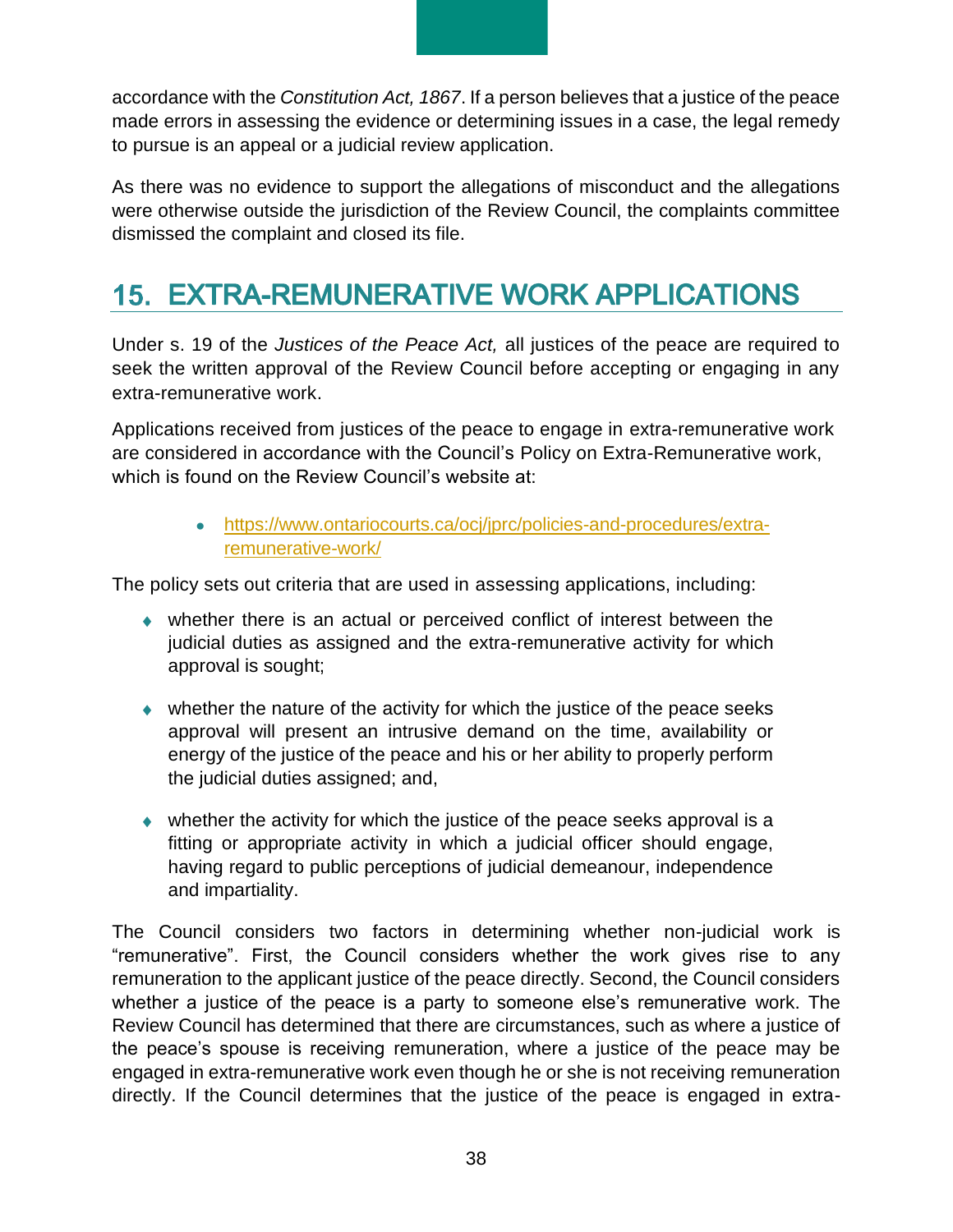accordance with the *Constitution Act, 1867*. If a person believes that a justice of the peace made errors in assessing the evidence or determining issues in a case, the legal remedy to pursue is an appeal or a judicial review application.

As there was no evidence to support the allegations of misconduct and the allegations were otherwise outside the jurisdiction of the Review Council, the complaints committee dismissed the complaint and closed its file.

# <span id="page-37-0"></span>**15. EXTRA-REMUNERATIVE WORK APPLICATIONS**

Under s. 19 of the *Justices of the Peace Act,* all justices of the peace are required to seek the written approval of the Review Council before accepting or engaging in any extra-remunerative work.

Applications received from justices of the peace to engage in extra-remunerative work are considered in accordance with the Council's Policy on Extra-Remunerative work, which is found on the Review Council's website at:

> • https://www.ontariocourts.ca/ocj/jprc/policies-and-procedures/extraremunerative-work/

The policy sets out criteria that are used in assessing applications, including:

- whether there is an actual or perceived conflict of interest between the judicial duties as assigned and the extra-remunerative activity for which approval is sought;
- whether the nature of the activity for which the justice of the peace seeks approval will present an intrusive demand on the time, availability or energy of the justice of the peace and his or her ability to properly perform the judicial duties assigned; and,
- whether the activity for which the justice of the peace seeks approval is a fitting or appropriate activity in which a judicial officer should engage, having regard to public perceptions of judicial demeanour, independence and impartiality.

The Council considers two factors in determining whether non-judicial work is "remunerative". First, the Council considers whether the work gives rise to any remuneration to the applicant justice of the peace directly. Second, the Council considers whether a justice of the peace is a party to someone else's remunerative work. The Review Council has determined that there are circumstances, such as where a justice of the peace's spouse is receiving remuneration, where a justice of the peace may be engaged in extra-remunerative work even though he or she is not receiving remuneration directly. If the Council determines that the justice of the peace is engaged in extra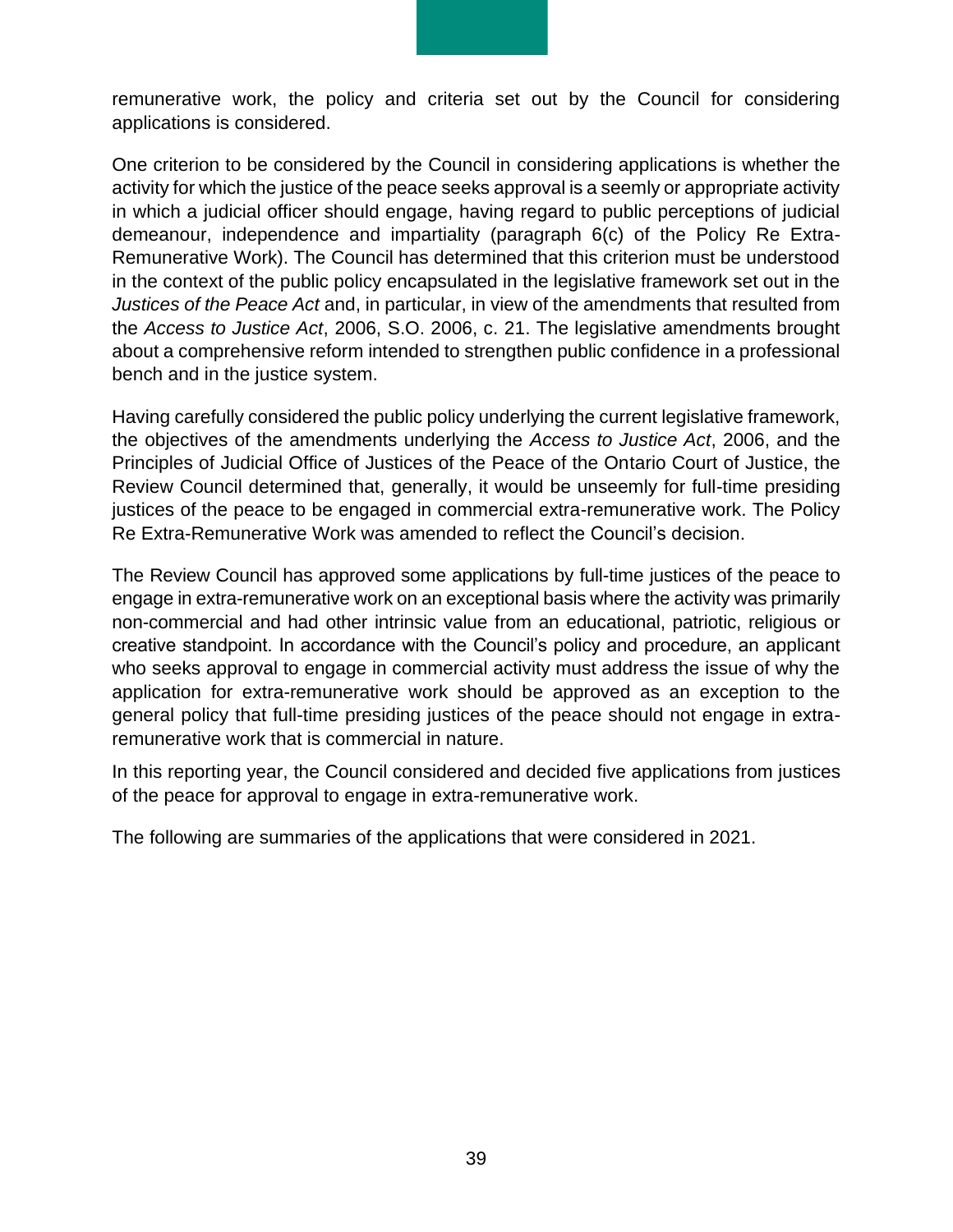remunerative work, the policy and criteria set out by the Council for considering applications is considered.

One criterion to be considered by the Council in considering applications is whether the activity for which the justice of the peace seeks approval is a seemly or appropriate activity in which a judicial officer should engage, having regard to public perceptions of judicial demeanour, independence and impartiality (paragraph 6(c) of the Policy Re Extra-Remunerative Work). The Council has determined that this criterion must be understood in the context of the public policy encapsulated in the legislative framework set out in the *Justices of the Peace Act* and, in particular, in view of the amendments that resulted from the *Access to Justice Act*, 2006, S.O. 2006, c. 21. The legislative amendments brought about a comprehensive reform intended to strengthen public confidence in a professional bench and in the justice system.

Having carefully considered the public policy underlying the current legislative framework, the objectives of the amendments underlying the *Access to Justice Act*, 2006, and the Principles of Judicial Office of Justices of the Peace of the Ontario Court of Justice, the Review Council determined that, generally, it would be unseemly for full-time presiding justices of the peace to be engaged in commercial extra-remunerative work. The Policy Re Extra-Remunerative Work was amended to reflect the Council's decision.

The Review Council has approved some applications by full-time justices of the peace to engage in extra-remunerative work on an exceptional basis where the activity was primarily non-commercial and had other intrinsic value from an educational, patriotic, religious or creative standpoint. In accordance with the Council's policy and procedure, an applicant who seeks approval to engage in commercial activity must address the issue of why the application for extra-remunerative work should be approved as an exception to the general policy that full-time presiding justices of the peace should not engage in extraremunerative work that is commercial in nature.

In this reporting year, the Council considered and decided five applications from justices of the peace for approval to engage in extra-remunerative work.

The following are summaries of the applications that were considered in 2021.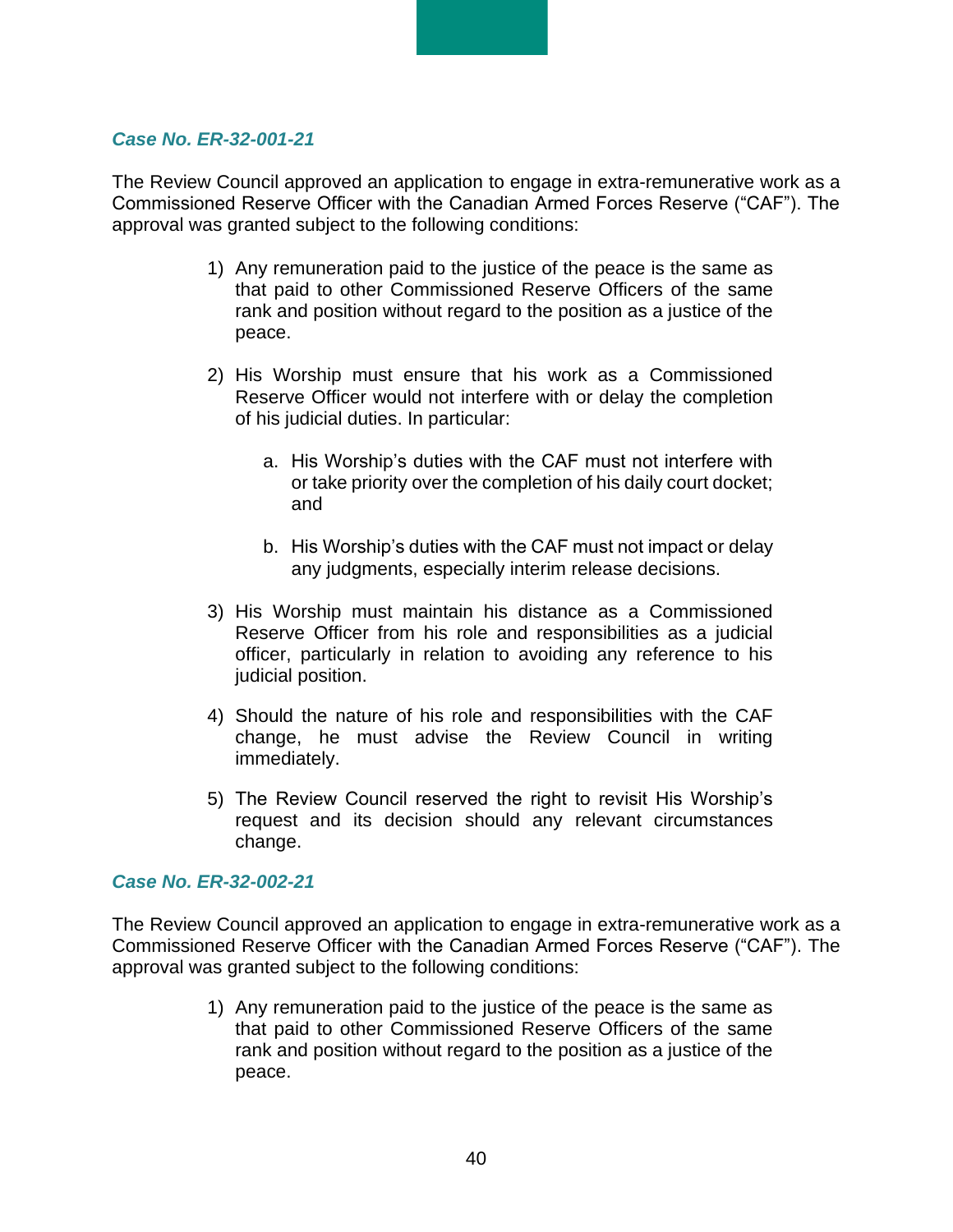#### *Case No. ER-32-001-21*

The Review Council approved an application to engage in extra-remunerative work as a Commissioned Reserve Officer with the Canadian Armed Forces Reserve ("CAF"). The approval was granted subject to the following conditions:

- 1) Any remuneration paid to the justice of the peace is the same as that paid to other Commissioned Reserve Officers of the same rank and position without regard to the position as a justice of the peace.
- 2) His Worship must ensure that his work as a Commissioned Reserve Officer would not interfere with or delay the completion of his judicial duties. In particular:
	- a. His Worship's duties with the CAF must not interfere with or take priority over the completion of his daily court docket; and
	- b. His Worship's duties with the CAF must not impact or delay any judgments, especially interim release decisions.
- 3) His Worship must maintain his distance as a Commissioned Reserve Officer from his role and responsibilities as a judicial officer, particularly in relation to avoiding any reference to his judicial position.
- 4) Should the nature of his role and responsibilities with the CAF change, he must advise the Review Council in writing immediately.
- 5) The Review Council reserved the right to revisit His Worship's request and its decision should any relevant circumstances change.

#### *Case No. ER-32-002-21*

The Review Council approved an application to engage in extra-remunerative work as a Commissioned Reserve Officer with the Canadian Armed Forces Reserve ("CAF"). The approval was granted subject to the following conditions:

> 1) Any remuneration paid to the justice of the peace is the same as that paid to other Commissioned Reserve Officers of the same rank and position without regard to the position as a justice of the peace.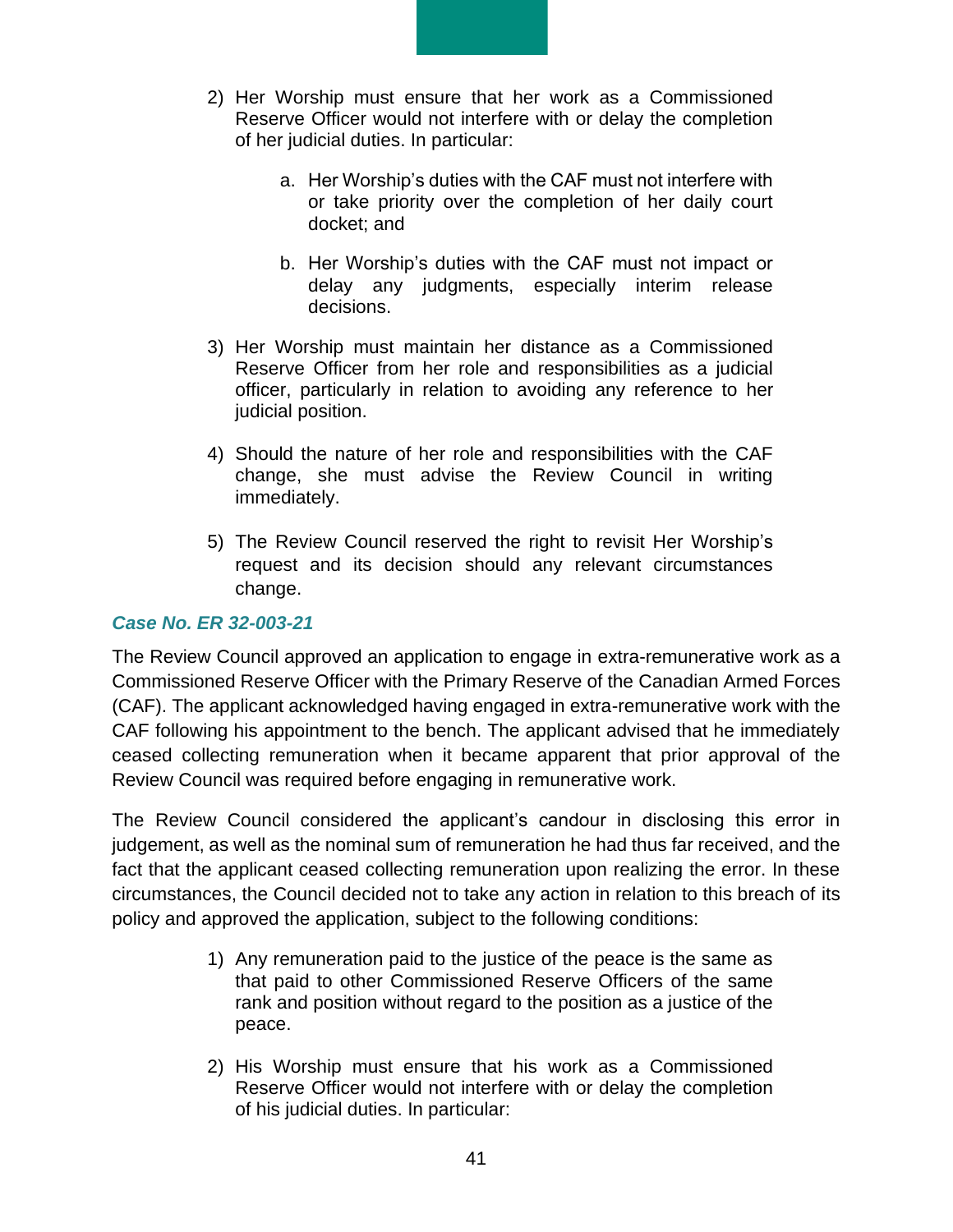- 2) Her Worship must ensure that her work as a Commissioned Reserve Officer would not interfere with or delay the completion of her judicial duties. In particular:
	- a. Her Worship's duties with the CAF must not interfere with or take priority over the completion of her daily court docket; and
	- b. Her Worship's duties with the CAF must not impact or delay any judgments, especially interim release decisions.
- 3) Her Worship must maintain her distance as a Commissioned Reserve Officer from her role and responsibilities as a judicial officer, particularly in relation to avoiding any reference to her judicial position.
- 4) Should the nature of her role and responsibilities with the CAF change, she must advise the Review Council in writing immediately.
- 5) The Review Council reserved the right to revisit Her Worship's request and its decision should any relevant circumstances change.

#### *Case No. ER 32-003-21*

The Review Council approved an application to engage in extra-remunerative work as a Commissioned Reserve Officer with the Primary Reserve of the Canadian Armed Forces (CAF). The applicant acknowledged having engaged in extra-remunerative work with the CAF following his appointment to the bench. The applicant advised that he immediately ceased collecting remuneration when it became apparent that prior approval of the Review Council was required before engaging in remunerative work.

The Review Council considered the applicant's candour in disclosing this error in judgement, as well as the nominal sum of remuneration he had thus far received, and the fact that the applicant ceased collecting remuneration upon realizing the error. In these circumstances, the Council decided not to take any action in relation to this breach of its policy and approved the application, subject to the following conditions:

- 1) Any remuneration paid to the justice of the peace is the same as that paid to other Commissioned Reserve Officers of the same rank and position without regard to the position as a justice of the peace.
- 2) His Worship must ensure that his work as a Commissioned Reserve Officer would not interfere with or delay the completion of his judicial duties. In particular: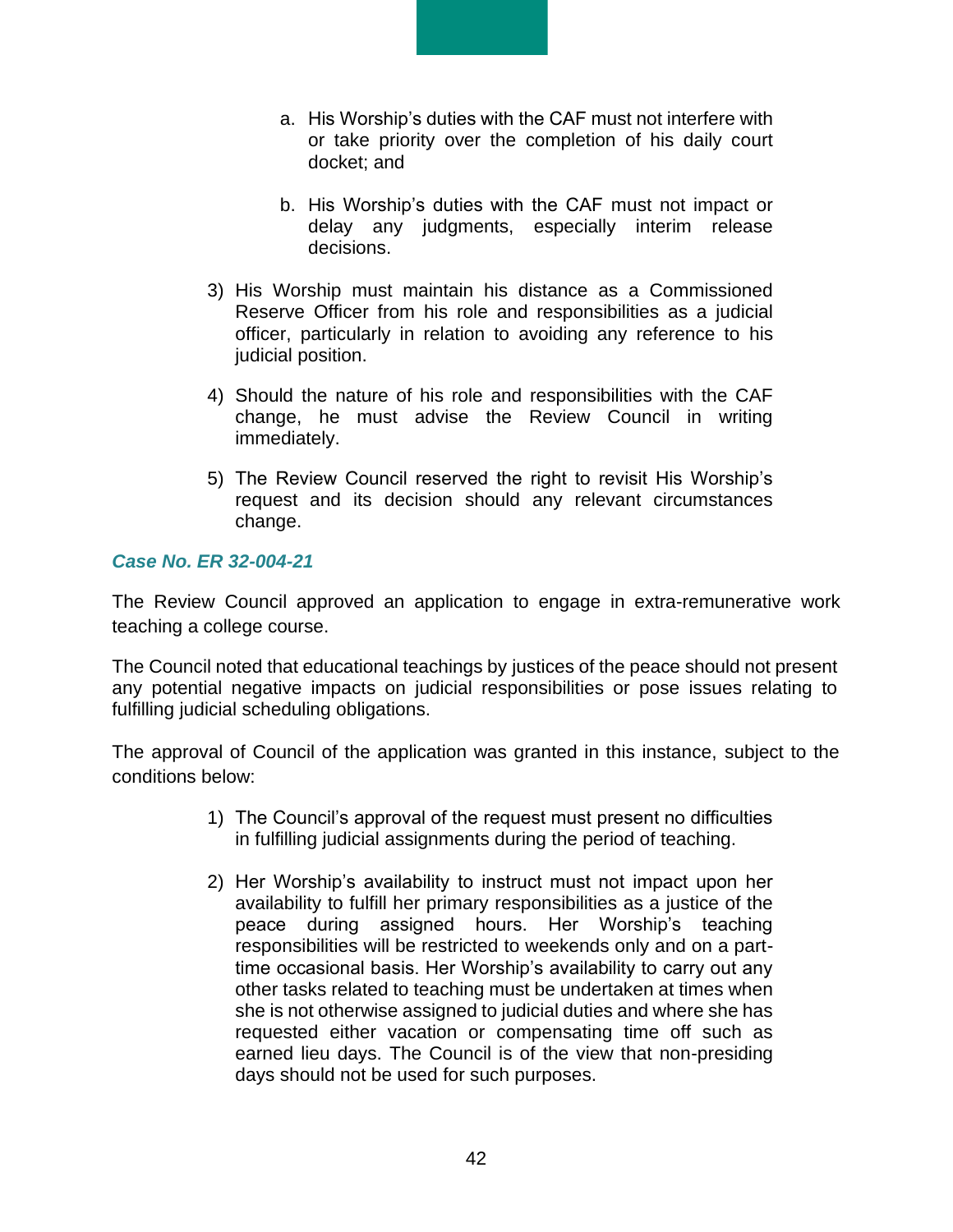- a. His Worship's duties with the CAF must not interfere with or take priority over the completion of his daily court docket; and
- b. His Worship's duties with the CAF must not impact or delay any judgments, especially interim release decisions.
- 3) His Worship must maintain his distance as a Commissioned Reserve Officer from his role and responsibilities as a judicial officer, particularly in relation to avoiding any reference to his judicial position.
- 4) Should the nature of his role and responsibilities with the CAF change, he must advise the Review Council in writing immediately.
- 5) The Review Council reserved the right to revisit His Worship's request and its decision should any relevant circumstances change.

#### *Case No. ER 32-004-21*

The Review Council approved an application to engage in extra-remunerative work teaching a college course.

The Council noted that educational teachings by justices of the peace should not present any potential negative impacts on judicial responsibilities or pose issues relating to fulfilling judicial scheduling obligations.

The approval of Council of the application was granted in this instance, subject to the conditions below:

- 1) The Council's approval of the request must present no difficulties in fulfilling judicial assignments during the period of teaching.
- 2) Her Worship's availability to instruct must not impact upon her availability to fulfill her primary responsibilities as a justice of the peace during assigned hours. Her Worship's teaching responsibilities will be restricted to weekends only and on a parttime occasional basis. Her Worship's availability to carry out any other tasks related to teaching must be undertaken at times when she is not otherwise assigned to judicial duties and where she has requested either vacation or compensating time off such as earned lieu days. The Council is of the view that non-presiding days should not be used for such purposes.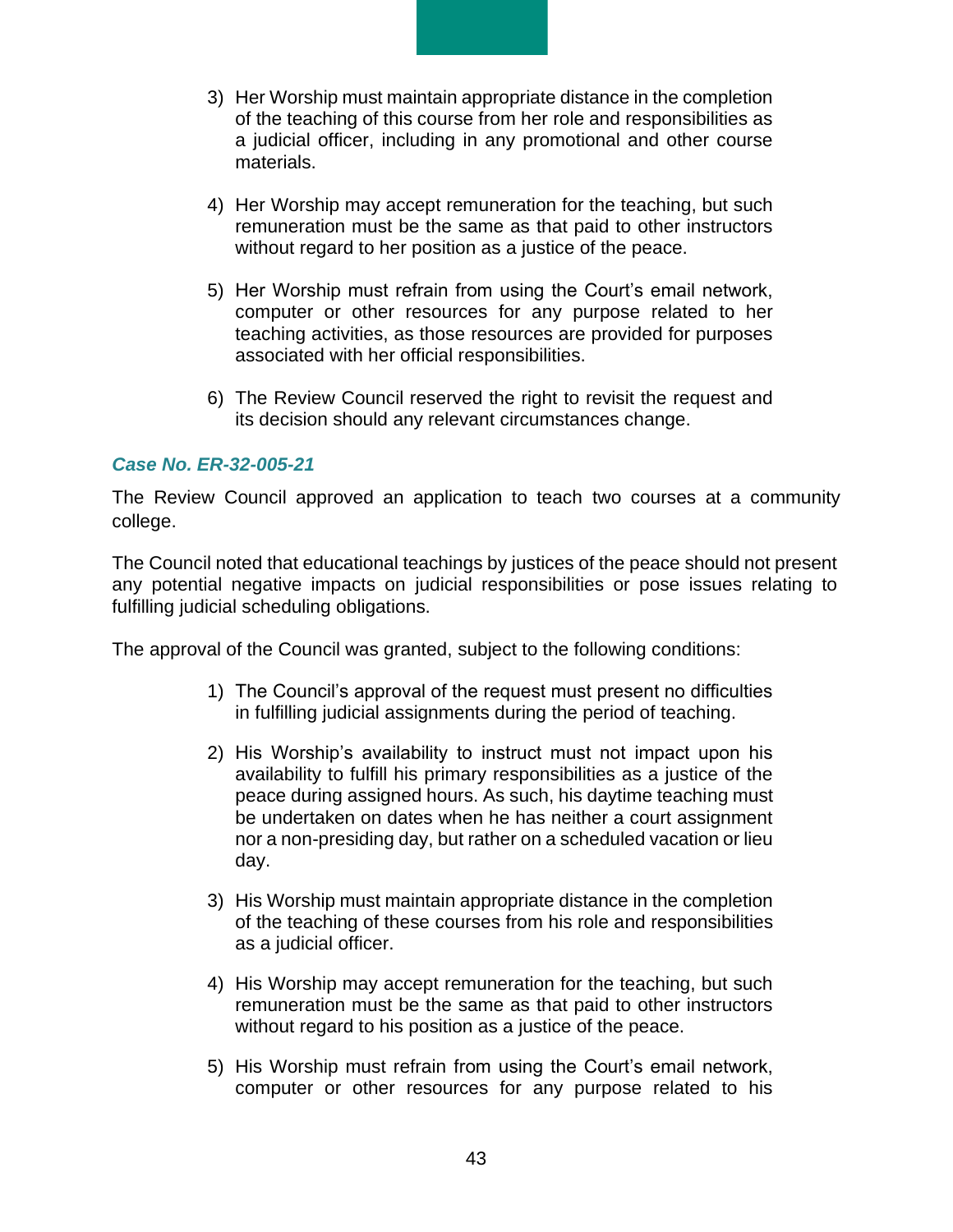- 3) Her Worship must maintain appropriate distance in the completion of the teaching of this course from her role and responsibilities as a judicial officer, including in any promotional and other course materials.
- 4) Her Worship may accept remuneration for the teaching, but such remuneration must be the same as that paid to other instructors without regard to her position as a justice of the peace.
- 5) Her Worship must refrain from using the Court's email network, computer or other resources for any purpose related to her teaching activities, as those resources are provided for purposes associated with her official responsibilities.
- 6) The Review Council reserved the right to revisit the request and its decision should any relevant circumstances change.

#### *Case No. ER-32-005-21*

The Review Council approved an application to teach two courses at a community college.

The Council noted that educational teachings by justices of the peace should not present any potential negative impacts on judicial responsibilities or pose issues relating to fulfilling judicial scheduling obligations.

The approval of the Council was granted, subject to the following conditions:

- 1) The Council's approval of the request must present no difficulties in fulfilling judicial assignments during the period of teaching.
- 2) His Worship's availability to instruct must not impact upon his availability to fulfill his primary responsibilities as a justice of the peace during assigned hours. As such, his daytime teaching must be undertaken on dates when he has neither a court assignment nor a non-presiding day, but rather on a scheduled vacation or lieu day.
- 3) His Worship must maintain appropriate distance in the completion of the teaching of these courses from his role and responsibilities as a judicial officer.
- 4) His Worship may accept remuneration for the teaching, but such remuneration must be the same as that paid to other instructors without regard to his position as a justice of the peace.
- 5) His Worship must refrain from using the Court's email network, computer or other resources for any purpose related to his